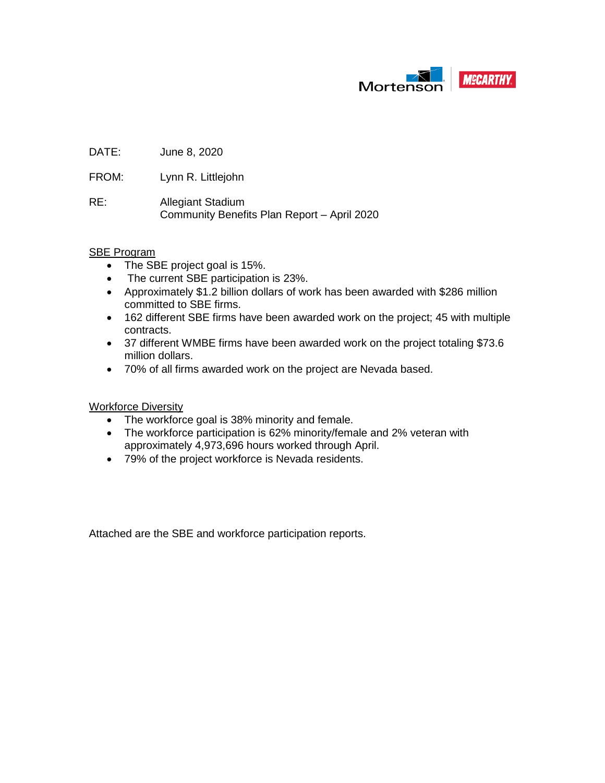

DATE: June 8, 2020

FROM: Lynn R. Littlejohn

RE: Allegiant Stadium Community Benefits Plan Report – April 2020

#### SBE Program

- The SBE project goal is 15%.
- The current SBE participation is 23%.
- Approximately \$1.2 billion dollars of work has been awarded with \$286 million committed to SBE firms.
- 162 different SBE firms have been awarded work on the project; 45 with multiple contracts.
- 37 different WMBE firms have been awarded work on the project totaling \$73.6 million dollars.
- 70% of all firms awarded work on the project are Nevada based.

Workforce Diversity

- The workforce goal is 38% minority and female.
- The workforce participation is 62% minority/female and 2% veteran with approximately 4,973,696 hours worked through April.
- 79% of the project workforce is Nevada residents.

Attached are the SBE and workforce participation reports.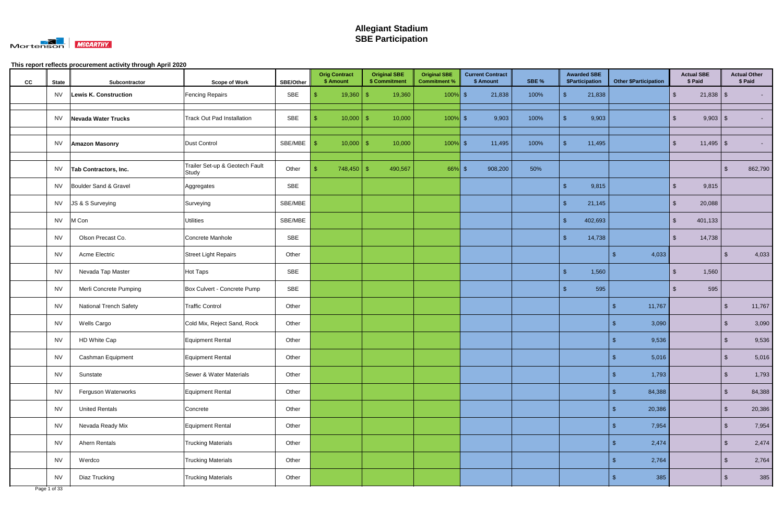

| cc | <b>State</b> | Subcontractor                 | <b>Scope of Work</b>                    | <b>SBE/Other</b> |     | <b>Orig Contract</b><br>\$ Amount | <b>Original SBE</b><br>\$ Commitment | <b>Original SBE</b><br><b>Commitment %</b> | <b>Current Contract</b><br>\$ Amount | SBE % |     | <b>Awarded SBE</b><br>\$Participation | <b>Other \$Participation</b> |        |                         | <b>Actual SBE</b><br>\$ Paid |                         | <b>Actual Other</b><br>\$ Paid |
|----|--------------|-------------------------------|-----------------------------------------|------------------|-----|-----------------------------------|--------------------------------------|--------------------------------------------|--------------------------------------|-------|-----|---------------------------------------|------------------------------|--------|-------------------------|------------------------------|-------------------------|--------------------------------|
|    | <b>NV</b>    | Lewis K. Construction         | <b>Fencing Repairs</b>                  | SBE              | S.  |                                   | 19,360                               | $100\%$ \$                                 | 21,838                               | 100%  |     | 21,838                                |                              |        | $\sqrt[6]{\frac{1}{2}}$ | $21,838$ \$                  |                         |                                |
|    | <b>NV</b>    | Nevada Water Trucks           | <b>Track Out Pad Installation</b>       | SBE              | -\$ | 10,000                            | 10,000<br>-\$                        | $100\%$ \$                                 | 9,903                                | 100%  |     | 9,903                                 |                              |        | -\$                     | $9,903$ \$                   |                         |                                |
|    | <b>NV</b>    | <b>Amazon Masonry</b>         | <b>Dust Control</b>                     | SBE/MBE          | -\$ | $10,000$   \$                     | 10,000                               | $100\%$ \$                                 | 11,495                               | 100%  |     | 11,495                                |                              |        | $\mathfrak{L}$          |                              |                         |                                |
|    | NV           | Tab Contractors, Inc.         | Trailer Set-up & Geotech Fault<br>Study | Other            |     | $748,450$ \ \$                    | 490,567                              | $66\%$ \$                                  | 908,200                              | 50%   |     |                                       |                              |        |                         |                              | -\$                     | 862,790                        |
|    | <b>NV</b>    | Boulder Sand & Gravel         | Aggregates                              | SBE              |     |                                   |                                      |                                            |                                      |       |     | 9,815                                 |                              |        | $\mathfrak{L}$          | 9,815                        |                         |                                |
|    | <b>NV</b>    | JS & S Surveying              | Surveying                               | SBE/MBE          |     |                                   |                                      |                                            |                                      |       | -\$ | 21,145                                |                              |        | $\mathfrak{L}$          | 20,088                       |                         |                                |
|    | <b>NV</b>    | M Con                         | <b>Utilities</b>                        | SBE/MBE          |     |                                   |                                      |                                            |                                      |       | -\$ | 402,693                               |                              |        | $\mathfrak{L}$          | 401,133                      |                         |                                |
|    | <b>NV</b>    | Olson Precast Co.             | Concrete Manhole                        | SBE              |     |                                   |                                      |                                            |                                      |       | -\$ | 14,738                                |                              |        | -\$                     | 14,738                       |                         |                                |
|    | <b>NV</b>    | Acme Electric                 | <b>Street Light Repairs</b>             | Other            |     |                                   |                                      |                                            |                                      |       |     |                                       | - \$                         | 4,033  |                         |                              | \$.                     | 4,033                          |
|    | <b>NV</b>    | Nevada Tap Master             | Hot Taps                                | SBE              |     |                                   |                                      |                                            |                                      |       | -\$ | 1,560                                 |                              |        | $\mathfrak{L}$          | 1,560                        |                         |                                |
|    | <b>NV</b>    | Merli Concrete Pumping        | Box Culvert - Concrete Pump             | SBE              |     |                                   |                                      |                                            |                                      |       |     | 595                                   |                              |        |                         | 595                          |                         |                                |
|    | <b>NV</b>    | <b>National Trench Safety</b> | <b>Traffic Control</b>                  | Other            |     |                                   |                                      |                                            |                                      |       |     |                                       | - \$                         | 11,767 |                         |                              | - \$                    | 11,767                         |
|    | <b>NV</b>    | Wells Cargo                   | Cold Mix, Reject Sand, Rock             | Other            |     |                                   |                                      |                                            |                                      |       |     |                                       | - 95                         | 3,090  |                         |                              | -\$                     | 3,090                          |
|    | <b>NV</b>    | HD White Cap                  | Equipment Rental                        | Other            |     |                                   |                                      |                                            |                                      |       |     |                                       | - 95                         | 9,536  |                         |                              | <sup>\$</sup>           | 9,536                          |
|    | <b>NV</b>    | Cashman Equipment             | Equipment Rental                        | Other            |     |                                   |                                      |                                            |                                      |       |     |                                       | $\sqrt{3}$                   | 5,016  |                         |                              | $\sqrt[3]{2}$           | 5,016                          |
|    | <b>NV</b>    | Sunstate                      | Sewer & Water Materials                 | Other            |     |                                   |                                      |                                            |                                      |       |     |                                       | $\sqrt{3}$                   | 1,793  |                         |                              | $\sqrt[6]{\frac{1}{2}}$ | 1,793                          |
|    | <b>NV</b>    | Ferguson Waterworks           | Equipment Rental                        | Other            |     |                                   |                                      |                                            |                                      |       |     |                                       | -S                           | 84,388 |                         |                              | $\sqrt[6]{\frac{1}{2}}$ | 84,388                         |
|    | <b>NV</b>    | <b>United Rentals</b>         | Concrete                                | Other            |     |                                   |                                      |                                            |                                      |       |     |                                       |                              | 20,386 |                         |                              | $\sqrt[3]{2}$           | 20,386                         |
|    | <b>NV</b>    | Nevada Ready Mix              | Equipment Rental                        | Other            |     |                                   |                                      |                                            |                                      |       |     |                                       | -S                           | 7,954  |                         |                              | $\sqrt[6]{3}$           | 7,954                          |
|    | <b>NV</b>    | Ahern Rentals                 | <b>Trucking Materials</b>               | Other            |     |                                   |                                      |                                            |                                      |       |     |                                       | $\mathbf{\$}$                | 2,474  |                         |                              | $\sqrt[6]{\frac{1}{2}}$ | 2,474                          |
|    | <b>NV</b>    | Werdco                        | <b>Trucking Materials</b>               | Other            |     |                                   |                                      |                                            |                                      |       |     |                                       | -\$                          | 2,764  |                         |                              | $\sqrt[6]{\frac{1}{2}}$ | 2,764                          |
|    | <b>NV</b>    | Diaz Trucking                 | <b>Trucking Materials</b>               | Other            |     |                                   |                                      |                                            |                                      |       |     |                                       |                              | 385    |                         |                              | \$                      | 385                            |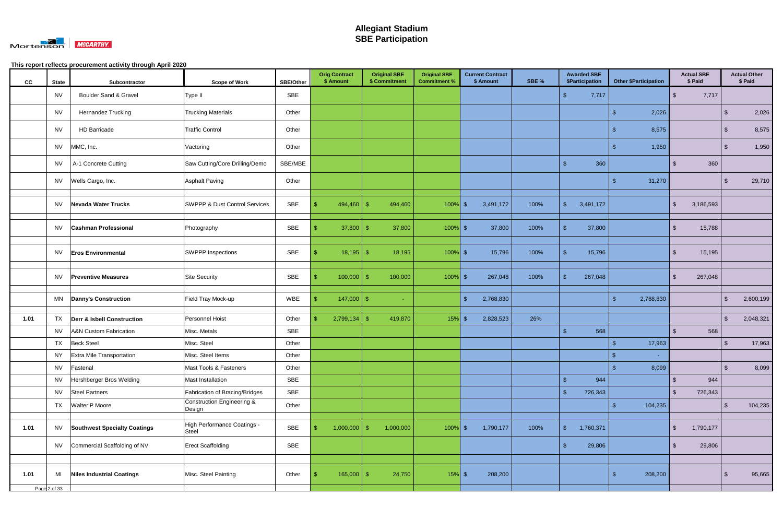

| cc   | <b>State</b> | Subcontractor                         | <b>Scope of Work</b>                            | <b>SBE/Other</b> | <b>Orig Contract</b><br>\$ Amount | <b>Original SBE</b><br>\$ Commitment | <b>Original SBE</b><br><b>Commitment %</b> | <b>Current Contract</b><br>\$ Amount | SBE % | <b>Awarded SBE</b><br>\$Participation | <b>Other \$Participation</b> | <b>Actual SBE</b><br>\$ Paid |                | <b>Actual Other</b><br>\$ Paid |
|------|--------------|---------------------------------------|-------------------------------------------------|------------------|-----------------------------------|--------------------------------------|--------------------------------------------|--------------------------------------|-------|---------------------------------------|------------------------------|------------------------------|----------------|--------------------------------|
|      | <b>NV</b>    | Boulder Sand & Gravel                 | Type II                                         | SBE              |                                   |                                      |                                            |                                      |       | $\frac{1}{2}$<br>7,717                |                              | -\$<br>7,717                 |                |                                |
|      | <b>NV</b>    | Hernandez Trucking                    | <b>Trucking Materials</b>                       | Other            |                                   |                                      |                                            |                                      |       |                                       | 2,026<br>\$                  |                              | .S             | 2,026                          |
|      | <b>NV</b>    | <b>HD Barricade</b>                   | <b>Traffic Control</b>                          | Other            |                                   |                                      |                                            |                                      |       |                                       | 8,575                        |                              | \$             | 8,575                          |
|      | <b>NV</b>    | MMC, Inc.                             | Vactoring                                       | Other            |                                   |                                      |                                            |                                      |       |                                       | 1,950<br>S                   |                              | \$             | 1,950                          |
|      | <b>NV</b>    | A-1 Concrete Cutting                  | Saw Cutting/Core Drilling/Demo                  | SBE/MBE          |                                   |                                      |                                            |                                      |       | $\mathfrak{F}$<br>360                 |                              | 360<br>$\mathbb{S}$          |                |                                |
|      | <b>NV</b>    | Wells Cargo, Inc.                     | <b>Asphalt Paving</b>                           | Other            |                                   |                                      |                                            |                                      |       |                                       | 31,270<br>ß.                 |                              | \$.            | 29,710                         |
|      | NV           | Nevada Water Trucks                   | <b>SWPPP &amp; Dust Control Services</b>        | SBE              | 494,460                           | 494,460<br>-\$                       | $100\%$ \$                                 | 3,491,172                            | 100%  | $\frac{1}{2}$<br>3,491,172            |                              | $\mathbf{\$}$<br>3,186,593   |                |                                |
|      | NV           | <b>Cashman Professional</b>           | Photography                                     | SBE              | $37,800$ \$                       | 37,800                               | $100\%$ \$                                 | 37,800                               | 100%  | 37,800<br>\$                          |                              | 15,788<br>$\mathfrak{L}$     |                |                                |
|      | NV           | <b>Eros Environmental</b>             | <b>SWPPP Inspections</b>                        | SBE              | $18,195$ \$<br>-\$                | 18,195                               | $100\%$ \$                                 | 15,796                               | 100%  | $\mathfrak{S}$<br>15,796              |                              | 15,195<br>-\$                |                |                                |
|      | NV           | <b>Preventive Measures</b>            | <b>Site Security</b>                            | SBE              | $100,000$ \ \$                    | 100,000                              | $100\%$ \$                                 | 267,048                              | 100%  | 267,048<br>$\mathbf{\$}$              |                              | -\$<br>267,048               |                |                                |
|      | MN           | <b>Danny's Construction</b>           | Field Tray Mock-up                              | WBE              | $147,000$ \ \$                    | $\sim$                               |                                            | -\$<br>2,768,830                     |       |                                       | 2,768,830<br>-\$             |                              | $\mathfrak{S}$ | 2,600,199                      |
| 1.01 | TX           | <b>Derr &amp; Isbell Construction</b> | Personnel Hoist                                 | Other            | $2,799,134$ \$                    | 419,870                              | $15\%$ \$                                  | 2,828,523                            | 26%   |                                       |                              |                              | $\mathbf{\$}$  | 2,048,321                      |
|      | <b>NV</b>    | <b>A&amp;N Custom Fabrication</b>     | Misc. Metals                                    | SBE              |                                   |                                      |                                            |                                      |       | $\mathsf{\$}$<br>568                  |                              | $\mathcal{L}$<br>568         |                |                                |
|      | <b>TX</b>    | <b>Beck Steel</b>                     | Misc. Steel                                     | Other            |                                   |                                      |                                            |                                      |       |                                       | 17,963                       |                              |                | 17,963                         |
|      | <b>NY</b>    | Extra Mile Transportation             | Misc. Steel Items                               | Other            |                                   |                                      |                                            |                                      |       |                                       | $\frac{1}{2}$                |                              |                |                                |
|      | <b>NV</b>    | Fastenal                              | Mast Tools & Fasteners                          | Other            |                                   |                                      |                                            |                                      |       |                                       | $\mathfrak{S}$<br>8,099      |                              | $\sqrt[6]{3}$  | 8,099                          |
|      | <b>NV</b>    | Hershberger Bros Welding              | Mast Installation                               | SBE              |                                   |                                      |                                            |                                      |       | $\sqrt{3}$<br>944                     |                              | 944<br>$\mathfrak{L}$        |                |                                |
|      | <b>NV</b>    | <b>Steel Partners</b>                 | Fabrication of Bracing/Bridges                  | SBE              |                                   |                                      |                                            |                                      |       | $\sqrt{3}$<br>726,343                 |                              | $\mathfrak{L}$<br>726,343    |                |                                |
|      |              | TX Walter P Moore                     | <b>Construction Engineering &amp;</b><br>Design | Other            |                                   |                                      |                                            |                                      |       |                                       | 104,235<br>-\$               |                              | \$             | 104,235                        |
| 1.01 | <b>NV</b>    | <b>Southwest Specialty Coatings</b>   | High Performance Coatings -<br>Steel            | SBE              | $1,000,000$ \$                    | 1,000,000                            | $100\%$ \$                                 | 1,790,177                            | 100%  | $\sqrt[6]{\frac{1}{2}}$<br>1,760,371  |                              | -\$<br>1,790,177             |                |                                |
|      | <b>NV</b>    | Commercial Scaffolding of NV          | <b>Erect Scaffolding</b>                        | SBE              |                                   |                                      |                                            |                                      |       | 29,806<br>$\mathfrak{F}$              |                              | 29,806<br>-\$                |                |                                |
|      |              |                                       |                                                 |                  |                                   |                                      |                                            |                                      |       |                                       |                              |                              |                |                                |
| 1.01 | MI           | <b>Niles Industrial Coatings</b>      | Misc. Steel Painting                            | Other            | $165,000$ \$                      | 24,750                               | $15%$ \$                                   | 208,200                              |       |                                       | 208,200<br>-\$               |                              |                | 95,665                         |
|      | Page 2 of 33 |                                       |                                                 |                  |                                   |                                      |                                            |                                      |       |                                       |                              |                              |                |                                |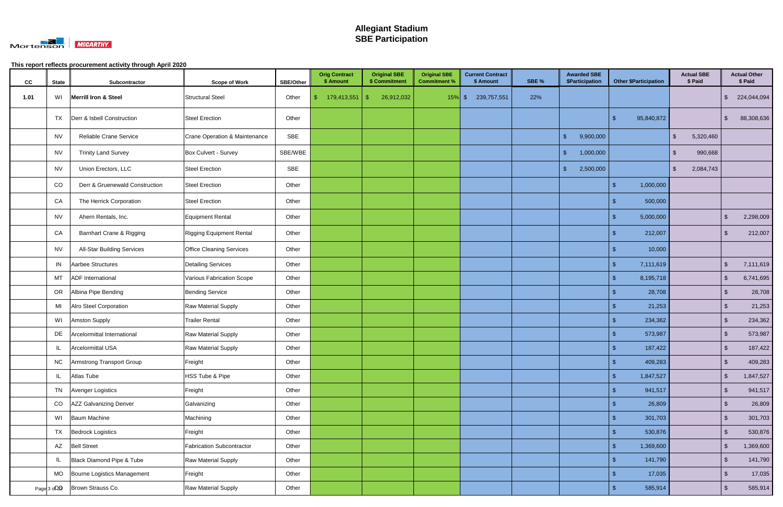

| cc   | <b>State</b> | Subcontractor                       | <b>Scope of Work</b>             | <b>SBE/Other</b> | <b>Orig Contract</b><br>\$ Amount | <b>Original SBE</b><br>\$ Commitment | <b>Original SBE</b><br><b>Commitment %</b> | <b>Current Contract</b><br>\$ Amount | SBE % | <b>Awarded SBE</b><br>\$Participation | <b>Other \$Participation</b> | <b>Actual SBE</b><br>\$ Paid       |               | <b>Actual Other</b><br>\$ Paid |
|------|--------------|-------------------------------------|----------------------------------|------------------|-----------------------------------|--------------------------------------|--------------------------------------------|--------------------------------------|-------|---------------------------------------|------------------------------|------------------------------------|---------------|--------------------------------|
| 1.01 |              | WI Merrill Iron & Steel             | <b>Structural Steel</b>          | Other            | 179,413,551                       | 26,912,032<br>$\mathcal{S}$          | $15\%$ \$                                  | 239,757,551                          | 22%   |                                       |                              |                                    | $\mathbb{S}$  | 224,044,094                    |
|      | <b>TX</b>    | Derr & Isbell Construction          | <b>Steel Erection</b>            | Other            |                                   |                                      |                                            |                                      |       |                                       | -\$<br>95,840,872            |                                    | -\$           | 88,308,636                     |
|      | <b>NV</b>    | Reliable Crane Service              | Crane Operation & Maintenance    | SBE              |                                   |                                      |                                            |                                      |       | $\sqrt{3}$<br>9,900,000               |                              | $\sqrt[6]{2}$<br>5,320,460         |               |                                |
|      | NV           | <b>Trinity Land Survey</b>          | Box Culvert - Survey             | SBE/WBE          |                                   |                                      |                                            |                                      |       | $\sqrt{3}$<br>1,000,000               |                              | $\sqrt[6]{\frac{1}{2}}$<br>990,668 |               |                                |
|      | NV           | Union Erectors, LLC                 | <b>Steel Erection</b>            | SBE              |                                   |                                      |                                            |                                      |       | 2,500,000<br>\$                       |                              | $\sqrt[6]{2}$<br>2,084,743         |               |                                |
|      | CO           | Derr & Gruenewald Construction      | <b>Steel Erection</b>            | Other            |                                   |                                      |                                            |                                      |       |                                       | 1,000,000<br>-\$             |                                    |               |                                |
|      | CA           | The Herrick Corporation             | <b>Steel Erection</b>            | Other            |                                   |                                      |                                            |                                      |       |                                       | 500,000<br>-S                |                                    |               |                                |
|      | NV           | Ahern Rentals, Inc.                 | Equipment Rental                 | Other            |                                   |                                      |                                            |                                      |       |                                       | 5,000,000<br>-\$             |                                    | -\$           | 2,298,009                      |
|      | CA           | <b>Barnhart Crane &amp; Rigging</b> | <b>Rigging Equipment Rental</b>  | Other            |                                   |                                      |                                            |                                      |       |                                       | 212,007<br>S                 |                                    | -\$           | 212,007                        |
|      | <b>NV</b>    | <b>All-Star Building Services</b>   | <b>Office Cleaning Services</b>  | Other            |                                   |                                      |                                            |                                      |       |                                       | 10,000                       |                                    |               |                                |
|      | IN           | Aarbee Structures                   | <b>Detailing Services</b>        | Other            |                                   |                                      |                                            |                                      |       |                                       | $\mathcal{S}$<br>7,111,619   |                                    | $\sqrt[3]{2}$ | 7,111,619                      |
|      | MT           | <b>ADF</b> International            | Various Fabrication Scope        | Other            |                                   |                                      |                                            |                                      |       |                                       | 8,195,718<br>-\$             |                                    | $\sqrt[3]{2}$ | 6,741,695                      |
|      |              | OR Albina Pipe Bending              | <b>Bending Service</b>           | Other            |                                   |                                      |                                            |                                      |       |                                       | 28,708<br>-\$                |                                    | $\sqrt[3]{2}$ | 28,708                         |
|      | MI           | <b>Alro Steel Corporation</b>       | Raw Material Supply              | Other            |                                   |                                      |                                            |                                      |       |                                       | 21,253<br>-\$                |                                    | $\sqrt[6]{3}$ | 21,253                         |
|      | WI           | <b>Amston Supply</b>                | <b>Trailer Rental</b>            | Other            |                                   |                                      |                                            |                                      |       |                                       | 234,362                      |                                    | \$            | 234,362                        |
|      | DE           | Arcelormittal International         | Raw Material Supply              | Other            |                                   |                                      |                                            |                                      |       |                                       | 573,987                      |                                    | $\sqrt[3]{2}$ | 573,987                        |
|      | IL           | Arcelormittal USA                   | Raw Material Supply              | Other            |                                   |                                      |                                            |                                      |       |                                       | 187,422                      |                                    | $\sqrt[6]{3}$ | 187,422                        |
|      | <b>NC</b>    | Armstrong Transport Group           | Freight                          | Other            |                                   |                                      |                                            |                                      |       |                                       | $\mathcal{S}$<br>409,283     |                                    | $\sqrt[6]{3}$ | 409,283                        |
|      | IL.          | Atlas Tube                          | HSS Tube & Pipe                  | Other            |                                   |                                      |                                            |                                      |       |                                       | -\$<br>1,847,527             |                                    | $\sqrt[6]{3}$ | 1,847,527                      |
|      |              | TN Avenger Logistics                | Freight                          | Other            |                                   |                                      |                                            |                                      |       |                                       | 941,517<br>-\$               |                                    | $\sqrt[6]{3}$ | 941,517                        |
|      | CO           | AZZ Galvanizing Denver              | Galvanizing                      | Other            |                                   |                                      |                                            |                                      |       |                                       | 26,809<br>-\$                |                                    | $\sqrt{2}$    | 26,809                         |
|      |              | WI Baum Machine                     | Machining                        | Other            |                                   |                                      |                                            |                                      |       |                                       | 301,703<br>-\$               |                                    | $\sqrt[6]{3}$ | 301,703                        |
|      |              | TX Bedrock Logistics                | Freight                          | Other            |                                   |                                      |                                            |                                      |       |                                       | 530,876<br>S                 |                                    | $\sqrt[6]{3}$ | 530,876                        |
|      |              | AZ Bell Street                      | <b>Fabrication Subcontractor</b> | Other            |                                   |                                      |                                            |                                      |       |                                       | -\$<br>1,369,600             |                                    | $\sqrt{2}$    | 1,369,600                      |
|      |              | Black Diamond Pipe & Tube           | Raw Material Supply              | Other            |                                   |                                      |                                            |                                      |       |                                       | 141,790<br>-\$               |                                    | $\sqrt[6]{3}$ | 141,790                        |
|      |              | MO  Bourne Logistics Management     | Freight                          | Other            |                                   |                                      |                                            |                                      |       |                                       | 17,035                       |                                    | $\sqrt[3]{2}$ | 17,035                         |
|      |              | Page 3 of 3   Brown Strauss Co.     | Raw Material Supply              | Other            |                                   |                                      |                                            |                                      |       |                                       | 585,914<br>- \$              |                                    | $\sqrt[6]{3}$ | 585,914                        |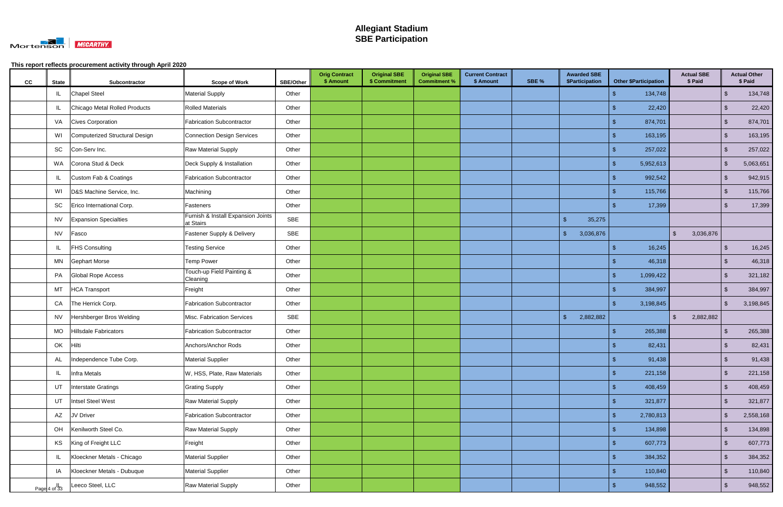

| cc | <b>State</b>            | Subcontractor                  | <b>Scope of Work</b>                            | <b>SBE/Other</b> | <b>Orig Contract</b><br>\$ Amount | <b>Original SBE</b><br>\$ Commitment | <b>Original SBE</b><br><b>Commitment %</b> | <b>Current Contract</b><br>\$ Amount | SBE % | <b>Awarded SBE</b><br>\$Participation |                           | <b>Other \$Participation</b> | <b>Actual SBE</b><br>\$ Paid |                         | <b>Actual Other</b><br>\$ Paid |
|----|-------------------------|--------------------------------|-------------------------------------------------|------------------|-----------------------------------|--------------------------------------|--------------------------------------------|--------------------------------------|-------|---------------------------------------|---------------------------|------------------------------|------------------------------|-------------------------|--------------------------------|
|    | IL.                     | <b>Chapel Steel</b>            | <b>Material Supply</b>                          | Other            |                                   |                                      |                                            |                                      |       |                                       |                           | 134,748                      |                              | $\mathfrak{S}$          | 134,748                        |
|    | ΙL                      | Chicago Metal Rolled Products  | <b>Rolled Materials</b>                         | Other            |                                   |                                      |                                            |                                      |       |                                       | \$.                       | 22,420                       |                              | \$                      | 22,420                         |
|    |                         | VA Cives Corporation           | <b>Fabrication Subcontractor</b>                | Other            |                                   |                                      |                                            |                                      |       |                                       | S                         | 874,701                      |                              | $\sqrt[6]{3}$           | 874,701                        |
|    | WI                      | Computerized Structural Design | <b>Connection Design Services</b>               | Other            |                                   |                                      |                                            |                                      |       |                                       |                           | 163,195                      |                              | $\mathbf{\$}$           | 163,195                        |
|    | SC                      | Con-Serv Inc.                  | <b>Raw Material Supply</b>                      | Other            |                                   |                                      |                                            |                                      |       |                                       |                           | 257,022                      |                              | $\mathfrak{S}$          | 257,022                        |
|    |                         | WA Corona Stud & Deck          | Deck Supply & Installation                      | Other            |                                   |                                      |                                            |                                      |       |                                       | -\$                       | 5,952,613                    |                              | $\sqrt[6]{3}$           | 5,063,651                      |
|    |                         | Custom Fab & Coatings          | <b>Fabrication Subcontractor</b>                | Other            |                                   |                                      |                                            |                                      |       |                                       |                           | 992,542                      |                              | $\mathfrak{S}$          | 942,915                        |
|    | WI                      | D&S Machine Service, Inc.      | Machining                                       | Other            |                                   |                                      |                                            |                                      |       |                                       | S                         | 115,766                      |                              | $\sqrt[6]{3}$           | 115,766                        |
|    | SC                      | Erico International Corp.      | Fasteners                                       | Other            |                                   |                                      |                                            |                                      |       |                                       |                           | 17,399                       |                              | -\$                     | 17,399                         |
|    | <b>NV</b>               | <b>Expansion Specialties</b>   | Furnish & Install Expansion Joints<br>at Stairs | SBE              |                                   |                                      |                                            |                                      |       | $\mathbf{\$}$<br>35,275               |                           |                              |                              |                         |                                |
|    | <b>NV</b>               | Fasco                          | Fastener Supply & Delivery                      | SBE              |                                   |                                      |                                            |                                      |       | $\frac{1}{2}$<br>3,036,876            |                           |                              | $\sqrt{2}$<br>3,036,876      |                         |                                |
|    | JL.                     | <b>FHS Consulting</b>          | <b>Testing Service</b>                          | Other            |                                   |                                      |                                            |                                      |       |                                       | ß.                        | 16,245                       |                              | -\$                     | 16,245                         |
|    |                         | MN Gephart Morse               | <b>Temp Power</b>                               | Other            |                                   |                                      |                                            |                                      |       |                                       | S                         | 46,318                       |                              | \$                      | 46,318                         |
|    | PA                      | Global Rope Access             | Touch-up Field Painting &<br>Cleaning           | Other            |                                   |                                      |                                            |                                      |       |                                       | \$                        | 1,099,422                    |                              | $\mathfrak{S}$          | 321,182                        |
|    | MT                      | <b>HCA Transport</b>           | Freight                                         | Other            |                                   |                                      |                                            |                                      |       |                                       |                           | 384,997                      |                              | \$                      | 384,997                        |
|    | CA                      | The Herrick Corp.              | <b>Fabrication Subcontractor</b>                | Other            |                                   |                                      |                                            |                                      |       |                                       | $\mathbf{F}$              | 3,198,845                    |                              | \$                      | 3,198,845                      |
|    | <b>NV</b>               | Hershberger Bros Welding       | Misc. Fabrication Services                      | <b>SBE</b>       |                                   |                                      |                                            |                                      |       | $\mathfrak{F}$<br>2,882,882           |                           |                              | $\sqrt{2}$<br>2,882,882      |                         |                                |
|    | <b>MO</b>               | Hillsdale Fabricators          | <b>Fabrication Subcontractor</b>                | Other            |                                   |                                      |                                            |                                      |       |                                       | \$                        | 265,388                      |                              | \$                      | 265,388                        |
|    | OK                      | Hilti                          | Anchors/Anchor Rods                             | Other            |                                   |                                      |                                            |                                      |       |                                       |                           | 82,431                       |                              | -S                      | 82,431                         |
|    | AL                      | Independence Tube Corp.        | <b>Material Supplier</b>                        | Other            |                                   |                                      |                                            |                                      |       |                                       | $\sqrt[6]{3}$             | 91,438                       |                              | $\sqrt[6]{\frac{1}{2}}$ | 91,438                         |
|    | IL                      | Infra Metals                   | W, HSS, Plate, Raw Materials                    | Other            |                                   |                                      |                                            |                                      |       |                                       | $\boldsymbol{\mathsf{s}}$ | 221,158                      |                              | $\sqrt[6]{\frac{1}{2}}$ | 221,158                        |
|    |                         | UT Interstate Gratings         | <b>Grating Supply</b>                           | Other            |                                   |                                      |                                            |                                      |       |                                       | -\$                       | 408,459                      |                              | $\sqrt[6]{\frac{1}{2}}$ | 408,459                        |
|    | UT                      | Intsel Steel West              | Raw Material Supply                             | Other            |                                   |                                      |                                            |                                      |       |                                       | S                         | 321,877                      |                              | $\sqrt[6]{\frac{1}{2}}$ | 321,877                        |
|    | AZ                      | JV Driver                      | <b>Fabrication Subcontractor</b>                | Other            |                                   |                                      |                                            |                                      |       |                                       | -\$                       | 2,780,813                    |                              | $\mathfrak{S}$          | 2,558,168                      |
|    | OH                      | Kenilworth Steel Co.           | Raw Material Supply                             | Other            |                                   |                                      |                                            |                                      |       |                                       | -\$                       | 134,898                      |                              | $\sqrt[6]{\frac{1}{2}}$ | 134,898                        |
|    |                         | KS King of Freight LLC         | Freight                                         | Other            |                                   |                                      |                                            |                                      |       |                                       | -\$                       | 607,773                      |                              | $\sqrt[6]{\frac{1}{2}}$ | 607,773                        |
|    | IL                      | Kloeckner Metals - Chicago     | <b>Material Supplier</b>                        | Other            |                                   |                                      |                                            |                                      |       |                                       | -\$                       | 384,352                      |                              | $\sqrt[6]{3}$           | 384,352                        |
|    | IA                      | Kloeckner Metals - Dubuque     | <b>Material Supplier</b>                        | Other            |                                   |                                      |                                            |                                      |       |                                       | -\$                       | 110,840                      |                              | $\sqrt[6]{\frac{1}{2}}$ | 110,840                        |
|    | Page $4 \text{ of } 33$ | Leeco Steel, LLC               | Raw Material Supply                             | Other            |                                   |                                      |                                            |                                      |       |                                       |                           | 948,552                      |                              | $\mathcal{S}$           | 948,552                        |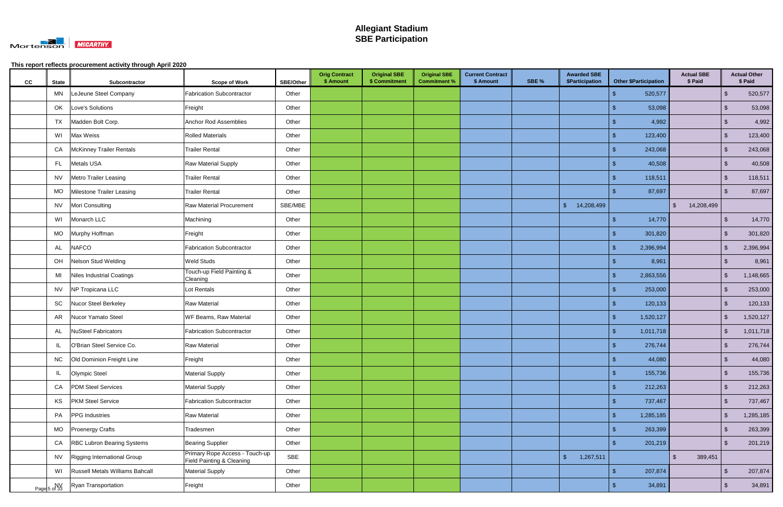

| cc | <b>State</b>       | Subcontractor                      | <b>Scope of Work</b>                                        | <b>SBE/Other</b> | <b>Orig Contract</b><br>\$ Amount | <b>Original SBE</b><br>\$ Commitment | <b>Original SBE</b><br><b>Commitment %</b> | <b>Current Contract</b><br>\$ Amount | SBE % | <b>Awarded SBE</b><br>\$Participation | <b>Other \$Participation</b> | <b>Actual SBE</b><br>\$ Paid          |                         | <b>Actual Other</b><br>\$ Paid |
|----|--------------------|------------------------------------|-------------------------------------------------------------|------------------|-----------------------------------|--------------------------------------|--------------------------------------------|--------------------------------------|-------|---------------------------------------|------------------------------|---------------------------------------|-------------------------|--------------------------------|
|    | MN                 | LeJeune Steel Company              | <b>Fabrication Subcontractor</b>                            | Other            |                                   |                                      |                                            |                                      |       |                                       | 520,577                      |                                       | \$                      | 520,577                        |
|    | OK                 | Love's Solutions                   | Freight                                                     | Other            |                                   |                                      |                                            |                                      |       |                                       | 53,098<br>S                  |                                       | \$                      | 53,098                         |
|    | <b>TX</b>          | Madden Bolt Corp.                  | <b>Anchor Rod Assemblies</b>                                | Other            |                                   |                                      |                                            |                                      |       |                                       | 4,992                        |                                       | $\mathfrak{S}$          | 4,992                          |
|    | WI                 | Max Weiss                          | <b>Rolled Materials</b>                                     | Other            |                                   |                                      |                                            |                                      |       |                                       | 123,400                      |                                       | $\mathcal{S}$           | 123,400                        |
|    | CA                 | <b>McKinney Trailer Rentals</b>    | <b>Trailer Rental</b>                                       | Other            |                                   |                                      |                                            |                                      |       |                                       | 243,068                      |                                       | $\mathfrak{S}$          | 243,068                        |
|    | FL.                | <b>Metals USA</b>                  | Raw Material Supply                                         | Other            |                                   |                                      |                                            |                                      |       |                                       | 40,508                       |                                       | $\sqrt[6]{3}$           | 40,508                         |
|    | <b>NV</b>          | <b>Metro Trailer Leasing</b>       | <b>Trailer Rental</b>                                       | Other            |                                   |                                      |                                            |                                      |       |                                       | 118,511                      |                                       | $\mathbf{\$}$           | 118,511                        |
|    | MO                 | Milestone Trailer Leasing          | <b>Trailer Rental</b>                                       | Other            |                                   |                                      |                                            |                                      |       |                                       | 87,697                       |                                       | -\$                     | 87,697                         |
|    |                    | NV Mori Consulting                 | <b>Raw Material Procurement</b>                             | SBE/MBE          |                                   |                                      |                                            |                                      |       | $$^{\circ}$<br>14,208,499             |                              | $\sqrt[6]{\frac{1}{2}}$<br>14,208,499 |                         |                                |
|    | WI                 | Monarch LLC                        | Machining                                                   | Other            |                                   |                                      |                                            |                                      |       |                                       | 14,770                       |                                       | $\mathbf{\$}$           | 14,770                         |
|    | MO                 | Murphy Hoffman                     | Freight                                                     | Other            |                                   |                                      |                                            |                                      |       |                                       | 301,820                      |                                       | $\mathfrak{S}$          | 301,820                        |
|    | AL                 | <b>NAFCO</b>                       | <b>Fabrication Subcontractor</b>                            | Other            |                                   |                                      |                                            |                                      |       |                                       | 2,396,994<br>-\$             |                                       | $\sqrt[6]{3}$           | 2,396,994                      |
|    | OH                 | Nelson Stud Welding                | Weld Studs                                                  | Other            |                                   |                                      |                                            |                                      |       |                                       | 8,961<br>S                   |                                       | \$                      | 8,961                          |
|    | MI                 | Niles Industrial Coatings          | Touch-up Field Painting &<br>Cleaning                       | Other            |                                   |                                      |                                            |                                      |       |                                       | 2,863,556<br>\$              |                                       | $\sqrt[6]{3}$           | 1,148,665                      |
|    |                    | NV NP Tropicana LLC                | Lot Rentals                                                 | Other            |                                   |                                      |                                            |                                      |       |                                       | 253,000                      |                                       | \$                      | 253,000                        |
|    | SC                 | Nucor Steel Berkeley               | <b>Raw Material</b>                                         | Other            |                                   |                                      |                                            |                                      |       |                                       | 120,133                      |                                       | $\mathbf{\$}$           | 120,133                        |
|    | AR                 | Nucor Yamato Steel                 | WF Beams, Raw Material                                      | Other            |                                   |                                      |                                            |                                      |       |                                       | 1,520,127<br>\$              |                                       | $\sqrt{2}$              | 1,520,127                      |
|    | AL                 | <b>NuSteel Fabricators</b>         | <b>Fabrication Subcontractor</b>                            | Other            |                                   |                                      |                                            |                                      |       |                                       | $\mathfrak{L}$<br>1,011,718  |                                       | $\mathfrak{S}$          | 1,011,718                      |
|    |                    | O'Brian Steel Service Co.          | <b>Raw Material</b>                                         | Other            |                                   |                                      |                                            |                                      |       |                                       | 276,744                      |                                       | -\$                     | 276,744                        |
|    | <b>NC</b>          | Old Dominion Freight Line          | Freight                                                     | Other            |                                   |                                      |                                            |                                      |       |                                       | 44,080<br>$\sqrt[6]{3}$      |                                       | $\sqrt[6]{3}$           | 44,080                         |
|    | IL.                | Olympic Steel                      | <b>Material Supply</b>                                      | Other            |                                   |                                      |                                            |                                      |       |                                       | $\mathfrak{s}$<br>155,736    |                                       | $\sqrt[6]{\frac{1}{2}}$ | 155,736                        |
|    | CA                 | <b>PDM Steel Services</b>          | <b>Material Supply</b>                                      | Other            |                                   |                                      |                                            |                                      |       |                                       | 212,263<br>-\$               |                                       | $\sqrt{2}$              | 212,263                        |
|    | KS                 | <b>PKM Steel Service</b>           | <b>Fabrication Subcontractor</b>                            | Other            |                                   |                                      |                                            |                                      |       |                                       | 737,467<br>-\$               |                                       | $\sqrt[6]{3}$           | 737,467                        |
|    | PA                 | <b>PPG</b> Industries              | <b>Raw Material</b>                                         | Other            |                                   |                                      |                                            |                                      |       |                                       | -\$<br>1,285,185             |                                       | $\sqrt[6]{3}$           | 1,285,185                      |
|    |                    | MO   Proenergy Crafts              | Tradesmen                                                   | Other            |                                   |                                      |                                            |                                      |       |                                       | -\$<br>263,399               |                                       | $\sqrt[6]{\frac{1}{2}}$ | 263,399                        |
|    | CA                 | <b>RBC Lubron Bearing Systems</b>  | <b>Bearing Supplier</b>                                     | Other            |                                   |                                      |                                            |                                      |       |                                       | 201,219<br>-S                |                                       | $\sqrt[6]{3}$           | 201,219                        |
|    |                    | NV   Rigging International Group   | Primary Rope Access - Touch-up<br>Field Painting & Cleaning | SBE              |                                   |                                      |                                            |                                      |       | $\mathcal{S}$<br>1,267,511            |                              | 389,451<br>$\mathfrak{L}$             |                         |                                |
|    |                    | WI Russell Metals Williams Bahcall | <b>Material Supply</b>                                      | Other            |                                   |                                      |                                            |                                      |       |                                       | 207,874<br>$\mathcal{S}$     |                                       | $\mathfrak{S}$          | 207,874                        |
|    | NV<br>Page 5 of 33 | <b>Ryan Transportation</b>         | Freight                                                     | Other            |                                   |                                      |                                            |                                      |       |                                       | 34,891                       |                                       | $\mathcal{S}$           | 34,891                         |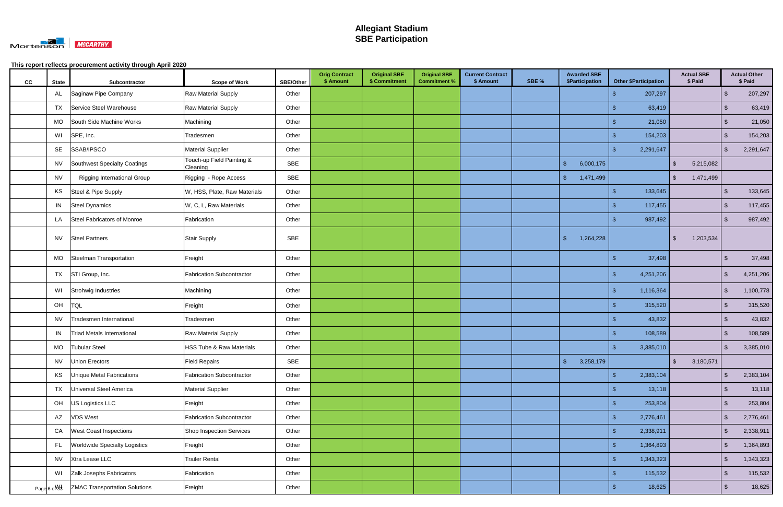

| cc | <b>State</b>             | Subcontractor                        | <b>Scope of Work</b>                  | <b>SBE/Other</b> | <b>Orig Contract</b><br>\$ Amount | <b>Original SBE</b><br>\$ Commitment | <b>Original SBE</b><br><b>Commitment %</b> | <b>Current Contract</b><br>\$ Amount | SBE % | <b>Awarded SBE</b><br>\$Participation |               | <b>Other \$Participation</b> | <b>Actual SBE</b><br>\$ Paid |                         | <b>Actual Other</b><br>\$ Paid |
|----|--------------------------|--------------------------------------|---------------------------------------|------------------|-----------------------------------|--------------------------------------|--------------------------------------------|--------------------------------------|-------|---------------------------------------|---------------|------------------------------|------------------------------|-------------------------|--------------------------------|
|    | AL                       | Saginaw Pipe Company                 | Raw Material Supply                   | Other            |                                   |                                      |                                            |                                      |       |                                       |               | 207,297                      |                              | \$                      | 207,297                        |
|    | TX                       | Service Steel Warehouse              | Raw Material Supply                   | Other            |                                   |                                      |                                            |                                      |       |                                       | S             | 63,419                       |                              | \$                      | 63,419                         |
|    | <b>MO</b>                | South Side Machine Works             | Machining                             | Other            |                                   |                                      |                                            |                                      |       |                                       |               | 21,050                       |                              | $\sqrt[6]{3}$           | 21,050                         |
|    | WI                       | SPE, Inc.                            | Tradesmen                             | Other            |                                   |                                      |                                            |                                      |       |                                       |               | 154,203                      |                              | $\mathfrak{L}$          | 154,203                        |
|    | SE                       | SSAB/IPSCO                           | <b>Material Supplier</b>              | Other            |                                   |                                      |                                            |                                      |       |                                       | -\$           | 2,291,647                    |                              | $\mathfrak{S}$          | 2,291,647                      |
|    | <b>NV</b>                | Southwest Specialty Coatings         | Touch-up Field Painting &<br>Cleaning | <b>SBE</b>       |                                   |                                      |                                            |                                      |       | $\sqrt{3}$<br>6,000,175               |               |                              | $\sqrt{2}$<br>5,215,082      |                         |                                |
|    | <b>NV</b>                | <b>Rigging International Group</b>   | Rigging - Rope Access                 | <b>SBE</b>       |                                   |                                      |                                            |                                      |       | $\frac{1}{2}$<br>1,471,499            |               |                              | $\mathfrak{L}$<br>1,471,499  |                         |                                |
|    | KS                       | Steel & Pipe Supply                  | W, HSS, Plate, Raw Materials          | Other            |                                   |                                      |                                            |                                      |       |                                       | \$            | 133,645                      |                              | $\mathcal{S}$           | 133,645                        |
|    |                          | IN Steel Dynamics                    | W, C, L, Raw Materials                | Other            |                                   |                                      |                                            |                                      |       |                                       | - \$          | 117,455                      |                              | \$                      | 117,455                        |
|    | LA                       | Steel Fabricators of Monroe          | Fabrication                           | Other            |                                   |                                      |                                            |                                      |       |                                       |               | 987,492                      |                              | \$                      | 987,492                        |
|    | <b>NV</b>                | <b>Steel Partners</b>                | Stair Supply                          | <b>SBE</b>       |                                   |                                      |                                            |                                      |       | $\mathbf{\$}$<br>1,264,228            |               |                              | $\mathfrak{L}$<br>1,203,534  |                         |                                |
|    | <b>MO</b>                | Steelman Transportation              | Freight                               | Other            |                                   |                                      |                                            |                                      |       |                                       |               | 37,498                       |                              | \$.                     | 37,498                         |
|    |                          | TX STI Group, Inc.                   | <b>Fabrication Subcontractor</b>      | Other            |                                   |                                      |                                            |                                      |       |                                       | -S            | 4,251,206                    |                              | \$                      | 4,251,206                      |
|    |                          | WI Strohwig Industries               | Machining                             | Other            |                                   |                                      |                                            |                                      |       |                                       | -\$           | 1,116,364                    |                              | \$                      | 1,100,778                      |
|    | OH                       | <b>TQL</b>                           | Freight                               | Other            |                                   |                                      |                                            |                                      |       |                                       | - \$          | 315,520                      |                              | $\mathfrak{S}$          | 315,520                        |
|    | NV                       | Tradesmen International              | Tradesmen                             | Other            |                                   |                                      |                                            |                                      |       |                                       |               | 43,832                       |                              | $\mathbf{\$}$           | 43,832                         |
|    | IN                       | <b>Triad Metals International</b>    | Raw Material Supply                   | Other            |                                   |                                      |                                            |                                      |       |                                       |               | 108,589                      |                              | $\sqrt[3]{2}$           | 108,589                        |
|    | MO                       | <b>Tubular Steel</b>                 | <b>HSS Tube &amp; Raw Materials</b>   | Other            |                                   |                                      |                                            |                                      |       |                                       | - \$          | 3,385,010                    |                              | -\$                     | 3,385,010                      |
|    | <b>NV</b>                | Union Erectors                       | <b>Field Repairs</b>                  | SBE              |                                   |                                      |                                            |                                      |       | 3,258,179<br>$\sqrt[6]{\frac{1}{2}}$  |               |                              | 3,180,571<br>$\sqrt{2}$      |                         |                                |
|    | KS                       | Unique Metal Fabrications            | <b>Fabrication Subcontractor</b>      | Other            |                                   |                                      |                                            |                                      |       |                                       | $\sqrt{2}$    | 2,383,104                    |                              | $\sqrt[6]{\frac{1}{2}}$ | 2,383,104                      |
|    |                          | TX <b>Universal Steel America</b>    | <b>Material Supplier</b>              | Other            |                                   |                                      |                                            |                                      |       |                                       | - \$          | 13,118                       |                              | ්                       | 13,118                         |
|    |                          | OH US Logistics LLC                  | Freight                               | Other            |                                   |                                      |                                            |                                      |       |                                       | -\$           | 253,804                      |                              | $\sqrt[6]{\frac{1}{2}}$ | 253,804                        |
|    | AZ                       | <b>VDS West</b>                      | <b>Fabrication Subcontractor</b>      | Other            |                                   |                                      |                                            |                                      |       |                                       | $\sqrt{3}$    | 2,776,461                    |                              | $\sqrt[6]{\frac{1}{2}}$ | 2,776,461                      |
|    | CA                       | <b>West Coast Inspections</b>        | Shop Inspection Services              | Other            |                                   |                                      |                                            |                                      |       |                                       | $\mathbf{\$}$ | 2,338,911                    |                              | $\mathfrak{S}$          | 2,338,911                      |
|    | FL.                      | <b>Worldwide Specialty Logistics</b> | Freight                               | Other            |                                   |                                      |                                            |                                      |       |                                       | -\$           | 1,364,893                    |                              | $\sqrt[6]{3}$           | 1,364,893                      |
|    |                          | NV Xtra Lease LLC                    | <b>Trailer Rental</b>                 | Other            |                                   |                                      |                                            |                                      |       |                                       | $\sqrt{3}$    | 1,343,323                    |                              | $\sqrt[6]{3}$           | 1,343,323                      |
|    | WI                       | Zalk Josephs Fabricators             | Fabrication                           | Other            |                                   |                                      |                                            |                                      |       |                                       | -\$           | 115,532                      |                              | $\sqrt[6]{3}$           | 115,532                        |
|    | Page 6 o <sup>My</sup> 3 | <b>ZMAC Transportation Solutions</b> | Freight                               | Other            |                                   |                                      |                                            |                                      |       |                                       | -\$           | 18,625                       |                              | $\sqrt[6]{\frac{1}{2}}$ | 18,625                         |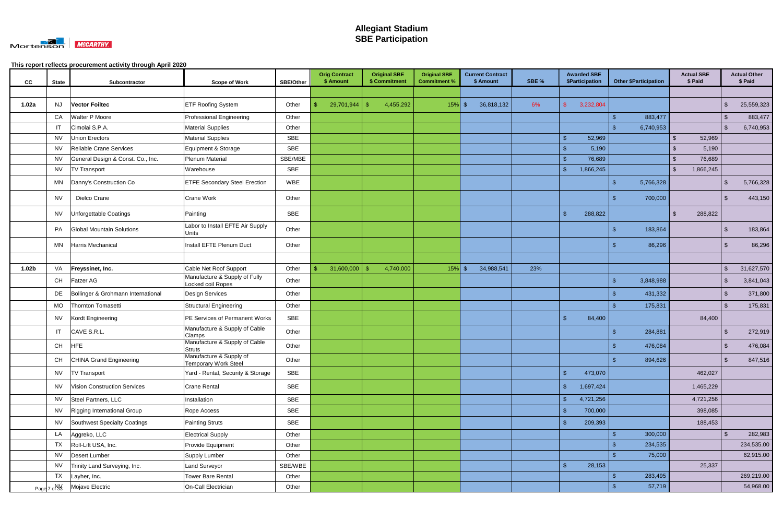

| CC                | <b>State</b> | Subcontractor                      | <b>Scope of Work</b>                                   | <b>SBE/Other</b> | <b>Orig Contract</b><br>\$ Amount | <b>Original SBE</b><br>\$ Commitment | <b>Original SBE</b><br><b>Commitment %</b> | <b>Current Contract</b><br>\$ Amount | SBE % |                | <b>Awarded SBE</b><br>\$Participation |               | <b>Other \$Participation</b> |     | <b>Actual SBE</b><br>\$ Paid |                         | <b>Actual Other</b><br>\$ Paid |
|-------------------|--------------|------------------------------------|--------------------------------------------------------|------------------|-----------------------------------|--------------------------------------|--------------------------------------------|--------------------------------------|-------|----------------|---------------------------------------|---------------|------------------------------|-----|------------------------------|-------------------------|--------------------------------|
|                   |              |                                    |                                                        |                  |                                   |                                      |                                            |                                      |       |                |                                       |               |                              |     |                              |                         |                                |
| 1.02a             | NJ           | <b>Vector Foiltec</b>              | <b>ETF Roofing System</b>                              | Other            | 29,701,944                        | 4,455,292<br>- S                     | $15\%$ \$                                  | 36,818,132                           | 6%    |                | 3,232,804                             |               |                              |     |                              | $\mathfrak{S}$          | 25,559,323                     |
|                   | CA           | Walter P Moore                     | <b>Professional Engineering</b>                        | Other            |                                   |                                      |                                            |                                      |       |                |                                       | -\$           | 883,477                      |     |                              | $\sqrt[6]{\frac{1}{2}}$ | 883,477                        |
|                   | IT           | Cimolai S.P.A.                     | <b>Material Supplies</b>                               | Other            |                                   |                                      |                                            |                                      |       |                |                                       |               | 6,740,953                    |     |                              | \$                      | 6,740,953                      |
|                   | NV           | Union Erectors                     | <b>Material Supplies</b>                               | <b>SBE</b>       |                                   |                                      |                                            |                                      |       | $\frac{1}{2}$  | 52,969                                |               |                              |     | 52,969                       |                         |                                |
|                   | <b>NV</b>    | Reliable Crane Services            | Equipment & Storage                                    | <b>SBE</b>       |                                   |                                      |                                            |                                      |       |                | 5,190                                 |               |                              |     | 5,190                        |                         |                                |
|                   | <b>NV</b>    | General Design & Const. Co., Inc.  | <b>Plenum Material</b>                                 | SBE/MBE          |                                   |                                      |                                            |                                      |       | $\mathbf{\$}$  | 76,689                                |               |                              |     | 76,689                       |                         |                                |
|                   | <b>NV</b>    | <b>TV Transport</b>                | Warehouse                                              | SBE              |                                   |                                      |                                            |                                      |       | $\mathfrak{L}$ | 1,866,245                             |               |                              | -\$ | 1,866,245                    |                         |                                |
|                   | MN           | Danny's Construction Co            | <b>ETFE Secondary Steel Erection</b>                   | WBE              |                                   |                                      |                                            |                                      |       |                |                                       | -\$           | 5,766,328                    |     |                              | \$                      | 5,766,328                      |
|                   | NV           | Dielco Crane                       | <b>Crane Work</b>                                      | Other            |                                   |                                      |                                            |                                      |       |                |                                       |               | 700,000                      |     |                              | -\$                     | 443,150                        |
|                   |              | NV <b>Unforgettable Coatings</b>   | Painting                                               | SBE              |                                   |                                      |                                            |                                      |       | $\mathfrak{L}$ | 288,822                               |               |                              | -\$ | 288,822                      |                         |                                |
|                   | PA           | <b>Global Mountain Solutions</b>   | Labor to Install EFTE Air Supply<br><b>Units</b>       | Other            |                                   |                                      |                                            |                                      |       |                |                                       | -9            | 183,864                      |     |                              | -\$                     | 183,864                        |
|                   | MN           | Harris Mechanical                  | Install EFTE Plenum Duct                               | Other            |                                   |                                      |                                            |                                      |       |                |                                       |               | 86,296                       |     |                              | \$                      | 86,296                         |
|                   |              |                                    |                                                        |                  |                                   |                                      |                                            |                                      |       |                |                                       |               |                              |     |                              |                         |                                |
| 1.02 <sub>b</sub> | VA           | Freyssinet, Inc.                   | Cable Net Roof Support                                 | Other            | 31,600,000                        | 4,740,000<br>-\$                     | $15\%$ \$                                  | 34,988,541                           | 23%   |                |                                       |               |                              |     |                              | $\frac{1}{2}$           | 31,627,570                     |
|                   | CH           | <b>Fatzer AG</b>                   | Manufacture & Supply of Fully<br>Locked coil Ropes     | Other            |                                   |                                      |                                            |                                      |       |                |                                       | -\$           | 3,848,988                    |     |                              | \$                      | 3,841,043                      |
|                   | DE           | Bollinger & Grohmann International | <b>Design Services</b>                                 | Other            |                                   |                                      |                                            |                                      |       |                |                                       |               | 431,332                      |     |                              | $\sqrt[6]{\frac{1}{2}}$ | 371,800                        |
|                   | MO           | Thornton Tomasetti                 | <b>Structural Engineering</b>                          | Other            |                                   |                                      |                                            |                                      |       |                |                                       |               | 175,831                      |     |                              | $\mathcal{S}$           | 175,831                        |
|                   | NV           | Kordt Engineering                  | PE Services of Permanent Works                         | SBE              |                                   |                                      |                                            |                                      |       | $\mathfrak{s}$ | 84,400                                |               |                              |     | 84,400                       |                         |                                |
|                   | IT           | CAVE S.R.L.                        | Manufacture & Supply of Cable<br>Clamps                | Other            |                                   |                                      |                                            |                                      |       |                |                                       |               | 284,881                      |     |                              | \$                      | 272,919                        |
|                   | CH           | <b>HFE</b>                         | Manufacture & Supply of Cable<br><b>Struts</b>         | Other            |                                   |                                      |                                            |                                      |       |                |                                       |               | 476,084                      |     |                              | \$                      | 476,084                        |
|                   |              | CH CHINA Grand Engineering         | Manufacture & Supply of<br><b>Temporary Work Steel</b> | Other            |                                   |                                      |                                            |                                      |       |                |                                       | $\sqrt{3}$    | 894,626                      |     |                              | $\sqrt[3]{2}$           | 847,516                        |
|                   | <b>NV</b>    | <b>TV Transport</b>                | Yard - Rental, Security & Storage                      | SBE              |                                   |                                      |                                            |                                      |       | $\sqrt{2}$     | 473,070                               |               |                              |     | 462,027                      |                         |                                |
|                   | NV           | Vision Construction Services       | <b>Crane Rental</b>                                    | SBE              |                                   |                                      |                                            |                                      |       | $\sqrt{2}$     | 1,697,424                             |               |                              |     | 1,465,229                    |                         |                                |
|                   |              | NV Steel Partners, LLC             | Installation                                           | SBE              |                                   |                                      |                                            |                                      |       | $\sqrt{2}$     | 4,721,256                             |               |                              |     | 4,721,256                    |                         |                                |
|                   | <b>NV</b>    | Rigging International Group        | Rope Access                                            | SBE              |                                   |                                      |                                            |                                      |       | $\sqrt{2}$     | 700,000                               |               |                              |     | 398,085                      |                         |                                |
|                   | <b>NV</b>    | Southwest Specialty Coatings       | <b>Painting Struts</b>                                 | SBE              |                                   |                                      |                                            |                                      |       | $\mathsf{\$}$  | 209,393                               |               |                              |     | 188,453                      |                         |                                |
|                   |              | LA Aggreko, LLC                    | <b>Electrical Supply</b>                               | Other            |                                   |                                      |                                            |                                      |       |                |                                       |               | 300,000                      |     |                              | $\sqrt[6]{2}$           | 282,983                        |
|                   | TX           | Roll-Lift USA, Inc.                | Provide Equipment                                      | Other            |                                   |                                      |                                            |                                      |       |                |                                       |               | 234,535                      |     |                              |                         | 234,535.00                     |
|                   | <b>NV</b>    | Desert Lumber                      | Supply Lumber                                          | Other            |                                   |                                      |                                            |                                      |       |                |                                       |               | 75,000                       |     |                              |                         | 62,915.00                      |
|                   | <b>NV</b>    | Trinity Land Surveying, Inc.       | Land Surveyor                                          | SBE/WBE          |                                   |                                      |                                            |                                      |       | $\sqrt{2}$     | 28,153                                |               |                              |     | 25,337                       |                         |                                |
|                   | <b>TX</b>    | Layher, Inc.                       | Tower Bare Rental                                      | Other            |                                   |                                      |                                            |                                      |       |                |                                       | $\mathbf{\$}$ | 283,495                      |     |                              |                         | 269,219.00                     |
|                   | Page 7 of 33 | Mojave Electric                    | On-Call Electrician                                    | Other            |                                   |                                      |                                            |                                      |       |                |                                       |               | 57,719                       |     |                              |                         | 54,968.00                      |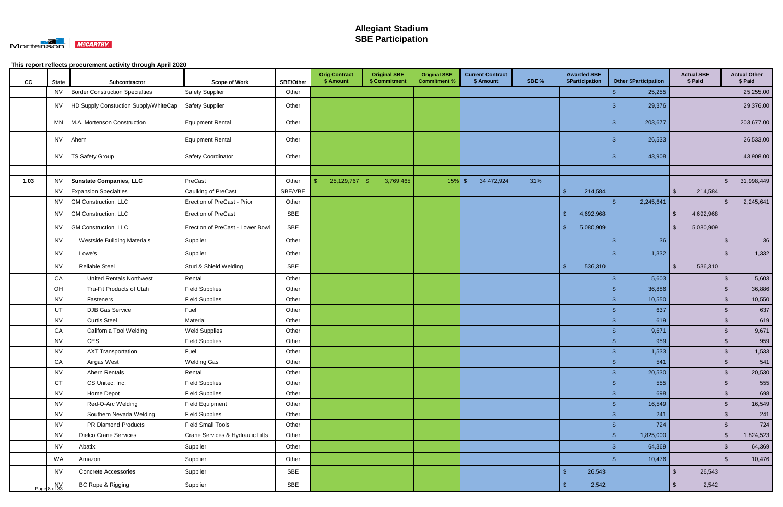

| CC   | <b>State</b>       | Subcontractor                         | <b>Scope of Work</b>             | <b>SBE/Other</b> | <b>Orig Contract</b><br>\$ Amount | <b>Original SBE</b><br>\$ Commitment | <b>Original SBE</b><br><b>Commitment %</b> | <b>Current Contract</b><br>\$ Amount | SBE % | <b>Awarded SBE</b><br>\$Participation | <b>Other \$Participation</b> |                         | <b>Actual SBE</b><br>\$ Paid |                         | <b>Actual Other</b><br>\$ Paid |
|------|--------------------|---------------------------------------|----------------------------------|------------------|-----------------------------------|--------------------------------------|--------------------------------------------|--------------------------------------|-------|---------------------------------------|------------------------------|-------------------------|------------------------------|-------------------------|--------------------------------|
|      | NV                 | Border Construction Specialties       | Safety Supplier                  | Other            |                                   |                                      |                                            |                                      |       |                                       | 25,255                       |                         |                              |                         | 25,255.00                      |
|      | <b>NV</b>          | HD Supply Constuction Supply/WhiteCap | <b>Safety Supplier</b>           | Other            |                                   |                                      |                                            |                                      |       |                                       | 29,376                       |                         |                              |                         | 29,376.00                      |
|      | MN                 | M.A. Mortenson Construction           | Equipment Rental                 | Other            |                                   |                                      |                                            |                                      |       |                                       | 203,677                      |                         |                              |                         | 203,677.00                     |
|      | NV                 | Ahern                                 | Equipment Rental                 | Other            |                                   |                                      |                                            |                                      |       |                                       | 26,533                       |                         |                              |                         | 26,533.00                      |
|      | <b>NV</b>          | <b>TS Safety Group</b>                | <b>Safety Coordinator</b>        | Other            |                                   |                                      |                                            |                                      |       |                                       | 43,908<br>-\$                |                         |                              |                         | 43,908.00                      |
|      |                    |                                       |                                  |                  |                                   |                                      |                                            |                                      |       |                                       |                              |                         |                              |                         |                                |
| 1.03 | <b>NV</b>          | <b>Sunstate Companies, LLC</b>        | PreCast                          | Other            | 25,129,767                        | $\mathbf{\$}$<br>3,769,465           | $15%$ \$                                   | 34,472,924                           | 31%   |                                       |                              |                         |                              | $\sqrt[6]{\frac{1}{2}}$ | 31,998,449                     |
|      | <b>NV</b>          | <b>Expansion Specialties</b>          | Caulking of PreCast              | SBE/VBE          |                                   |                                      |                                            |                                      |       | $\sqrt[6]{3}$<br>214,584              |                              | $\mathfrak{L}$          | 214,584                      |                         |                                |
|      | <b>NV</b>          | <b>GM Construction, LLC</b>           | Erection of PreCast - Prior      | Other            |                                   |                                      |                                            |                                      |       |                                       | $\mathfrak{S}$<br>2,245,641  |                         |                              | $\mathfrak{L}$          | 2,245,641                      |
|      | <b>NV</b>          | GM Construction, LLC                  | Erection of PreCast              | <b>SBE</b>       |                                   |                                      |                                            |                                      |       | $\mathfrak{L}$<br>4,692,968           |                              | $\sqrt[6]{\frac{1}{2}}$ | 4,692,968                    |                         |                                |
|      | NV.                | GM Construction, LLC                  | Erection of PreCast - Lower Bowl | <b>SBE</b>       |                                   |                                      |                                            |                                      |       | $\mathbb{S}$<br>5,080,909             |                              | $\mathbb{S}$            | 5,080,909                    |                         |                                |
|      | <b>NV</b>          | <b>Westside Building Materials</b>    | Supplier                         | Other            |                                   |                                      |                                            |                                      |       |                                       | \$                           | 36                      |                              | \$                      | 36                             |
|      | <b>NV</b>          | Lowe's                                | Supplier                         | Other            |                                   |                                      |                                            |                                      |       |                                       | 1,332                        |                         |                              | $\mathfrak{S}$          | 1,332                          |
|      | <b>NV</b>          | <b>Reliable Steel</b>                 | Stud & Shield Welding            | <b>SBE</b>       |                                   |                                      |                                            |                                      |       | $\mathbf{\$}$<br>536,310              |                              | $\mathbb{S}$            | 536,310                      |                         |                                |
|      | CA                 | <b>United Rentals Northwest</b>       | Rental                           | Other            |                                   |                                      |                                            |                                      |       |                                       | \$<br>5,603                  |                         |                              | $\sqrt[6]{3}$           | 5,603                          |
|      | OH                 | Tru-Fit Products of Utah              | <b>Field Supplies</b>            | Other            |                                   |                                      |                                            |                                      |       |                                       | 36,886                       |                         |                              | $\mathfrak{S}$          | 36,886                         |
|      | <b>NV</b>          | Fasteners                             | <b>Field Supplies</b>            | Other            |                                   |                                      |                                            |                                      |       |                                       | 10,550                       |                         |                              | $\mathfrak{S}$          | 10,550                         |
|      | <b>UT</b>          | <b>DJB Gas Service</b>                | Fuel                             | Other            |                                   |                                      |                                            |                                      |       |                                       | 637                          |                         |                              | $\sqrt[6]{3}$           | 637                            |
|      | <b>NV</b>          | <b>Curtis Steel</b>                   | Material                         | Other            |                                   |                                      |                                            |                                      |       |                                       | 619                          |                         |                              | $\mathcal{S}$           | 619                            |
|      | CA                 | California Tool Welding               | <b>Weld Supplies</b>             | Other            |                                   |                                      |                                            |                                      |       |                                       | 9,671                        |                         |                              | $\mathfrak{S}$          | 9,671                          |
|      | <b>NV</b>          | CES                                   | <b>Field Supplies</b>            | Other            |                                   |                                      |                                            |                                      |       |                                       | 959                          |                         |                              | $\mathcal{S}$           | 959                            |
|      | <b>NV</b>          | <b>AXT Transportation</b>             | Fuel                             | Other            |                                   |                                      |                                            |                                      |       |                                       | 1,533                        |                         |                              | $\mathfrak{S}$          | 1,533                          |
|      | CA                 | Airgas West                           | <b>Welding Gas</b>               | Other            |                                   |                                      |                                            |                                      |       |                                       | $\mathcal{S}$<br>541         |                         |                              | $\sqrt[6]{3}$           | 541                            |
|      | <b>NV</b>          | Ahern Rentals                         | Rental                           | Other            |                                   |                                      |                                            |                                      |       |                                       | $\mathfrak{s}$<br>20,530     |                         |                              | $\sqrt[6]{3}$           | 20,530                         |
|      | <b>CT</b>          | CS Unitec, Inc.                       | Field Supplies                   | Other            |                                   |                                      |                                            |                                      |       |                                       | 555                          |                         |                              | $\sqrt[6]{\frac{1}{2}}$ | 555                            |
|      | <b>NV</b>          | Home Depot                            | <b>Field Supplies</b>            | Other            |                                   |                                      |                                            |                                      |       |                                       | 698<br>\$                    |                         |                              | $\sqrt{2}$              | 698                            |
|      | <b>NV</b>          | Red-O-Arc Welding                     | Field Equipment                  | Other            |                                   |                                      |                                            |                                      |       |                                       | 16,549<br>\$                 |                         |                              | $\sqrt{2}$              | 16,549                         |
|      | <b>NV</b>          | Southern Nevada Welding               | <b>Field Supplies</b>            | Other            |                                   |                                      |                                            |                                      |       |                                       | 241                          |                         |                              | $\sqrt{2}$              | 241                            |
|      | <b>NV</b>          | PR Diamond Products                   | Field Small Tools                | Other            |                                   |                                      |                                            |                                      |       |                                       | 724                          |                         |                              | $\mathfrak{s}$          | 724                            |
|      | <b>NV</b>          | <b>Dielco Crane Services</b>          | Crane Services & Hydraulic Lifts | Other            |                                   |                                      |                                            |                                      |       |                                       | 1,825,000<br>\$              |                         |                              | $\sqrt[6]{3}$           | 1,824,523                      |
|      | <b>NV</b>          | Abatix                                | Supplier                         | Other            |                                   |                                      |                                            |                                      |       |                                       | 64,369                       |                         |                              | $\sqrt{2}$              | 64,369                         |
|      | WA                 | Amazon                                | Supplier                         | Other            |                                   |                                      |                                            |                                      |       |                                       | 10,476                       |                         |                              | $\sqrt[6]{3}$           | 10,476                         |
|      | <b>NV</b>          | <b>Concrete Accessories</b>           | Supplier                         | <b>SBE</b>       |                                   |                                      |                                            |                                      |       | $\sqrt{3}$<br>26,543                  |                              | $\sqrt{2}$              | 26,543                       |                         |                                |
|      | NV<br>Page 8 of 33 | BC Rope & Rigging                     | Supplier                         | SBE              |                                   |                                      |                                            |                                      |       | $\mathbf{\$}$<br>2,542                |                              | $\mathbb{S}$            | 2,542                        |                         |                                |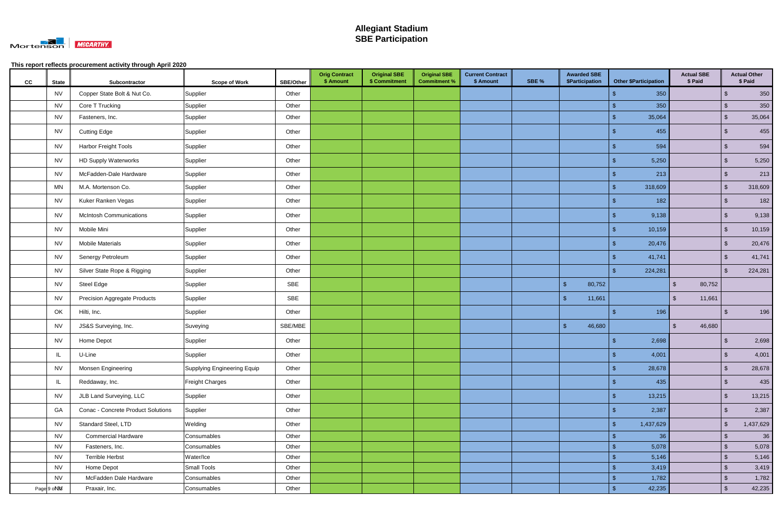

| cc | <b>State</b> | Subcontractor                       | <b>Scope of Work</b>        | <b>SBE/Other</b> | <b>Orig Contract</b><br>\$ Amount | <b>Original SBE</b><br>\$ Commitment | <b>Original SBE</b><br><b>Commitment %</b> | <b>Current Contract</b><br>\$ Amount | SBE % | <b>Awarded SBE</b><br>\$Participation | <b>Other \$Participation</b> | <b>Actual SBE</b><br>\$ Paid      |                         | <b>Actual Other</b><br>\$ Paid |
|----|--------------|-------------------------------------|-----------------------------|------------------|-----------------------------------|--------------------------------------|--------------------------------------------|--------------------------------------|-------|---------------------------------------|------------------------------|-----------------------------------|-------------------------|--------------------------------|
|    | <b>NV</b>    | Copper State Bolt & Nut Co.         | Supplier                    | Other            |                                   |                                      |                                            |                                      |       |                                       | 350<br>\$                    |                                   | \$                      | 350                            |
|    | <b>NV</b>    | Core T Trucking                     | Supplier                    | Other            |                                   |                                      |                                            |                                      |       |                                       | 350<br>$\mathbf{\$}$         |                                   | $\sqrt[6]{3}$           | 350                            |
|    | <b>NV</b>    | Fasteners, Inc.                     | Supplier                    | Other            |                                   |                                      |                                            |                                      |       |                                       | 35,064                       |                                   | $\sqrt[6]{3}$           | 35,064                         |
|    | <b>NV</b>    | <b>Cutting Edge</b>                 | Supplier                    | Other            |                                   |                                      |                                            |                                      |       |                                       | 455<br>-S                    |                                   | -\$                     | 455                            |
|    | <b>NV</b>    | Harbor Freight Tools                | Supplier                    | Other            |                                   |                                      |                                            |                                      |       |                                       | 594<br>\$                    |                                   | $\sqrt[3]{2}$           | 594                            |
|    | <b>NV</b>    | <b>HD Supply Waterworks</b>         | Supplier                    | Other            |                                   |                                      |                                            |                                      |       |                                       | 5,250<br>$\mathbf{S}$        |                                   | $\sqrt{2}$              | 5,250                          |
|    | <b>NV</b>    | McFadden-Dale Hardware              | Supplier                    | Other            |                                   |                                      |                                            |                                      |       |                                       | 213                          |                                   | $\sqrt[6]{3}$           | 213                            |
|    | <b>MN</b>    | M.A. Mortenson Co.                  | Supplier                    | Other            |                                   |                                      |                                            |                                      |       |                                       | 318,609<br>-\$               |                                   | $\sqrt[6]{\frac{1}{2}}$ | 318,609                        |
|    | <b>NV</b>    | Kuker Ranken Vegas                  | Supplier                    | Other            |                                   |                                      |                                            |                                      |       |                                       | 182<br>\$                    |                                   | $\sqrt[3]{2}$           | 182                            |
|    | <b>NV</b>    | <b>McIntosh Communications</b>      | Supplier                    | Other            |                                   |                                      |                                            |                                      |       |                                       | 9,138<br>-\$                 |                                   | $\sqrt[6]{3}$           | 9,138                          |
|    | <b>NV</b>    | Mobile Mini                         | Supplier                    | Other            |                                   |                                      |                                            |                                      |       |                                       | 10,159<br>-\$                |                                   | $\sqrt[6]{3}$           | 10,159                         |
|    | <b>NV</b>    | <b>Mobile Materials</b>             | Supplier                    | Other            |                                   |                                      |                                            |                                      |       |                                       | 20,476                       |                                   | $\mathfrak{F}$          | 20,476                         |
|    | <b>NV</b>    | Senergy Petroleum                   | Supplier                    | Other            |                                   |                                      |                                            |                                      |       |                                       | 41,741<br>-S                 |                                   | $\sqrt{2}$              | 41,741                         |
|    | <b>NV</b>    | Silver State Rope & Rigging         | Supplier                    | Other            |                                   |                                      |                                            |                                      |       |                                       | 224,281                      |                                   | $\sqrt[3]{2}$           | 224,281                        |
|    | <b>NV</b>    | Steel Edge                          | Supplier                    | SBE              |                                   |                                      |                                            |                                      |       | $\sqrt{2}$<br>80,752                  |                              | $\sqrt[6]{\frac{1}{2}}$<br>80,752 |                         |                                |
|    | <b>NV</b>    | <b>Precision Aggregate Products</b> | Supplier                    | SBE              |                                   |                                      |                                            |                                      |       | $\mathsf{\$}$<br>11,661               |                              | $\mathbb{S}$<br>11,661            |                         |                                |
|    | OK           | Hilti, Inc.                         | Supplier                    | Other            |                                   |                                      |                                            |                                      |       |                                       | 196<br>- S                   |                                   | \$                      | 196                            |
|    | <b>NV</b>    | JS&S Surveying, Inc.                | Suveying                    | SBE/MBE          |                                   |                                      |                                            |                                      |       | $\sqrt{2}$<br>46,680                  |                              | $\mathfrak{S}$<br>46,680          |                         |                                |
|    | <b>NV</b>    | Home Depot                          | Supplier                    | Other            |                                   |                                      |                                            |                                      |       |                                       | 2,698<br>-9                  |                                   | -\$                     | 2,698                          |
|    | $\mathbf{H}$ | U-Line                              | Supplier                    | Other            |                                   |                                      |                                            |                                      |       |                                       | $\hat{\mathbf{r}}$<br>4,001  |                                   | $\mathcal{S}$           | 4,001                          |
|    | <b>NV</b>    | Monsen Engineering                  | Supplying Engineering Equip | Other            |                                   |                                      |                                            |                                      |       |                                       | -\$<br>28,678                |                                   | $\sqrt[6]{\frac{1}{2}}$ | 28,678                         |
|    | IL           | Reddaway, Inc.                      | <b>Freight Charges</b>      | Other            |                                   |                                      |                                            |                                      |       |                                       | 435<br>- \$                  |                                   | $\sqrt[3]{2}$           | 435                            |
|    | <b>NV</b>    | JLB Land Surveying, LLC             | Supplier                    | Other            |                                   |                                      |                                            |                                      |       |                                       | 13,215<br>-\$                |                                   | $\sqrt{2}$              | 13,215                         |
|    | GA           | Conac - Concrete Product Solutions  | Supplier                    | Other            |                                   |                                      |                                            |                                      |       |                                       | 2,387<br>-9                  |                                   | $\sqrt{2}$              | 2,387                          |
|    | <b>NV</b>    | Standard Steel, LTD                 | Welding                     | Other            |                                   |                                      |                                            |                                      |       |                                       | 1,437,629<br>-S              |                                   | $\sqrt{2}$              | 1,437,629                      |
|    | <b>NV</b>    | <b>Commercial Hardware</b>          | Consumables                 | Other            |                                   |                                      |                                            |                                      |       |                                       | $\mathcal{S}$<br>36          |                                   | $\sqrt[6]{3}$           | 36                             |
|    | <b>NV</b>    | Fasteners, Inc.                     | Consumables                 | Other            |                                   |                                      |                                            |                                      |       |                                       | 5,078<br>-S                  |                                   | $\sqrt[6]{3}$           | 5,078                          |
|    | <b>NV</b>    | <b>Terrible Herbst</b>              | Water/Ice                   | Other            |                                   |                                      |                                            |                                      |       |                                       | 5,146                        |                                   | $\sqrt[6]{3}$           | 5,146                          |
|    | <b>NV</b>    | Home Depot                          | Small Tools                 | Other            |                                   |                                      |                                            |                                      |       |                                       | 3,419                        |                                   | $\sqrt[6]{\frac{1}{2}}$ | 3,419                          |
|    | <b>NV</b>    | McFadden Dale Hardware              | Consumables                 | Other            |                                   |                                      |                                            |                                      |       |                                       | 1,782<br>$\mathcal{S}$       |                                   | $\sqrt[6]{3}$           | 1,782                          |
|    | Page 9 oN%   | Praxair, Inc.                       | Consumables                 | Other            |                                   |                                      |                                            |                                      |       |                                       | $\sqrt[6]{3}$<br>42,235      |                                   | $\sqrt[6]{\frac{1}{2}}$ | 42,235                         |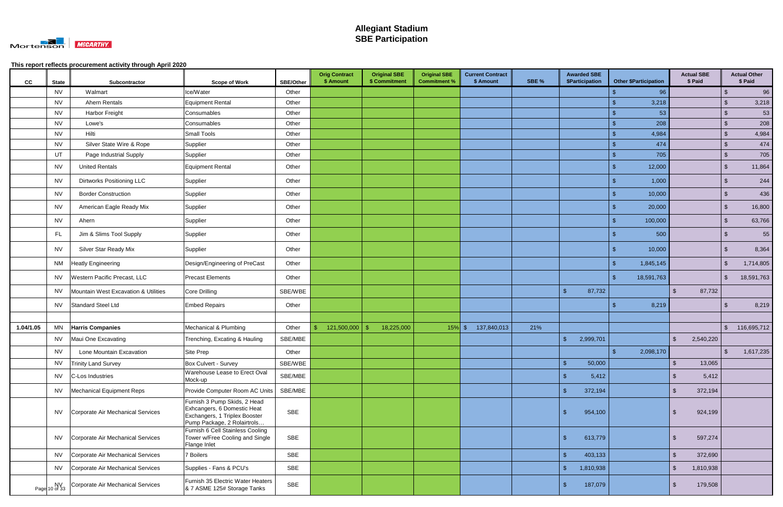

| cc        | <b>State</b>        | Subcontractor                        | <b>Scope of Work</b>                                                                                                        | <b>SBE/Other</b> | <b>Orig Contract</b><br>\$ Amount | <b>Original SBE</b><br>\$ Commitment | <b>Original SBE</b><br><b>Commitment %</b> | <b>Current Contract</b><br>\$ Amount | SBE % |                         | <b>Awarded SBE</b><br>\$Participation |      | <b>Other \$Participation</b> |                         | <b>Actual SBE</b><br>\$ Paid |                         | <b>Actual Other</b><br>\$ Paid |
|-----------|---------------------|--------------------------------------|-----------------------------------------------------------------------------------------------------------------------------|------------------|-----------------------------------|--------------------------------------|--------------------------------------------|--------------------------------------|-------|-------------------------|---------------------------------------|------|------------------------------|-------------------------|------------------------------|-------------------------|--------------------------------|
|           | NV                  | Walmart                              | Ice/Water                                                                                                                   | Other            |                                   |                                      |                                            |                                      |       |                         |                                       |      | 96                           |                         |                              | \$                      | 96                             |
|           | <b>NV</b>           | <b>Ahern Rentals</b>                 | Equipment Rental                                                                                                            | Other            |                                   |                                      |                                            |                                      |       |                         |                                       |      | 3,218                        |                         |                              | \$                      | 3,218                          |
|           | <b>NV</b>           | Harbor Freight                       | Consumables                                                                                                                 | Other            |                                   |                                      |                                            |                                      |       |                         |                                       |      | 53                           |                         |                              | $\mathfrak{F}$          | 53                             |
|           | <b>NV</b>           | Lowe's                               | Consumables                                                                                                                 | Other            |                                   |                                      |                                            |                                      |       |                         |                                       |      | 208                          |                         |                              | $\sqrt[6]{\frac{1}{2}}$ | 208                            |
|           | <b>NV</b>           | Hilti                                | Small Tools                                                                                                                 | Other            |                                   |                                      |                                            |                                      |       |                         |                                       |      | 4,984                        |                         |                              | $\sqrt{2}$              | 4,984                          |
|           | <b>NV</b>           | Silver State Wire & Rope             | Supplier                                                                                                                    | Other            |                                   |                                      |                                            |                                      |       |                         |                                       |      | 474                          |                         |                              | $\sqrt[6]{\frac{1}{2}}$ | 474                            |
|           | UT                  | Page Industrial Supply               | Supplier                                                                                                                    | Other            |                                   |                                      |                                            |                                      |       |                         |                                       | -\$  | 705                          |                         |                              | $\sqrt[6]{\frac{1}{2}}$ | 705                            |
|           | NV                  | <b>United Rentals</b>                | Equipment Rental                                                                                                            | Other            |                                   |                                      |                                            |                                      |       |                         |                                       |      | 12,000                       |                         |                              | $\mathfrak{F}$          | 11,864                         |
|           | NV                  | Dirtworks Positioning LLC            | Supplier                                                                                                                    | Other            |                                   |                                      |                                            |                                      |       |                         |                                       | -9   | 1,000                        |                         |                              | $\sqrt[3]{2}$           | 244                            |
|           | <b>NV</b>           | <b>Border Construction</b>           | Supplier                                                                                                                    | Other            |                                   |                                      |                                            |                                      |       |                         |                                       |      | 10,000                       |                         |                              | \$                      | 436                            |
|           | NV                  | American Eagle Ready Mix             | Supplier                                                                                                                    | Other            |                                   |                                      |                                            |                                      |       |                         |                                       | S    | 20,000                       |                         |                              | $\sqrt[6]{3}$           | 16,800                         |
|           | <b>NV</b>           | Ahern                                | Supplier                                                                                                                    | Other            |                                   |                                      |                                            |                                      |       |                         |                                       |      | 100,000                      |                         |                              | \$                      | 63,766                         |
|           | <b>FL</b>           | Jim & Slims Tool Supply              | Supplier                                                                                                                    | Other            |                                   |                                      |                                            |                                      |       |                         |                                       |      | 500                          |                         |                              | $\sqrt[6]{3}$           | 55                             |
|           | NV                  | Silver Star Ready Mix                | Supplier                                                                                                                    | Other            |                                   |                                      |                                            |                                      |       |                         |                                       |      | 10,000                       |                         |                              | - \$                    | 8,364                          |
|           | NM                  | <b>Heatly Engineering</b>            | Design/Engineering of PreCast                                                                                               | Other            |                                   |                                      |                                            |                                      |       |                         |                                       | -\$  | 1,845,145                    |                         |                              | $\sqrt[3]{2}$           | 1,714,805                      |
|           | NV.                 | Western Pacific Precast, LLC         | Precast Elements                                                                                                            | Other            |                                   |                                      |                                            |                                      |       |                         |                                       | - \$ | 18,591,763                   |                         |                              | -\$                     | 18,591,763                     |
|           | NV                  | Mountain West Excavation & Utilities | Core Drilling                                                                                                               | SBE/WBE          |                                   |                                      |                                            |                                      |       | $\sqrt{3}$              | 87,732                                |      |                              | $\mathbb{S}$            | 87,732                       |                         |                                |
|           | NV                  | Standard Steel Ltd                   | <b>Embed Repairs</b>                                                                                                        | Other            |                                   |                                      |                                            |                                      |       |                         |                                       |      | 8,219                        |                         |                              | -\$                     | 8,219                          |
|           |                     |                                      |                                                                                                                             |                  |                                   |                                      |                                            |                                      |       |                         |                                       |      |                              |                         |                              |                         |                                |
| 1.04/1.05 | MN                  | <b>Harris Companies</b>              | Mechanical & Plumbing                                                                                                       | Other            | 121,500,000                       | 18,225,000<br>-\$                    | $15\%$ \$                                  | 137,840,013                          | 21%   |                         |                                       |      |                              |                         |                              | $\mathfrak{S}$          | 116,695,712                    |
|           | NV                  | Maui One Excavating                  | Trenching, Excating & Hauling                                                                                               | SBE/MBE          |                                   |                                      |                                            |                                      |       | $\mathsf{\$}$           | 2,999,701                             |      |                              | $\sqrt[6]{\frac{1}{2}}$ | 2,540,220                    |                         |                                |
|           | <b>NV</b>           | Lone Mountain Excavation             | Site Prep                                                                                                                   | Other            |                                   |                                      |                                            |                                      |       |                         |                                       | -\$  | 2,098,170                    |                         |                              | $\sqrt[6]{3}$           | 1,617,235                      |
|           | <b>NV</b>           | <b>Trinity Land Survey</b>           | Box Culvert - Survey                                                                                                        | SBE/WBE          |                                   |                                      |                                            |                                      |       | $\sqrt{3}$              | 50,000                                |      |                              | $\sqrt[6]{\frac{1}{2}}$ | 13,065                       |                         |                                |
|           | <b>NV</b>           | C-Los Industries                     | Warehouse Lease to Erect Oval<br>Mock-up                                                                                    | SBE/MBE          |                                   |                                      |                                            |                                      |       | $\sqrt{3}$              | 5,412                                 |      |                              | -\$                     | 5,412                        |                         |                                |
|           | <b>NV</b>           | Mechanical Equipment Reps            | Provide Computer Room AC Units                                                                                              | SBE/MBE          |                                   |                                      |                                            |                                      |       | $\sqrt{2}$              | 372,194                               |      |                              | $\sqrt[6]{2}$           | 372,194                      |                         |                                |
|           | <b>NV</b>           | Corporate Air Mechanical Services    | Furnish 3 Pump Skids, 2 Head<br>Exhcangers, 6 Domestic Heat<br>Exchangers, 1 Triplex Booster<br>Pump Package, 2 Rolairtrols | SBE              |                                   |                                      |                                            |                                      |       | \$                      | 954,100                               |      |                              | $\sqrt[6]{\frac{1}{2}}$ | 924,199                      |                         |                                |
|           | <b>NV</b>           | Corporate Air Mechanical Services    | Furnish 6 Cell Stainless Cooling<br>Tower w/Free Cooling and Single<br>Flange Inlet                                         | SBE              |                                   |                                      |                                            |                                      |       | $\sqrt{2}$              | 613,779                               |      |                              | $\sqrt[6]{\frac{1}{2}}$ | 597,274                      |                         |                                |
|           | <b>NV</b>           | Corporate Air Mechanical Services    | <b>7 Boilers</b>                                                                                                            | SBE              |                                   |                                      |                                            |                                      |       | $\sqrt{3}$              | 403,133                               |      |                              | $\mathcal{S}$           | 372,690                      |                         |                                |
|           | <b>NV</b>           | Corporate Air Mechanical Services    | Supplies - Fans & PCU's                                                                                                     | SBE              |                                   |                                      |                                            |                                      |       | $\sqrt[6]{\frac{1}{2}}$ | 1,810,938                             |      |                              | $\sqrt[6]{2}$           | 1,810,938                    |                         |                                |
|           | NV<br>Page 10 of 33 | Corporate Air Mechanical Services    | Furnish 35 Electric Water Heaters<br>& 7 ASME 125# Storage Tanks                                                            | SBE              |                                   |                                      |                                            |                                      |       | \$                      | 187,079                               |      |                              | \$                      | 179,508                      |                         |                                |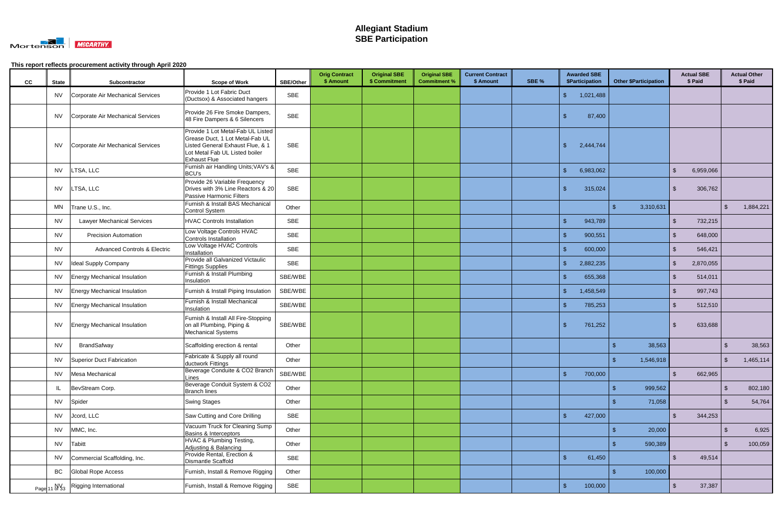

| cc | <b>State</b> | Subcontractor                           | <b>Scope of Work</b>                                                                                                                                              | <b>SBE/Other</b> | <b>Orig Contract</b><br>\$ Amount | <b>Original SBE</b><br>\$ Commitment | <b>Original SBE</b><br><b>Commitment %</b> | <b>Current Contract</b><br>\$ Amount | SBE % | <b>Awarded SBE</b><br><b>\$Participation</b> | <b>Other \$Participation</b> | <b>Actual SBE</b><br>\$ Paid       |               | <b>Actual Other</b><br>\$ Paid |
|----|--------------|-----------------------------------------|-------------------------------------------------------------------------------------------------------------------------------------------------------------------|------------------|-----------------------------------|--------------------------------------|--------------------------------------------|--------------------------------------|-------|----------------------------------------------|------------------------------|------------------------------------|---------------|--------------------------------|
|    | <b>NV</b>    | Corporate Air Mechanical Services       | Provide 1 Lot Fabric Duct<br>(Ductsox) & Associated hangers                                                                                                       | <b>SBE</b>       |                                   |                                      |                                            |                                      |       | $\sqrt{3}$<br>1,021,488                      |                              |                                    |               |                                |
|    | <b>NV</b>    | Corporate Air Mechanical Services       | Provide 26 Fire Smoke Dampers,<br>48 Fire Dampers & 6 Silencers                                                                                                   | <b>SBE</b>       |                                   |                                      |                                            |                                      |       | 87,400<br>\$                                 |                              |                                    |               |                                |
|    | NV.          | Corporate Air Mechanical Services       | Provide 1 Lot Metal-Fab UL Listed<br>Grease Duct, 1 Lot Metal-Fab UL<br>Listed General Exhaust Flue, & 1<br>Lot Metal Fab UL Listed boiler<br><b>Exhaust Flue</b> | SBE              |                                   |                                      |                                            |                                      |       | $\mathfrak{L}$<br>2,444,744                  |                              |                                    |               |                                |
|    | <b>NV</b>    | LTSA, LLC                               | Furnish air Handling Units; VAV's &<br><b>BCU's</b>                                                                                                               | <b>SBE</b>       |                                   |                                      |                                            |                                      |       | $\mathfrak{S}$<br>6,983,062                  |                              | $\mathbb{S}$<br>6,959,066          |               |                                |
|    | <b>NV</b>    | LTSA, LLC                               | Provide 26 Variable Frequency<br>Drives with 3% Line Reactors & 20<br>Passive Harmonic Filters                                                                    | <b>SBE</b>       |                                   |                                      |                                            |                                      |       | $\mathbf{\$}$<br>315,024                     |                              | $\mathfrak{L}$<br>306,762          |               |                                |
|    | MN           | Trane U.S., Inc.                        | Furnish & Install BAS Mechanical<br><b>Control System</b>                                                                                                         | Other            |                                   |                                      |                                            |                                      |       |                                              | $\mathbf{\$}$<br>3,310,631   |                                    | \$            | 1,884,221                      |
|    | NV           | <b>Lawyer Mechanical Services</b>       | <b>HVAC Controls Installation</b>                                                                                                                                 | SBE              |                                   |                                      |                                            |                                      |       | $\mathbf{\$}$<br>943,789                     |                              | $\sqrt[6]{\frac{1}{2}}$<br>732,215 |               |                                |
|    | <b>NV</b>    | <b>Precision Automation</b>             | Low Voltage Controls HVAC<br>Controls Installation                                                                                                                | <b>SBE</b>       |                                   |                                      |                                            |                                      |       | $\mathbf{\hat{s}}$<br>900,551                |                              | 648,000<br>$\mathfrak{L}$          |               |                                |
|    | <b>NV</b>    | <b>Advanced Controls &amp; Electric</b> | Low Voltage HVAC Controls<br>Installation                                                                                                                         | <b>SBE</b>       |                                   |                                      |                                            |                                      |       | $\mathfrak{s}$<br>600,000                    |                              | $\mathfrak{L}$<br>546,421          |               |                                |
|    | <b>NV</b>    | Ideal Supply Company                    | Provide all Galvanized Victaulic<br><b>Fittings Supplies</b>                                                                                                      | <b>SBE</b>       |                                   |                                      |                                            |                                      |       | 2,882,235<br>\$                              |                              | $\mathfrak{L}$<br>2,870,055        |               |                                |
|    | <b>NV</b>    | <b>Energy Mechanical Insulation</b>     | Furnish & Install Plumbing<br>Insulation                                                                                                                          | SBE/WBE          |                                   |                                      |                                            |                                      |       | $\mathbf{\$}$<br>655,368                     |                              | $\mathbb{S}$<br>514,011            |               |                                |
|    | <b>NV</b>    | <b>Energy Mechanical Insulation</b>     | Furnish & Install Piping Insulation                                                                                                                               | SBE/WBE          |                                   |                                      |                                            |                                      |       | $\sqrt[6]{\frac{1}{2}}$<br>1,458,549         |                              | $\sqrt[6]{\frac{1}{2}}$<br>997,743 |               |                                |
|    |              | NV   Energy Mechanical Insulation       | Furnish & Install Mechanical<br>Insulation                                                                                                                        | SBE/WBE          |                                   |                                      |                                            |                                      |       | $\mathbf{\$}$<br>785,253                     |                              | $\mathfrak{L}$<br>512,510          |               |                                |
|    | NV           | <b>Energy Mechanical Insulation</b>     | Furnish & Install All Fire-Stopping<br>on all Plumbing, Piping &<br><b>Mechanical Systems</b>                                                                     | SBE/WBE          |                                   |                                      |                                            |                                      |       | 761,252<br>$\mathbf{\$}$                     |                              | $\mathfrak{L}$<br>633,688          |               |                                |
|    | <b>NV</b>    | BrandSafway                             | Scaffolding erection & rental                                                                                                                                     | Other            |                                   |                                      |                                            |                                      |       |                                              | 38,563                       |                                    | \$            | 38,563                         |
|    | <b>NV</b>    | Superior Duct Fabrication               | Fabricate & Supply all round<br>ductwork Fittings                                                                                                                 | Other            |                                   |                                      |                                            |                                      |       |                                              | 1,546,918<br>-\$             |                                    | $\sqrt{2}$    | 1,465,114                      |
|    |              | NV Mesa Mechanical                      | Beverage Conduite & CO2 Branch<br>Lines                                                                                                                           | SBE/WBE          |                                   |                                      |                                            |                                      |       | $\mathfrak{s}$<br>700,000                    |                              | $\mathbb{S}$<br>662,965            |               |                                |
|    | IL.          | BevStream Corp.                         | Beverage Conduit System & CO2<br><b>Branch lines</b>                                                                                                              | Other            |                                   |                                      |                                            |                                      |       |                                              | 999,562<br>-S                |                                    | \$            | 802,180                        |
|    |              | NV Spider                               | <b>Swing Stages</b>                                                                                                                                               | Other            |                                   |                                      |                                            |                                      |       |                                              | 71,058                       |                                    | $\sqrt[6]{3}$ | 54,764                         |
|    | NV           | Jcord, LLC                              | Saw Cutting and Core Drilling                                                                                                                                     | SBE              |                                   |                                      |                                            |                                      |       | $\mathsf{\$}$<br>427,000                     |                              | $\mathbf{\$}$<br>344,253           |               |                                |
|    | <b>NV</b>    | MMC, Inc.                               | Vacuum Truck for Cleaning Sump<br>Basins & Interceptors                                                                                                           | Other            |                                   |                                      |                                            |                                      |       |                                              | 20,000<br>-\$                |                                    | $\sqrt[6]{3}$ | 6,925                          |
|    | <b>NV</b>    | Tabitt                                  | <b>HVAC &amp; Plumbing Testing,</b><br>Adjusting & Balancing                                                                                                      | Other            |                                   |                                      |                                            |                                      |       |                                              | 590,389                      |                                    | $\sqrt[3]{2}$ | 100,059                        |
|    | <b>NV</b>    | Commercial Scaffolding, Inc.            | Provide Rental, Erection &<br>Dismantle Scaffold                                                                                                                  | SBE              |                                   |                                      |                                            |                                      |       | $\mathfrak{F}$<br>61,450                     |                              | $\mathbb{S}$<br>49,514             |               |                                |
|    | BC           | <b>Global Rope Access</b>               | Furnish, Install & Remove Rigging                                                                                                                                 | Other            |                                   |                                      |                                            |                                      |       |                                              | 100,000<br>$\mathbf{\$}$     |                                    |               |                                |
|    |              | Page 11 of 33 Rigging International     | Furnish, Install & Remove Rigging                                                                                                                                 | SBE              |                                   |                                      |                                            |                                      |       | $\mathfrak{s}$<br>100,000                    |                              | $\sqrt[6]{\frac{1}{2}}$<br>37,387  |               |                                |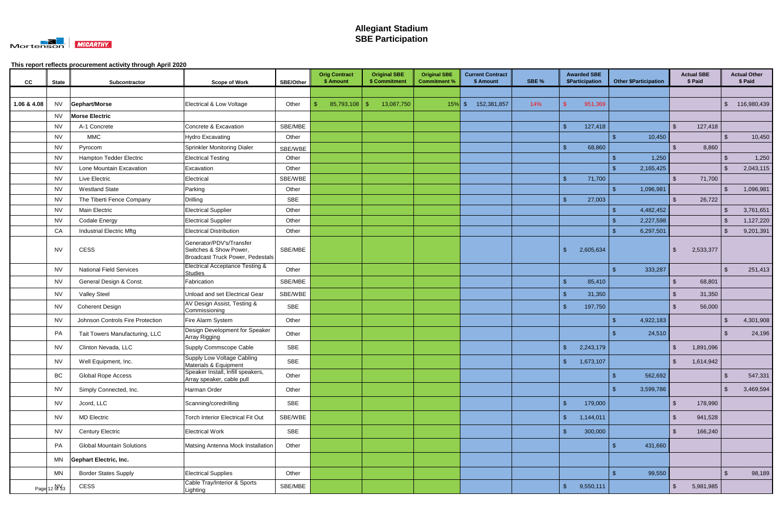

| cc          | <b>State</b> | Subcontractor                    | <b>Scope of Work</b>                                                                   | <b>SBE/Other</b> | <b>Orig Contract</b><br>\$ Amount | <b>Original SBE</b><br>\$ Commitment | <b>Original SBE</b><br><b>Commitment %</b> | <b>Current Contract</b><br>\$ Amount | SBE % | <b>Awarded SBE</b><br>\$Participation | <b>Other \$Participation</b> | <b>Actual SBE</b><br>\$ Paid |           |                         | <b>Actual Other</b><br>\$ Paid |
|-------------|--------------|----------------------------------|----------------------------------------------------------------------------------------|------------------|-----------------------------------|--------------------------------------|--------------------------------------------|--------------------------------------|-------|---------------------------------------|------------------------------|------------------------------|-----------|-------------------------|--------------------------------|
|             |              |                                  |                                                                                        |                  |                                   |                                      |                                            |                                      |       |                                       |                              |                              |           |                         |                                |
| 1.06 & 4.08 | NV           | Gephart/Morse                    | Electrical & Low Voltage                                                               | Other            | 85,793,108<br>-\$                 | 13,087,750<br>-\$                    | $15%$ \$                                   | 152,381,857                          | 14%   | 951,369                               |                              |                              |           | $\sqrt[6]{\frac{1}{2}}$ | 116,980,439                    |
|             | <b>NV</b>    | <b>Morse Electric</b>            |                                                                                        |                  |                                   |                                      |                                            |                                      |       |                                       |                              |                              |           |                         |                                |
|             | <b>NV</b>    | A-1 Concrete                     | Concrete & Excavation                                                                  | SBE/MBE          |                                   |                                      |                                            |                                      |       | $\mathfrak{L}$<br>127,418             |                              | $\mathfrak{L}$               | 127,418   |                         |                                |
|             | <b>NV</b>    | <b>MMC</b>                       | <b>Hydro Excavating</b>                                                                | Other            |                                   |                                      |                                            |                                      |       |                                       | 10,450                       |                              |           | $\mathfrak{L}$          | 10,450                         |
|             | <b>NV</b>    | Pyrocom                          | Sprinkler Monitoring Dialer                                                            | SBE/WBE          |                                   |                                      |                                            |                                      |       | 68,860<br>\$                          |                              | ዳ                            | 8,860     |                         |                                |
|             | NV           | Hampton Tedder Electric          | <b>Electrical Testing</b>                                                              | Other            |                                   |                                      |                                            |                                      |       |                                       | 1,250<br>- S                 |                              |           | -\$                     | 1,250                          |
|             | NV           | Lone Mountain Excavation         | Excavation                                                                             | Other            |                                   |                                      |                                            |                                      |       |                                       | 2,165,425                    |                              |           | $\mathbf{\$}$           | 2,043,115                      |
|             | <b>NV</b>    | Live Electric                    | Electrical                                                                             | SBE/WBE          |                                   |                                      |                                            |                                      |       | 71,700                                |                              | \$                           | 71,700    |                         |                                |
|             | <b>NV</b>    | <b>Westland State</b>            | Parking                                                                                | Other            |                                   |                                      |                                            |                                      |       |                                       | 1,096,981<br>-\$             |                              |           | -\$                     | 1,096,981                      |
|             | <b>NV</b>    | The Tiberti Fence Company        | <b>Drilling</b>                                                                        | <b>SBE</b>       |                                   |                                      |                                            |                                      |       | 27,003                                |                              |                              | 26,722    |                         |                                |
|             | <b>NV</b>    | <b>Main Electric</b>             | <b>Electrical Supplier</b>                                                             | Other            |                                   |                                      |                                            |                                      |       |                                       | 4,482,452                    |                              |           | \$                      | 3,761,651                      |
|             | <b>NV</b>    | <b>Codale Energy</b>             | <b>Electrical Supplier</b>                                                             | Other            |                                   |                                      |                                            |                                      |       |                                       | 2,227,598<br>-\$             |                              |           | -\$                     | 1,127,220                      |
|             | CA           | <b>Industrial Electric Mftg</b>  | <b>Electrical Distribution</b>                                                         | Other            |                                   |                                      |                                            |                                      |       |                                       | -\$<br>6,297,501             |                              |           | ්                       | 9,201,391                      |
|             | <b>NV</b>    | <b>CESS</b>                      | Generator/PDV's/Transfer<br>Switches & Show Power,<br>Broadcast Truck Power, Pedestals | SBE/MBE          |                                   |                                      |                                            |                                      |       | 2,605,634<br>\$                       |                              | \$                           | 2,533,377 |                         |                                |
|             | NV           | <b>National Field Services</b>   | <b>Electrical Acceptance Testing &amp;</b><br><b>Studies</b>                           | Other            |                                   |                                      |                                            |                                      |       |                                       | $\mathbf{R}$<br>333,287      |                              |           | $\mathfrak{F}$          | 251,413                        |
|             | <b>NV</b>    | General Design & Const.          | Fabrication                                                                            | SBE/MBE          |                                   |                                      |                                            |                                      |       | 85,410                                |                              | $\mathfrak{L}$               | 68,801    |                         |                                |
|             | NV           | <b>Valley Steel</b>              | Unload and set Electrical Gear                                                         | SBE/WBE          |                                   |                                      |                                            |                                      |       | 31,350                                |                              | \$.                          | 31,350    |                         |                                |
|             | <b>NV</b>    | <b>Coherent Design</b>           | AV Design Assist, Testing &<br>Commissioning                                           | <b>SBE</b>       |                                   |                                      |                                            |                                      |       | 197,750<br>\$                         |                              | -\$                          | 56,000    |                         |                                |
|             | NV.          | Johnson Controls Fire Protection | Fire Alarm System                                                                      | Other            |                                   |                                      |                                            |                                      |       |                                       | 4,922,183<br>-\$             |                              |           | -\$                     | 4,301,908                      |
|             | PA           | Tait Towers Manufacturing, LLC   | Design Development for Speaker<br>Array Rigging                                        | Other            |                                   |                                      |                                            |                                      |       |                                       | 24,510                       |                              |           | $\mathbf{\$}$           | 24,196                         |
|             | NV           | Clinton Nevada, LLC              | Supply Commscope Cable                                                                 | SBE              |                                   |                                      |                                            |                                      |       | \$<br>2,243,179                       |                              | -\$                          | 1,891,096 |                         |                                |
|             | <b>NV</b>    | Well Equipment, Inc.             | Supply Low Voltage Cabling<br>Materials & Equipment                                    | SBE              |                                   |                                      |                                            |                                      |       | 1,673,107<br>$\sqrt[6]{\frac{1}{2}}$  |                              | $\sqrt[6]{3}$                | 1,614,942 |                         |                                |
|             | BC           | <b>Global Rope Access</b>        | Speaker Install, Infill speakers,<br>Array speaker, cable pull                         | Other            |                                   |                                      |                                            |                                      |       |                                       | $\mathbf{\$}$<br>562,692     |                              |           | $\sqrt{2}$              | 547,331                        |
|             | <b>NV</b>    | Simply Connected, Inc.           | Harman Order                                                                           | Other            |                                   |                                      |                                            |                                      |       |                                       | $\mathbf{f}$<br>3,599,786    |                              |           | $\sqrt{3}$              | 3,469,594                      |
|             | <b>NV</b>    | Jcord, LLC                       | Scanning/coredrilling                                                                  | SBE              |                                   |                                      |                                            |                                      |       | $\sqrt{2}$<br>179,000                 |                              | $\mathfrak{L}$               | 178,990   |                         |                                |
|             | <b>NV</b>    | <b>MD Electric</b>               | <b>Torch Interior Electrical Fit Out</b>                                               | SBE/WBE          |                                   |                                      |                                            |                                      |       | $\sqrt{2}$<br>1,144,011               |                              | $\mathfrak{L}$               | 941,528   |                         |                                |
|             | <b>NV</b>    | <b>Century Electric</b>          | <b>Electrical Work</b>                                                                 | SBE              |                                   |                                      |                                            |                                      |       | $\mathsf{\$}$<br>300,000              |                              | $\mathfrak{L}$               | 166,240   |                         |                                |
|             | PA           | <b>Global Mountain Solutions</b> | Matsing Antenna Mock Installation                                                      | Other            |                                   |                                      |                                            |                                      |       |                                       | -\$<br>431,660               |                              |           |                         |                                |
|             | MN           | <b>Gephart Electric, Inc.</b>    |                                                                                        |                  |                                   |                                      |                                            |                                      |       |                                       |                              |                              |           |                         |                                |
|             | <b>MN</b>    | <b>Border States Supply</b>      | <b>Electrical Supplies</b>                                                             | Other            |                                   |                                      |                                            |                                      |       |                                       | $\mathbf{\hat{s}}$<br>99,550 |                              |           | $\sqrt{2}$              | 98,189                         |
|             | Page 12 N 33 | CESS                             | Cable Tray/Interior & Sports<br>Lighting                                               | SBE/MBE          |                                   |                                      |                                            |                                      |       | $\mathcal{L}$<br>9,550,111            |                              | $\mathfrak{S}$               | 5,981,985 |                         |                                |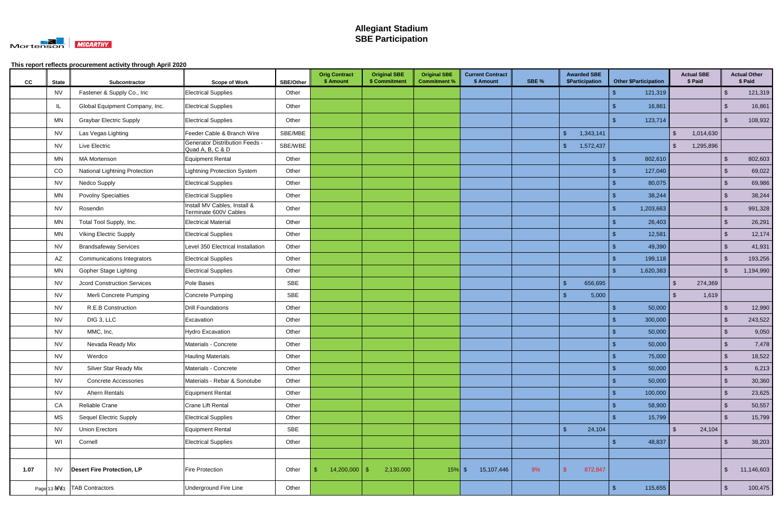

| cc   | <b>State</b> | Subcontractor                        | <b>Scope of Work</b>                                      | <b>SBE/Other</b> | <b>Orig Contract</b><br>\$ Amount | <b>Original SBE</b><br>\$ Commitment | <b>Original SBE</b><br><b>Commitment %</b> | <b>Current Contract</b><br>\$ Amount | SBE % | <b>Awarded SBE</b><br>\$Participation | <b>Other \$Participation</b> | <b>Actual SBE</b><br>\$ Paid |                         | <b>Actual Other</b><br>\$ Paid |
|------|--------------|--------------------------------------|-----------------------------------------------------------|------------------|-----------------------------------|--------------------------------------|--------------------------------------------|--------------------------------------|-------|---------------------------------------|------------------------------|------------------------------|-------------------------|--------------------------------|
|      | <b>NV</b>    | Fastener & Supply Co., Inc           | <b>Electrical Supplies</b>                                | Other            |                                   |                                      |                                            |                                      |       |                                       | 121,319                      |                              | \$                      | 121,319                        |
|      | IL           | Global Equipment Company, Inc.       | <b>Electrical Supplies</b>                                | Other            |                                   |                                      |                                            |                                      |       |                                       | 16,861                       |                              | -\$                     | 16,861                         |
|      | MN           | <b>Graybar Electric Supply</b>       | <b>Electrical Supplies</b>                                | Other            |                                   |                                      |                                            |                                      |       |                                       | 123,714                      |                              | $\mathfrak{L}$          | 108,932                        |
|      | <b>NV</b>    | Las Vegas Lighting                   | Feeder Cable & Branch Wire                                | SBE/MBE          |                                   |                                      |                                            |                                      |       | $\sqrt[6]{\frac{1}{2}}$<br>1,343,141  |                              | $\mathcal{S}$<br>1,014,630   |                         |                                |
|      | <b>NV</b>    | Live Electric                        | <b>Generator Distribution Feeds -</b><br>Quad A, B, C & D | SBE/WBE          |                                   |                                      |                                            |                                      |       | $\sqrt[6]{\frac{1}{2}}$<br>1,572,437  |                              | $\mathbb{S}$<br>1,295,896    |                         |                                |
|      | MN           | <b>MA Mortenson</b>                  | <b>Equipment Rental</b>                                   | Other            |                                   |                                      |                                            |                                      |       |                                       | 802,610                      |                              | $\mathbf{\$}$           | 802,603                        |
|      | CO           | <b>National Lightning Protection</b> | <b>Lightning Protection System</b>                        | Other            |                                   |                                      |                                            |                                      |       |                                       | 127,040                      |                              | \$                      | 69,022                         |
|      | <b>NV</b>    | <b>Nedco Supply</b>                  | <b>Electrical Supplies</b>                                | Other            |                                   |                                      |                                            |                                      |       |                                       | 80,075                       |                              | $\mathfrak{S}$          | 69,986                         |
|      | MN           | <b>Povolny Specialties</b>           | <b>Electrical Supplies</b>                                | Other            |                                   |                                      |                                            |                                      |       |                                       | 38,244                       |                              | $\mathfrak{s}$          | 38,244                         |
|      | <b>NV</b>    | Rosendin                             | Install MV Cables, Install &<br>Terminate 600V Cables     | Other            |                                   |                                      |                                            |                                      |       |                                       | 1,203,663                    |                              | -\$                     | 991,328                        |
|      | MN           | Total Tool Supply, Inc.              | <b>Electrical Material</b>                                | Other            |                                   |                                      |                                            |                                      |       |                                       | 26,403                       |                              | $\mathfrak{S}$          | 26,291                         |
|      | MN           | <b>Viking Electric Supply</b>        | <b>Electrical Supplies</b>                                | Other            |                                   |                                      |                                            |                                      |       |                                       | 12,581                       |                              | $\mathfrak{S}$          | 12,174                         |
|      | <b>NV</b>    | <b>Brandsafeway Services</b>         | Level 350 Electrical Installation                         | Other            |                                   |                                      |                                            |                                      |       |                                       | 49,390                       |                              | $\sqrt{2}$              | 41,931                         |
|      | AZ           | Communications Integrators           | <b>Electrical Supplies</b>                                | Other            |                                   |                                      |                                            |                                      |       |                                       | 199,118                      |                              | $\mathbf{\$}$           | 193,256                        |
|      | MN           | <b>Gopher Stage Lighting</b>         | <b>Electrical Supplies</b>                                | Other            |                                   |                                      |                                            |                                      |       |                                       | 1,620,383                    |                              | $\sqrt[6]{3}$           | 1,194,990                      |
|      | <b>NV</b>    | <b>Jcord Construction Services</b>   | Pole Bases                                                | SBE              |                                   |                                      |                                            |                                      |       | \$<br>656,695                         |                              | 274,369<br>$\mathfrak{L}$    |                         |                                |
|      | <b>NV</b>    | Merli Concrete Pumping               | Concrete Pumping                                          | <b>SBE</b>       |                                   |                                      |                                            |                                      |       | 5,000<br>$\mathbf{\hat{f}}$           |                              | 1,619                        |                         |                                |
|      | <b>NV</b>    | R.E.B Construction                   | <b>Drill Foundations</b>                                  | Other            |                                   |                                      |                                            |                                      |       |                                       | 50,000<br>\$                 |                              | \$                      | 12,990                         |
|      | <b>NV</b>    | DIG 3, LLC                           | Excavation                                                | Other            |                                   |                                      |                                            |                                      |       |                                       | 300,000                      |                              | $\mathbf{\$}$           | 243,522                        |
|      | <b>NV</b>    | MMC, Inc.                            | <b>Hydro Excavation</b>                                   | Other            |                                   |                                      |                                            |                                      |       |                                       | 50,000                       |                              | $\sqrt[6]{3}$           | 9,050                          |
|      | <b>NV</b>    | Nevada Ready Mix                     | Materials - Concrete                                      | Other            |                                   |                                      |                                            |                                      |       |                                       | 50,000                       |                              |                         | 7,478                          |
|      | <b>NV</b>    | Werdco                               | <b>Hauling Materials</b>                                  | Other            |                                   |                                      |                                            |                                      |       |                                       | 75,000<br>Φ                  |                              | . ა                     | 18,522                         |
|      | <b>NV</b>    | Silver Star Ready Mix                | Materials - Concrete                                      | Other            |                                   |                                      |                                            |                                      |       |                                       | -\$<br>50,000                |                              | $\sqrt[6]{3}$           | 6,213                          |
|      | <b>NV</b>    | <b>Concrete Accessories</b>          | Materials - Rebar & Sonotube                              | Other            |                                   |                                      |                                            |                                      |       |                                       | 50,000                       |                              | $\sqrt{2}$              | 30,360                         |
|      | <b>NV</b>    | Ahern Rentals                        | Equipment Rental                                          | Other            |                                   |                                      |                                            |                                      |       |                                       | 100,000                      |                              | $\sqrt[6]{3}$           | 23,625                         |
|      | CA           | Reliable Crane                       | Crane Lift Rental                                         | Other            |                                   |                                      |                                            |                                      |       |                                       | 58,900                       |                              | $\sqrt[6]{\frac{1}{2}}$ | 50,557                         |
|      | <b>MS</b>    | Sequel Electric Supply               | <b>Electrical Supplies</b>                                | Other            |                                   |                                      |                                            |                                      |       |                                       | 15,799                       |                              | $\mathfrak{S}$          | 15,799                         |
|      | <b>NV</b>    | <b>Union Erectors</b>                | <b>Equipment Rental</b>                                   | SBE              |                                   |                                      |                                            |                                      |       | $\mathsf{\$}$<br>24,104               |                              | $\mathfrak{S}$<br>24,104     |                         |                                |
|      | WI           | Cornell                              | <b>Electrical Supplies</b>                                | Other            |                                   |                                      |                                            |                                      |       |                                       | 48,837<br>\$                 |                              | $\sqrt[6]{3}$           | 38,203                         |
|      |              |                                      |                                                           |                  |                                   |                                      |                                            |                                      |       |                                       |                              |                              |                         |                                |
| 1.07 | NV.          | <b>Desert Fire Protection, LP</b>    | Fire Protection                                           | Other            | $14,200,000$ \$                   | 2,130,000                            | $15\%$ \$                                  | 15,107,446                           | 9%    | 872,847                               |                              |                              | \$                      | 11,146,603                     |
|      |              | Page 13 N\%3   TAB Contractors       | Underground Fire Line                                     | Other            |                                   |                                      |                                            |                                      |       |                                       | 115,655<br>-\$               |                              | $\sqrt[6]{3}$           | 100,475                        |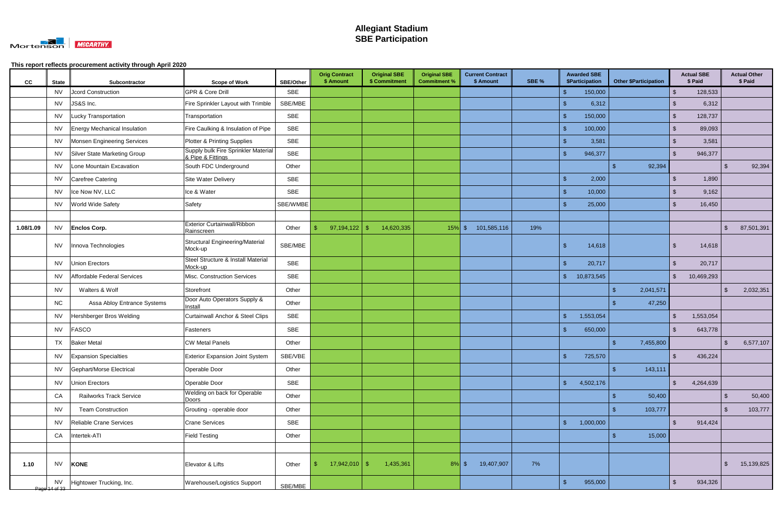

| cc        | <b>State</b>               | Subcontractor                  | <b>Scope of Work</b>                                     | <b>SBE/Other</b> | <b>Orig Contract</b><br>\$ Amount | <b>Original SBE</b><br>\$ Commitment | <b>Original SBE</b><br><b>Commitment %</b> | <b>Current Contract</b><br>\$ Amount | SBE % | <b>Awarded SBE</b><br>\$Participation | <b>Other \$Participation</b> |                    | <b>Actual SBE</b><br>\$ Paid |                | <b>Actual Other</b><br>\$ Paid |
|-----------|----------------------------|--------------------------------|----------------------------------------------------------|------------------|-----------------------------------|--------------------------------------|--------------------------------------------|--------------------------------------|-------|---------------------------------------|------------------------------|--------------------|------------------------------|----------------|--------------------------------|
|           | NV.                        | <b>Jcord Construction</b>      | <b>GPR &amp; Core Drill</b>                              | <b>SBE</b>       |                                   |                                      |                                            |                                      |       | 150,000<br>-\$                        |                              |                    | 128,533                      |                |                                |
|           | NV.                        | JS&S Inc.                      | Fire Sprinkler Layout with Trimble                       | SBE/MBE          |                                   |                                      |                                            |                                      |       | $\mathbf{\hat{S}}$<br>6,312           |                              | \$.                | 6,312                        |                |                                |
|           | NV.                        | Lucky Transportation           | Transportation                                           | <b>SBE</b>       |                                   |                                      |                                            |                                      |       | $\mathbf{\$}$<br>150,000              |                              | -\$                | 128,737                      |                |                                |
|           | NV                         | Energy Mechanical Insulation   | Fire Caulking & Insulation of Pipe                       | SBE              |                                   |                                      |                                            |                                      |       | $\mathcal{S}$<br>100,000              |                              | $\mathbf{\hat{f}}$ | 89,093                       |                |                                |
|           | NV                         | Monsen Engineering Services    | Plotter & Printing Supplies                              | <b>SBE</b>       |                                   |                                      |                                            |                                      |       | $\mathbf{f}$<br>3,581                 |                              | $\mathfrak{L}$     | 3,581                        |                |                                |
|           | NV                         | Silver State Marketing Group   | Supply bulk Fire Sprinkler Material<br>& Pipe & Fittings | <b>SBE</b>       |                                   |                                      |                                            |                                      |       | \$<br>946,377                         |                              | \$                 | 946,377                      |                |                                |
|           | <b>NV</b>                  | Lone Mountain Excavation       | South FDC Underground                                    | Other            |                                   |                                      |                                            |                                      |       |                                       | 92,394<br>$\mathbf{f}$       |                    |                              | $\mathbf{\$}$  | 92,394                         |
|           | NV                         | Carefree Catering              | Site Water Delivery                                      | <b>SBE</b>       |                                   |                                      |                                            |                                      |       | 2,000<br>-\$                          |                              | $\mathbf{\$}$      | 1,890                        |                |                                |
|           | <b>NV</b>                  | Ice Now NV, LLC                | Ice & Water                                              | <b>SBE</b>       |                                   |                                      |                                            |                                      |       | $\mathbf{\$}$<br>10,000               |                              |                    | 9,162                        |                |                                |
|           | NV.                        | <b>World Wide Safety</b>       | Safety                                                   | SBE/WMBE         |                                   |                                      |                                            |                                      |       | $\mathbf{\hat{S}}$<br>25,000          |                              | $\mathfrak{L}$     | 16,450                       |                |                                |
|           |                            |                                |                                                          |                  |                                   |                                      |                                            |                                      |       |                                       |                              |                    |                              |                |                                |
| 1.08/1.09 | <b>NV</b>                  | <b>Enclos Corp.</b>            | <b>Exterior Curtainwall/Ribbon</b><br>Rainscreen         | Other            | 97,194,122<br>\$.                 | 14,620,335<br>- S                    | $15\%$ \$                                  | 101,585,116                          | 19%   |                                       |                              |                    |                              | \$             | 87,501,391                     |
|           | NV                         | Innova Technologies            | Structural Engineering/Material<br>Mock-up               | SBE/MBE          |                                   |                                      |                                            |                                      |       | -\$<br>14,618                         |                              | -\$                | 14,618                       |                |                                |
|           | <b>NV</b>                  | Union Erectors                 | Steel Structure & Install Material<br>Mock-up            | SBE              |                                   |                                      |                                            |                                      |       | $\sqrt{3}$<br>20,717                  |                              | $\mathbf{\$}$      | 20,717                       |                |                                |
|           | <b>NV</b>                  | Affordable Federal Services    | Misc. Construction Services                              | <b>SBE</b>       |                                   |                                      |                                            |                                      |       | $\sqrt{3}$<br>10,873,545              |                              | $\sqrt[6]{2}$      | 10,469,293                   |                |                                |
|           | <b>NV</b>                  | Walters & Wolf                 | Storefront                                               | Other            |                                   |                                      |                                            |                                      |       |                                       | 2,041,571                    |                    |                              |                | 2,032,351                      |
|           | <b>NC</b>                  | Assa Abloy Entrance Systems    | Door Auto Operators Supply &<br>Install                  | Other            |                                   |                                      |                                            |                                      |       |                                       | 47,250                       |                    |                              |                |                                |
|           | <b>NV</b>                  | Hershberger Bros Welding       | <b>Curtainwall Anchor &amp; Steel Clips</b>              | SBE              |                                   |                                      |                                            |                                      |       | $\mathsf{\$}$<br>1,553,054            |                              | $\mathfrak{L}$     | 1,553,054                    |                |                                |
|           | <b>NV</b>                  | FASCO                          | Fasteners                                                | SBE              |                                   |                                      |                                            |                                      |       | \$<br>650,000                         |                              | -\$                | 643,778                      |                |                                |
|           | TX                         | <b>Baker Metal</b>             | <b>CW Metal Panels</b>                                   | Other            |                                   |                                      |                                            |                                      |       |                                       | 7,455,800<br>\$              |                    |                              | .S             | 6,577,107                      |
|           | <b>NV</b>                  | <b>Expansion Specialties</b>   | <b>Exterior Expansion Joint System</b>                   | SBE/VBE          |                                   |                                      |                                            |                                      |       | $\mathsf{\$}$<br>725,570              |                              | $\sqrt[6]{2}$      | 436,224                      |                |                                |
|           | <b>NV</b>                  | Gephart/Morse Electrical       | Operable Door                                            | Other            |                                   |                                      |                                            |                                      |       |                                       | 143,111<br>-\$               |                    |                              |                |                                |
|           | <b>NV</b>                  | Union Erectors                 | Operable Door                                            | SBE              |                                   |                                      |                                            |                                      |       | $\mathcal{S}$<br>4,502,176            |                              | $\sqrt[6]{2}$      | 4,264,639                    |                |                                |
|           | CA                         | <b>Railworks Track Service</b> | Welding on back for Operable<br>Doors                    | Other            |                                   |                                      |                                            |                                      |       |                                       | 50,400<br>- \$               |                    |                              | -\$            | 50,400                         |
|           | <b>NV</b>                  | <b>Team Construction</b>       | Grouting - operable door                                 | Other            |                                   |                                      |                                            |                                      |       |                                       | 103,777                      |                    |                              | $\mathfrak{L}$ | 103,777                        |
|           | <b>NV</b>                  | Reliable Crane Services        | <b>Crane Services</b>                                    | SBE              |                                   |                                      |                                            |                                      |       | $\mathsf{S}$<br>1,000,000             |                              | $\mathfrak{S}$     | 914,424                      |                |                                |
|           | CA                         | Intertek-ATI                   | <b>Field Testing</b>                                     | Other            |                                   |                                      |                                            |                                      |       |                                       | 15,000<br>\$                 |                    |                              |                |                                |
|           |                            |                                |                                                          |                  |                                   |                                      |                                            |                                      |       |                                       |                              |                    |                              |                |                                |
| 1.10      | <b>NV</b>                  | <b>KONE</b>                    | Elevator & Lifts                                         | Other            | $17,942,010$ \$<br>S.             | 1,435,361                            | $8\%$ \$                                   | 19,407,907                           | 7%    |                                       |                              |                    |                              | $\sqrt[6]{3}$  | 15,139,825                     |
|           | <b>NV</b><br>Page 14 of 33 | Hightower Trucking, Inc.       | Warehouse/Logistics Support                              | SBE/MBE          |                                   |                                      |                                            |                                      |       | $\sqrt{3}$<br>955,000                 |                              | $\sqrt[6]{2}$      | 934,326                      |                |                                |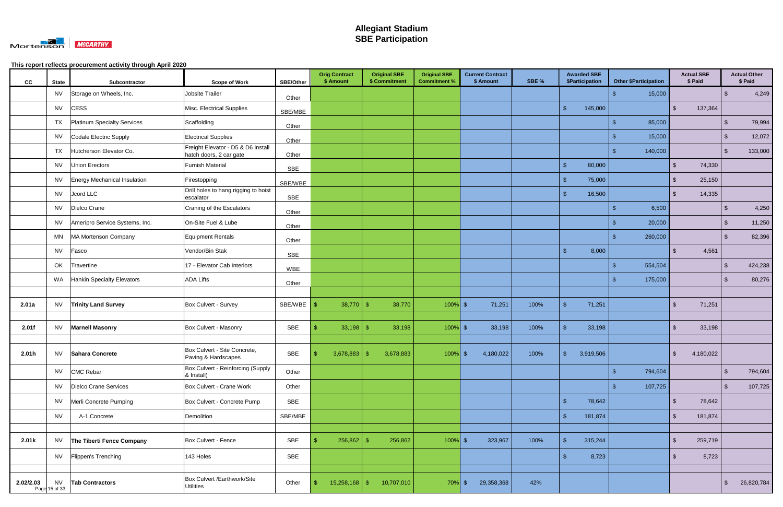

| cc        | <b>State</b>               | Subcontractor                       | <b>Scope of Work</b>                                          | <b>SBE/Other</b> | <b>Orig Contract</b><br>\$ Amount | <b>Original SBE</b><br>\$ Commitment | <b>Original SBE</b><br><b>Commitment %</b> | <b>Current Contract</b><br>\$ Amount | SBE % | <b>Awarded SBE</b><br><b>\$Participation</b> | <b>Other \$Participation</b> | <b>Actual SBE</b><br>\$ Paid       |                         | <b>Actual Other</b><br>\$ Paid |
|-----------|----------------------------|-------------------------------------|---------------------------------------------------------------|------------------|-----------------------------------|--------------------------------------|--------------------------------------------|--------------------------------------|-------|----------------------------------------------|------------------------------|------------------------------------|-------------------------|--------------------------------|
|           | NV                         | Storage on Wheels, Inc.             | Jobsite Trailer                                               | Other            |                                   |                                      |                                            |                                      |       |                                              | 15,000                       |                                    | \$                      | 4,249                          |
|           | <b>NV</b>                  | <b>CESS</b>                         | Misc. Electrical Supplies                                     | SBE/MBE          |                                   |                                      |                                            |                                      |       | 145,000<br>$\mathfrak{S}$                    |                              | $\sqrt[6]{2}$<br>137,364           |                         |                                |
|           | TX                         | Platinum Specialty Services         | Scaffolding                                                   | Other            |                                   |                                      |                                            |                                      |       |                                              | 85,000<br>$\mathbf{\$}$      |                                    | $\sqrt[6]{3}$           | 79,994                         |
|           | <b>NV</b>                  | Codale Electric Supply              | <b>Electrical Supplies</b>                                    | Other            |                                   |                                      |                                            |                                      |       |                                              | 15,000<br>-S                 |                                    | $\sqrt[6]{3}$           | 12,072                         |
|           | TX                         | Hutcherson Elevator Co.             | Freight Elevator - D5 & D6 Install<br>hatch doors, 2 car gate | Other            |                                   |                                      |                                            |                                      |       |                                              | 140,000                      |                                    | \$                      | 133,000                        |
|           | NV                         | <b>Union Erectors</b>               | <b>Furnish Material</b>                                       | <b>SBE</b>       |                                   |                                      |                                            |                                      |       | \$<br>80,000                                 |                              | $\mathfrak{L}$<br>74,330           |                         |                                |
|           | NV                         | <b>Energy Mechanical Insulation</b> | Firestopping                                                  | SBE/WBE          |                                   |                                      |                                            |                                      |       | $\sqrt{3}$<br>75,000                         |                              | $\sqrt[6]{2}$<br>25,150            |                         |                                |
|           | <b>NV</b>                  | Jcord LLC                           | Drill holes to hang rigging to hoist<br>escalator             | SBE              |                                   |                                      |                                            |                                      |       | 16,500<br>$\mathbf{\$}$                      |                              | $\mathbb{S}$<br>14,335             |                         |                                |
|           | NV                         | Dielco Crane                        | Craning of the Escalators                                     | Other            |                                   |                                      |                                            |                                      |       |                                              | 6,500<br>-S                  |                                    | -\$                     | 4,250                          |
|           | <b>NV</b>                  | Ameripro Service Systems, Inc.      | On-Site Fuel & Lube                                           | Other            |                                   |                                      |                                            |                                      |       |                                              | 20,000<br>\$                 |                                    | $\sqrt[3]{2}$           | 11,250                         |
|           | ΜN                         | MA Mortenson Company                | <b>Equipment Rentals</b>                                      | Other            |                                   |                                      |                                            |                                      |       |                                              | 260,000<br>-S                |                                    | $\sqrt[6]{3}$           | 82,396                         |
|           | <b>NV</b>                  | Fasco                               | Vendor/Bin Stak                                               | SBE              |                                   |                                      |                                            |                                      |       | $\mathbb{S}$<br>8,000                        |                              | $\mathfrak{L}$<br>4,561            |                         |                                |
|           | OK                         | Travertine                          | 17 - Elevator Cab Interiors                                   | <b>WBE</b>       |                                   |                                      |                                            |                                      |       |                                              | 554,504<br>-S                |                                    | -\$                     | 424,238                        |
|           |                            | WA Hankin Specialty Elevators       | <b>ADA Lifts</b>                                              | Other            |                                   |                                      |                                            |                                      |       |                                              | 175,000<br>-S                |                                    | \$                      | 80,276                         |
|           |                            |                                     |                                                               |                  |                                   |                                      |                                            |                                      |       |                                              |                              |                                    |                         |                                |
| 2.01a     | <b>NV</b>                  | <b>Trinity Land Survey</b>          | Box Culvert - Survey                                          | SBE/WBE          | 38,770<br>-\$                     | 38,770<br>-\$                        | $100\%$ \$                                 | 71,251                               | 100%  | $\mathfrak{S}$<br>71,251                     |                              | $\mathbf{\$}$<br>71,251            |                         |                                |
| 2.01f     |                            | NV   Marnell Masonry                | Box Culvert - Masonry                                         | SBE              | $33,198$ \$                       | 33,198                               | $100\%$ \$                                 | 33,198                               | 100%  | 33,198                                       |                              | 33,198<br>\$                       |                         |                                |
| 2.01h     |                            | NV Sahara Concrete                  | Box Culvert - Site Concrete,<br>Paving & Hardscapes           | <b>SBE</b>       | -\$<br>$3,678,883$ \$             | 3,678,883                            | $100\%$ \$                                 | 4,180,022                            | 100%  | $\mathbf{\$}$<br>3,919,506                   |                              | $\frac{1}{2}$<br>4,180,022         |                         |                                |
|           |                            | NV CMC Rebar                        | Box Culvert - Reinforcing (Supply<br>& Install)               | Other            |                                   |                                      |                                            |                                      |       |                                              | 794,604<br>-\$               |                                    | $\sqrt[6]{3}$           | 794,604                        |
|           |                            | NV   Dielco Crane Services          | Box Culvert - Crane Work                                      | Other            |                                   |                                      |                                            |                                      |       |                                              | 107,725<br>-\$               |                                    | $\sqrt[3]{2}$           | 107,725                        |
|           |                            | NV   Merli Concrete Pumping         | Box Culvert - Concrete Pump                                   | SBE              |                                   |                                      |                                            |                                      |       | $\mathfrak{s}$<br>78,642                     |                              | $\sqrt{2}$<br>78,642               |                         |                                |
|           | <b>NV</b>                  | A-1 Concrete                        | Demolition                                                    | SBE/MBE          |                                   |                                      |                                            |                                      |       | \$<br>181,874                                |                              | $\sqrt[6]{\frac{1}{2}}$<br>181,874 |                         |                                |
|           |                            |                                     |                                                               |                  |                                   |                                      |                                            |                                      |       |                                              |                              |                                    |                         |                                |
| 2.01k     | NV                         | The Tiberti Fence Company           | Box Culvert - Fence                                           | SBE              | $256,862$ \$                      | 256,862                              | $100\%$ \$                                 | 323,967                              | 100%  | $\sqrt[6]{\frac{1}{2}}$<br>315,244           |                              | $\sqrt[6]{2}$<br>259,719           |                         |                                |
|           |                            | NV Flippen's Trenching              | 143 Holes                                                     | SBE              |                                   |                                      |                                            |                                      |       | $\sqrt[6]{3}$<br>8,723                       |                              | 8,723<br>$\sqrt[6]{2}$             |                         |                                |
| 2.02/2.03 | <b>NV</b><br>Page 15 of 33 | <b>Tab Contractors</b>              | Box Culvert /Earthwork/Site<br><b>Utilities</b>               | Other            | $15,258,168$ \$<br>  \$           | 10,707,010                           | $70\%$ \$                                  | 29,358,368                           | 42%   |                                              |                              |                                    | $\sqrt[6]{\frac{1}{2}}$ | 26,820,784                     |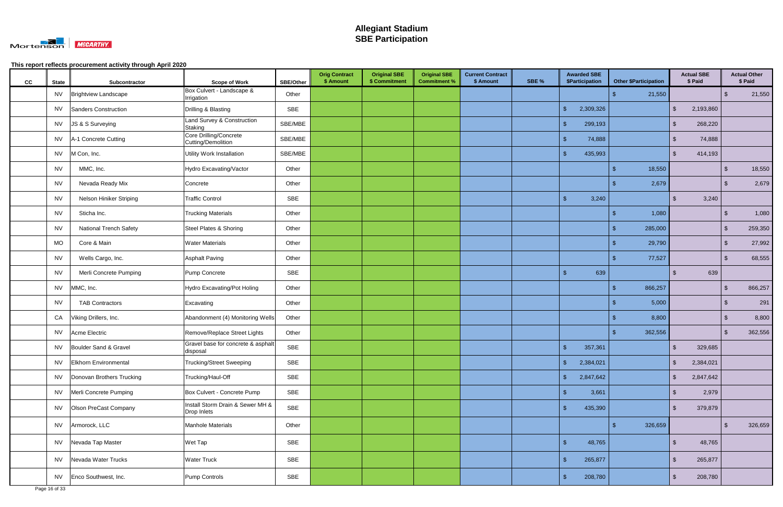

| cc | <b>State</b> | Subcontractor                 | <b>Scope of Work</b>                            | <b>SBE/Other</b> | <b>Orig Contract</b><br>\$ Amount | <b>Original SBE</b><br>\$ Commitment | <b>Original SBE</b><br><b>Commitment %</b> | <b>Current Contract</b><br>\$ Amount | SBE % | <b>Awarded SBE</b><br>\$Participation |     | <b>Other \$Participation</b> |                         | <b>Actual SBE</b><br>\$ Paid |                         | <b>Actual Other</b><br>\$ Paid |
|----|--------------|-------------------------------|-------------------------------------------------|------------------|-----------------------------------|--------------------------------------|--------------------------------------------|--------------------------------------|-------|---------------------------------------|-----|------------------------------|-------------------------|------------------------------|-------------------------|--------------------------------|
|    |              | NV   Brightview Landscape     | Box Culvert - Landscape &<br>Irrigation         | Other            |                                   |                                      |                                            |                                      |       |                                       | -\$ | 21,550                       |                         |                              | $\sqrt[6]{3}$           | 21,550                         |
|    | <b>NV</b>    | Sanders Construction          | Drilling & Blasting                             | <b>SBE</b>       |                                   |                                      |                                            |                                      |       | \$<br>2,309,326                       |     |                              | $\mathfrak{L}$          | 2,193,860                    |                         |                                |
|    | <b>NV</b>    | JS & S Surveying              | Land Survey & Construction<br>Staking           | SBE/MBE          |                                   |                                      |                                            |                                      |       | 299,193<br>$\mathfrak{L}$             |     |                              | \$                      | 268,220                      |                         |                                |
|    | <b>NV</b>    | A-1 Concrete Cutting          | Core Drilling/Concrete<br>Cutting/Demolition    | SBE/MBE          |                                   |                                      |                                            |                                      |       | $\sqrt[6]{3}$<br>74,888               |     |                              | \$                      | 74,888                       |                         |                                |
|    | NV           | M Con, Inc.                   | Utility Work Installation                       | SBE/MBE          |                                   |                                      |                                            |                                      |       | $\mathfrak{s}$<br>435,993             |     |                              | $\mathfrak{L}$          | 414,193                      |                         |                                |
|    | <b>NV</b>    | MMC, Inc.                     | Hydro Excavating/Vactor                         | Other            |                                   |                                      |                                            |                                      |       |                                       | -\$ | 18,550                       |                         |                              | $\sqrt[6]{\frac{1}{2}}$ | 18,550                         |
|    | <b>NV</b>    | Nevada Ready Mix              | Concrete                                        | Other            |                                   |                                      |                                            |                                      |       |                                       | -\$ | 2,679                        |                         |                              | $\sqrt[6]{3}$           | 2,679                          |
|    | <b>NV</b>    | Nelson Hiniker Striping       | <b>Traffic Control</b>                          | SBE              |                                   |                                      |                                            |                                      |       | 3,240<br>\$                           |     |                              | \$                      | 3,240                        |                         |                                |
|    | <b>NV</b>    | Sticha Inc.                   | <b>Trucking Materials</b>                       | Other            |                                   |                                      |                                            |                                      |       |                                       | ් ක | 1,080                        |                         |                              | $\sqrt[6]{\frac{1}{2}}$ | 1,080                          |
|    | <b>NV</b>    | <b>National Trench Safety</b> | <b>Steel Plates &amp; Shoring</b>               | Other            |                                   |                                      |                                            |                                      |       |                                       |     | 285,000                      |                         |                              | $\sqrt[6]{\frac{1}{2}}$ | 259,350                        |
|    | <b>MO</b>    | Core & Main                   | <b>Water Materials</b>                          | Other            |                                   |                                      |                                            |                                      |       |                                       |     | 29,790                       |                         |                              | \$                      | 27,992                         |
|    | <b>NV</b>    | Wells Cargo, Inc.             | <b>Asphalt Paving</b>                           | Other            |                                   |                                      |                                            |                                      |       |                                       | - P | 77,527                       |                         |                              | $\sqrt[3]{5}$           | 68,555                         |
|    | <b>NV</b>    | Merli Concrete Pumping        | Pump Concrete                                   | SBE              |                                   |                                      |                                            |                                      |       | $\mathfrak{s}$<br>639                 |     |                              | \$                      | 639                          |                         |                                |
|    | <b>NV</b>    | MMC, Inc.                     | Hydro Excavating/Pot Holing                     | Other            |                                   |                                      |                                            |                                      |       |                                       | -\$ | 866,257                      |                         |                              | $\sqrt[6]{\frac{1}{2}}$ | 866,257                        |
|    | NV           | <b>TAB Contractors</b>        | Excavating                                      | Other            |                                   |                                      |                                            |                                      |       |                                       | - S | 5,000                        |                         |                              | $\sqrt[6]{3}$           | 291                            |
|    | CA           | Viking Drillers, Inc.         | Abandonment (4) Monitoring Wells                | Other            |                                   |                                      |                                            |                                      |       |                                       |     | 8,800                        |                         |                              | $\sqrt[6]{3}$           | 8,800                          |
|    | <b>NV</b>    | Acme Electric                 | Remove/Replace Street Lights                    | Other            |                                   |                                      |                                            |                                      |       |                                       | -\$ | 362,556                      |                         |                              | $\sqrt[6]{3}$           | 362,556                        |
|    |              | NV Boulder Sand & Gravel      | Gravel base for concrete & asphalt<br>disposal  | SBE              |                                   |                                      |                                            |                                      |       | 357,361<br>$\mathfrak{L}$             |     |                              | -\$                     | 329,685                      |                         |                                |
|    | <b>NV</b>    | Elkhorn Environmental         | <b>Trucking/Street Sweeping</b>                 | SBE              |                                   |                                      |                                            |                                      |       | $\sqrt{2}$<br>2,384,021               |     |                              | $\mathfrak{s}$          | 2,384,021                    |                         |                                |
|    | <b>NV</b>    | Donovan Brothers Trucking     | Trucking/Haul-Off                               | SBE              |                                   |                                      |                                            |                                      |       | $\sqrt[6]{\frac{1}{2}}$<br>2,847,642  |     |                              | $\mathfrak{L}$          | 2,847,642                    |                         |                                |
|    | <b>NV</b>    | Merli Concrete Pumping        | Box Culvert - Concrete Pump                     | SBE              |                                   |                                      |                                            |                                      |       | $\mathfrak{s}$<br>3,661               |     |                              | -\$                     | 2,979                        |                         |                                |
|    | NV           | Olson PreCast Company         | Install Storm Drain & Sewer MH &<br>Drop Inlets | SBE              |                                   |                                      |                                            |                                      |       | \$<br>435,390                         |     |                              | $\mathfrak{L}$          | 379,879                      |                         |                                |
|    |              | NV Armorock, LLC              | <b>Manhole Materials</b>                        | Other            |                                   |                                      |                                            |                                      |       |                                       | -\$ | 326,659                      |                         |                              | $\sqrt[6]{3}$           | 326,659                        |
|    |              | NV Nevada Tap Master          | Wet Tap                                         | SBE              |                                   |                                      |                                            |                                      |       | $\sqrt{3}$<br>48,765                  |     |                              | $\mathfrak{L}$          | 48,765                       |                         |                                |
|    |              | NV Nevada Water Trucks        | <b>Water Truck</b>                              | SBE              |                                   |                                      |                                            |                                      |       | $\sqrt{2}$<br>265,877                 |     |                              | $\sqrt[6]{\frac{1}{2}}$ | 265,877                      |                         |                                |
|    |              | NV Enco Southwest, Inc.       | Pump Controls                                   | SBE              |                                   |                                      |                                            |                                      |       | $\mathfrak{S}$<br>208,780             |     |                              | $\sqrt[6]{3}$           | 208,780                      |                         |                                |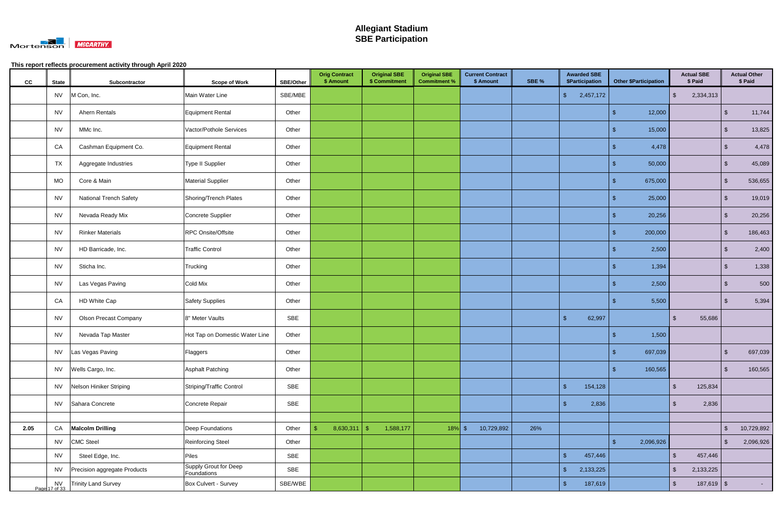

| cc   | <b>State</b> | Subcontractor                 | <b>Scope of Work</b>                 | <b>SBE/Other</b> | <b>Orig Contract</b><br>\$ Amount | <b>Original SBE</b><br>\$ Commitment | <b>Original SBE</b><br><b>Commitment %</b> | <b>Current Contract</b><br>\$ Amount | SBE % | <b>Awarded SBE</b><br>\$Participation | <b>Other \$Participation</b>           |                         | <b>Actual SBE</b><br>\$ Paid |                         | <b>Actual Other</b><br>\$ Paid |
|------|--------------|-------------------------------|--------------------------------------|------------------|-----------------------------------|--------------------------------------|--------------------------------------------|--------------------------------------|-------|---------------------------------------|----------------------------------------|-------------------------|------------------------------|-------------------------|--------------------------------|
|      | <b>NV</b>    | M Con, Inc.                   | Main Water Line                      | SBE/MBE          |                                   |                                      |                                            |                                      |       | $\mathcal{S}$<br>2,457,172            |                                        | $\sqrt[6]{\frac{1}{2}}$ | 2,334,313                    |                         |                                |
|      | <b>NV</b>    | Ahern Rentals                 | <b>Equipment Rental</b>              | Other            |                                   |                                      |                                            |                                      |       |                                       | 12,000<br>S                            |                         |                              | .S                      | 11,744                         |
|      | <b>NV</b>    | MMc Inc.                      | Vactor/Pothole Services              | Other            |                                   |                                      |                                            |                                      |       |                                       | 15,000<br>\$                           |                         |                              | \$                      | 13,825                         |
|      | CA           | Cashman Equipment Co.         | Equipment Rental                     | Other            |                                   |                                      |                                            |                                      |       |                                       | 4,478<br>S                             |                         |                              | \$                      | 4,478                          |
|      | TX           | Aggregate Industries          | Type II Supplier                     | Other            |                                   |                                      |                                            |                                      |       |                                       | 50,000<br>\$.                          |                         |                              | $\sqrt[6]{3}$           | 45,089                         |
|      | <b>MO</b>    | Core & Main                   | <b>Material Supplier</b>             | Other            |                                   |                                      |                                            |                                      |       |                                       | 675,000<br>S                           |                         |                              | $\mathfrak{S}$          | 536,655                        |
|      | <b>NV</b>    | <b>National Trench Safety</b> | Shoring/Trench Plates                | Other            |                                   |                                      |                                            |                                      |       |                                       | 25,000<br>- \$                         |                         |                              | \$                      | 19,019                         |
|      | <b>NV</b>    | Nevada Ready Mix              | Concrete Supplier                    | Other            |                                   |                                      |                                            |                                      |       |                                       | 20,256<br>\$.                          |                         |                              | $\sqrt[6]{3}$           | 20,256                         |
|      | <b>NV</b>    | <b>Rinker Materials</b>       | RPC Onsite/Offsite                   | Other            |                                   |                                      |                                            |                                      |       |                                       | 200,000<br>-\$                         |                         |                              | $\sqrt[6]{\frac{1}{2}}$ | 186,463                        |
|      | <b>NV</b>    | HD Barricade, Inc.            | <b>Traffic Control</b>               | Other            |                                   |                                      |                                            |                                      |       |                                       | 2,500                                  |                         |                              | \$                      | 2,400                          |
|      | <b>NV</b>    | Sticha Inc.                   | Trucking                             | Other            |                                   |                                      |                                            |                                      |       |                                       | 1,394<br>S                             |                         |                              | -\$                     | 1,338                          |
|      | <b>NV</b>    | Las Vegas Paving              | Cold Mix                             | Other            |                                   |                                      |                                            |                                      |       |                                       | 2,500<br>-\$                           |                         |                              | $\mathfrak{S}$          | 500                            |
|      | CA           | HD White Cap                  | <b>Safety Supplies</b>               | Other            |                                   |                                      |                                            |                                      |       |                                       | 5,500<br>- \$                          |                         |                              | -\$                     | 5,394                          |
|      | <b>NV</b>    | <b>Olson Precast Company</b>  | 8" Meter Vaults                      | SBE              |                                   |                                      |                                            |                                      |       | $\sqrt[6]{3}$<br>62,997               |                                        | -\$                     | 55,686                       |                         |                                |
|      | <b>NV</b>    | Nevada Tap Master             | Hot Tap on Domestic Water Line       | Other            |                                   |                                      |                                            |                                      |       |                                       | 1,500                                  |                         |                              |                         |                                |
|      |              | NV   Las Vegas Paving         | Flaggers                             | Other            |                                   |                                      |                                            |                                      |       |                                       | 697,039                                |                         |                              | -\$                     | 697,039                        |
|      | <b>NV</b>    | Wells Cargo, Inc.             | <b>Asphalt Patching</b>              | Other            |                                   |                                      |                                            |                                      |       |                                       | 160,565<br>\$                          |                         |                              | $\mathcal{S}$           | 160,565                        |
|      | <b>NV</b>    | Nelson Hiniker Striping       | Striping/Traffic Control             | SBE              |                                   |                                      |                                            |                                      |       | $\sqrt{2}$<br>154,128                 |                                        | $\sqrt[6]{2}$           | 125,834                      |                         |                                |
|      | <b>NV</b>    | Sahara Concrete               | Concrete Repair                      | SBE              |                                   |                                      |                                            |                                      |       | 2,836<br>$\sqrt[6]{\frac{1}{2}}$      |                                        | $\sqrt[6]{3}$           | 2,836                        |                         |                                |
|      |              |                               |                                      |                  |                                   |                                      |                                            |                                      |       |                                       |                                        |                         |                              |                         |                                |
| 2.05 | CA           | <b>Malcolm Drilling</b>       | Deep Foundations                     | Other            | 8,630,311                         | 1,588,177<br>$\sqrt{2}$              | $18\%$ \$                                  | 10,729,892                           | 26%   |                                       |                                        |                         |                              | $\sqrt{2}$              | 10,729,892                     |
|      | <b>NV</b>    | <b>CMC Steel</b>              | Reinforcing Steel                    | Other            |                                   |                                      |                                            |                                      |       |                                       | 2,096,926<br>$\boldsymbol{\mathsf{s}}$ |                         |                              | $\sqrt[6]{3}$           | 2,096,926                      |
|      | <b>NV</b>    | Steel Edge, Inc.              | Piles                                | SBE              |                                   |                                      |                                            |                                      |       | $\sqrt{2}$<br>457,446                 |                                        | $\sqrt{2}$              | 457,446                      |                         |                                |
|      | <b>NV</b>    | Precision aggregate Products  | Supply Grout for Deep<br>Foundations | SBE              |                                   |                                      |                                            |                                      |       | $\sqrt{3}$<br>2,133,225               |                                        | $\sqrt[6]{\frac{1}{2}}$ | 2,133,225                    |                         |                                |
|      |              | NV Trinity Land Survey        | Box Culvert - Survey                 | SBE/WBE          |                                   |                                      |                                            |                                      |       | $\sqrt{2}$<br>187,619                 |                                        | $\sqrt[6]{2}$           | $187,619$ \$                 |                         | $\sim 100$                     |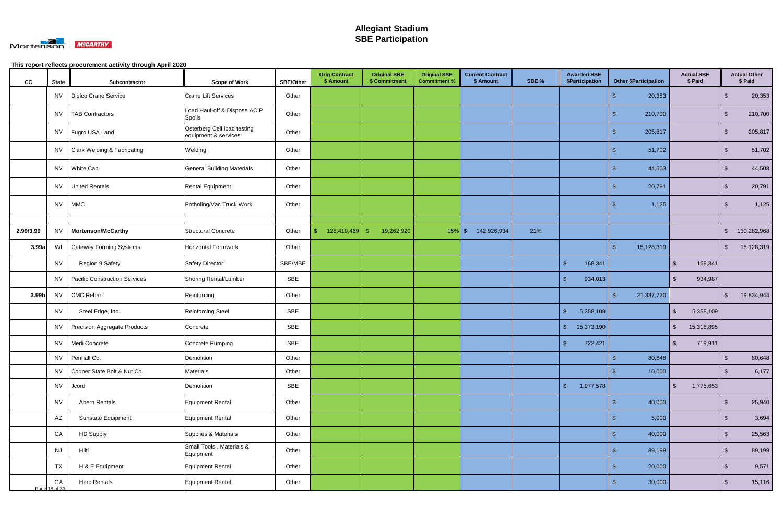

| cc                | <b>State</b>        | Subcontractor                  | <b>Scope of Work</b>                                | <b>SBE/Other</b> | <b>Orig Contract</b><br>\$ Amount | <b>Original SBE</b><br>\$ Commitment | <b>Original SBE</b><br><b>Commitment %</b> | <b>Current Contract</b><br>\$ Amount | SBE % | <b>Awarded SBE</b><br><b>\$Participation</b> |               | <b>Other \$Participation</b> |                         | <b>Actual SBE</b><br>\$ Paid |                           | <b>Actual Other</b><br>\$ Paid |
|-------------------|---------------------|--------------------------------|-----------------------------------------------------|------------------|-----------------------------------|--------------------------------------|--------------------------------------------|--------------------------------------|-------|----------------------------------------------|---------------|------------------------------|-------------------------|------------------------------|---------------------------|--------------------------------|
|                   |                     | NV   Dielco Crane Service      | <b>Crane Lift Services</b>                          | Other            |                                   |                                      |                                            |                                      |       |                                              | -\$           | 20,353                       |                         |                              | - \$                      | 20,353                         |
|                   | NV                  | <b>TAB Contractors</b>         | Load Haul-off & Dispose ACIP<br>Spoils              | Other            |                                   |                                      |                                            |                                      |       |                                              | -\$           | 210,700                      |                         |                              | -\$                       | 210,700                        |
|                   |                     | NV Fugro USA Land              | Osterberg Cell load testing<br>equipment & services | Other            |                                   |                                      |                                            |                                      |       |                                              | \$            | 205,817                      |                         |                              | $\sqrt[3]{2}$             | 205,817                        |
|                   |                     | NV Clark Welding & Fabricating | Welding                                             | Other            |                                   |                                      |                                            |                                      |       |                                              | - \$          | 51,702                       |                         |                              | $\sqrt[3]{2}$             | 51,702                         |
|                   |                     | NV White Cap                   | <b>General Building Materials</b>                   | Other            |                                   |                                      |                                            |                                      |       |                                              | S             | 44,503                       |                         |                              | $\sqrt[6]{3}$             | 44,503                         |
|                   |                     | NV United Rentals              | <b>Rental Equipment</b>                             | Other            |                                   |                                      |                                            |                                      |       |                                              | -\$           | 20,791                       |                         |                              | $\sqrt[6]{3}$             | 20,791                         |
|                   | <b>NV</b>           | <b>MMC</b>                     | Potholing/Vac Truck Work                            | Other            |                                   |                                      |                                            |                                      |       |                                              |               | 1,125                        |                         |                              | -\$                       | 1,125                          |
|                   |                     |                                |                                                     |                  |                                   |                                      |                                            |                                      |       |                                              |               |                              |                         |                              |                           |                                |
| 2.99/3.99         | <b>NV</b>           | Mortenson/McCarthy             | Structural Concrete                                 | Other            | -S                                | 19,262,920                           | $15\%$ \$                                  | 142,926,934                          | 21%   |                                              |               |                              |                         |                              | $\boldsymbol{\mathsf{S}}$ | 130,282,968                    |
| 3.99a             | WI                  | <b>Gateway Forming Systems</b> | <b>Horizontal Formwork</b>                          | Other            |                                   |                                      |                                            |                                      |       |                                              | -\$           | 15,128,319                   |                         |                              | $\sqrt[6]{\frac{1}{2}}$   | 15,128,319                     |
|                   | <b>NV</b>           | Region 9 Safety                | Safety Director                                     | SBE/MBE          |                                   |                                      |                                            |                                      |       | $\mathbf{\$}$<br>168,341                     |               |                              | $\sqrt[6]{\frac{1}{2}}$ | 168,341                      |                           |                                |
|                   | <b>NV</b>           | Pacific Construction Services  | <b>Shoring Rental/Lumber</b>                        | SBE              |                                   |                                      |                                            |                                      |       | $\sqrt{2}$<br>934,013                        |               |                              | $\sqrt[6]{\frac{1}{2}}$ | 934,987                      |                           |                                |
| 3.99 <sub>b</sub> | <b>NV</b>           | CMC Rebar                      | Reinforcing                                         | Other            |                                   |                                      |                                            |                                      |       |                                              | $\mathcal{S}$ | 21,337,720                   |                         |                              | $\mathfrak{F}$            | 19,834,944                     |
|                   | <b>NV</b>           | Steel Edge, Inc.               | <b>Reinforcing Steel</b>                            | SBE              |                                   |                                      |                                            |                                      |       | $\mathfrak{L}$<br>5,358,109                  |               |                              | $\sqrt[6]{\frac{1}{2}}$ | 5,358,109                    |                           |                                |
|                   | <b>NV</b>           | Precision Aggregate Products   | Concrete                                            | SBE              |                                   |                                      |                                            |                                      |       | $\mathsf{\$}$<br>15,373,190                  |               |                              | $\sqrt[6]{\frac{1}{2}}$ | 15,318,895                   |                           |                                |
|                   | <b>NV</b>           | Merli Concrete                 | Concrete Pumping                                    | SBE              |                                   |                                      |                                            |                                      |       | \$<br>722,421                                |               |                              | $\sqrt[6]{2}$           | 719,911                      |                           |                                |
|                   | <b>NV</b>           | Penhall Co.                    | Demolition                                          | Other            |                                   |                                      |                                            |                                      |       |                                              | S             | 80,648                       |                         |                              | -\$                       | 80,648                         |
|                   |                     | NV Copper State Bolt & Nut Co. | <b>Materials</b>                                    | Other            |                                   |                                      |                                            |                                      |       |                                              | $\sqrt[6]{3}$ | 10,000                       |                         |                              | $\sqrt[3]{2}$             | 6,177                          |
|                   |                     | NV Jcord                       | Demolition                                          | SBE              |                                   |                                      |                                            |                                      |       | $\sqrt[6]{\frac{1}{2}}$<br>1,977,578         |               |                              | $\sqrt[6]{2}$           | 1,775,653                    |                           |                                |
|                   | <b>NV</b>           | Ahern Rentals                  | Equipment Rental                                    | Other            |                                   |                                      |                                            |                                      |       |                                              | $\sqrt[6]{3}$ | 40,000                       |                         |                              | $\sqrt[6]{3}$             | 25,940                         |
|                   | AZ                  | Sunstate Equipment             | Equipment Rental                                    | Other            |                                   |                                      |                                            |                                      |       |                                              | -\$           | 5,000                        |                         |                              | $\sqrt{2}$                | 3,694                          |
|                   | CA                  | <b>HD Supply</b>               | Supplies & Materials                                | Other            |                                   |                                      |                                            |                                      |       |                                              | -\$           | 40,000                       |                         |                              | $\sqrt[6]{3}$             | 25,563                         |
|                   | <b>NJ</b>           | Hilti                          | Small Tools, Materials &<br>Equipment               | Other            |                                   |                                      |                                            |                                      |       |                                              | -\$           | 89,199                       |                         |                              | $\sqrt[6]{3}$             | 89,199                         |
|                   | <b>TX</b>           | H & E Equipment                | Equipment Rental                                    | Other            |                                   |                                      |                                            |                                      |       |                                              | - \$          | 20,000                       |                         |                              | $\sqrt{2}$                | 9,571                          |
|                   | GA<br>Page 18 of 33 | <b>Herc Rentals</b>            | Equipment Rental                                    | Other            |                                   |                                      |                                            |                                      |       |                                              | - \$          | 30,000                       |                         |                              | $\sqrt{2}$                | 15,116                         |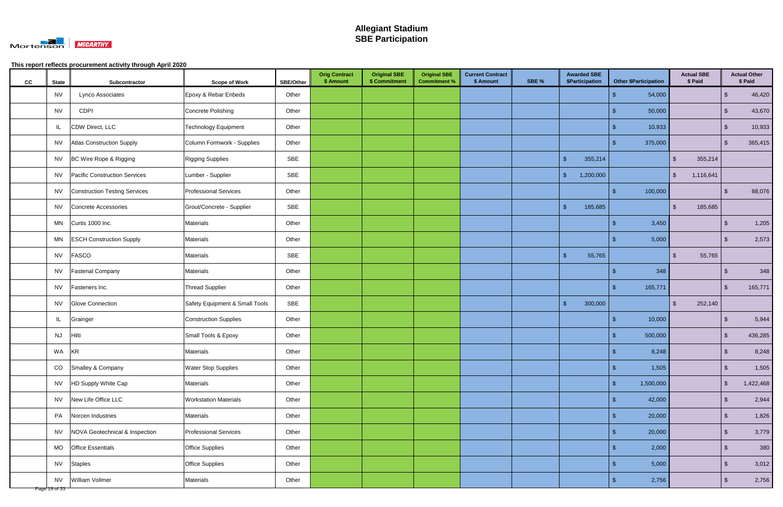

| cc | <b>State</b>               | Subcontractor                        | <b>Scope of Work</b>           | SBE/Other | <b>Orig Contract</b><br>\$ Amount | <b>Original SBE</b><br>\$ Commitment | <b>Original SBE</b><br><b>Commitment %</b> | <b>Current Contract</b><br>\$ Amount | SBE % |                         | <b>Awarded SBE</b><br>\$Participation |               | <b>Other \$Participation</b> |                         | <b>Actual SBE</b><br>\$ Paid |                         | <b>Actual Other</b><br>\$ Paid |
|----|----------------------------|--------------------------------------|--------------------------------|-----------|-----------------------------------|--------------------------------------|--------------------------------------------|--------------------------------------|-------|-------------------------|---------------------------------------|---------------|------------------------------|-------------------------|------------------------------|-------------------------|--------------------------------|
|    | NV                         | Lynco Associates                     | Epoxy & Rebar Enbeds           | Other     |                                   |                                      |                                            |                                      |       |                         |                                       | ් ක           | 54,000                       |                         |                              | $\sqrt[3]{2}$           | 46,420                         |
|    | <b>NV</b>                  | CDPI                                 | Concrete Polishing             | Other     |                                   |                                      |                                            |                                      |       |                         |                                       | - \$          | 50,000                       |                         |                              | $\sqrt[6]{3}$           | 43,670                         |
|    | JL.                        | CDW Direct, LLC                      | <b>Technology Equipment</b>    | Other     |                                   |                                      |                                            |                                      |       |                         |                                       | - \$          | 10,933                       |                         |                              | $\sqrt[3]{2}$           | 10,933                         |
|    | <b>NV</b>                  | <b>Atlas Construction Supply</b>     | Column Formwork - Supplies     | Other     |                                   |                                      |                                            |                                      |       |                         |                                       |               | 375,000                      |                         |                              | $\sqrt[6]{3}$           | 365,415                        |
|    | NV                         | BC Wire Rope & Rigging               | <b>Rigging Supplies</b>        | SBE       |                                   |                                      |                                            |                                      |       | $\sqrt{2}$              | 355,214                               |               |                              | $\sqrt[6]{\frac{1}{2}}$ | 355,214                      |                         |                                |
|    | NV                         | Pacific Construction Services        | Lumber - Supplier              | SBE       |                                   |                                      |                                            |                                      |       | $\sqrt[6]{\frac{1}{2}}$ | 1,200,000                             |               |                              | $\sqrt[6]{2}$           | 1,116,641                    |                         |                                |
|    | NV                         | <b>Construction Testing Services</b> | <b>Professional Services</b>   | Other     |                                   |                                      |                                            |                                      |       |                         |                                       | $\sqrt{3}$    | 100,000                      |                         |                              | $\sqrt[3]{2}$           | 88,076                         |
|    | NV                         | Concrete Accessories                 | Grout/Concrete - Supplier      | SBE       |                                   |                                      |                                            |                                      |       | $\sqrt{2}$              | 185,685                               |               |                              | $\sqrt[6]{\frac{1}{2}}$ | 185,685                      |                         |                                |
|    | MN                         | Curtis 1000 Inc.                     | Materials                      | Other     |                                   |                                      |                                            |                                      |       |                         |                                       | -\$           | 3,450                        |                         |                              | $\sqrt[6]{3}$           | 1,205                          |
|    | MN                         | <b>ESCH Construction Supply</b>      | Materials                      | Other     |                                   |                                      |                                            |                                      |       |                         |                                       | Æ             | 5,000                        |                         |                              | $\sqrt[3]{2}$           | 2,573                          |
|    | <b>NV</b>                  | FASCO                                | Materials                      | SBE       |                                   |                                      |                                            |                                      |       | $\mathbf{\$}$           | 55,765                                |               |                              | $\sqrt[6]{\frac{1}{2}}$ | 55,765                       |                         |                                |
|    | <b>NV</b>                  | <b>Fastenal Company</b>              | Materials                      | Other     |                                   |                                      |                                            |                                      |       |                         |                                       | ් ක           | 348                          |                         |                              | $\sqrt[3]{2}$           | 348                            |
|    | <b>NV</b>                  | Fasteners Inc.                       | <b>Thread Supplier</b>         | Other     |                                   |                                      |                                            |                                      |       |                         |                                       | - \$          | 165,771                      |                         |                              | $\sqrt[6]{3}$           | 165,771                        |
|    | NV                         | Glove Connection                     | Safety Equipment & Small Tools | SBE       |                                   |                                      |                                            |                                      |       | $\sqrt{2}$              | 300,000                               |               |                              | $\sqrt{2}$              | 252,140                      |                         |                                |
|    | IL                         | Grainger                             | <b>Construction Supplies</b>   | Other     |                                   |                                      |                                            |                                      |       |                         |                                       | -9            | 10,000                       |                         |                              | - \$                    | 5,944                          |
|    | <b>NJ</b>                  | Hilti                                | Small Tools & Epoxy            | Other     |                                   |                                      |                                            |                                      |       |                         |                                       | -9            | 500,000                      |                         |                              | -\$                     | 436,285                        |
|    | WA                         | KR                                   | Materials                      | Other     |                                   |                                      |                                            |                                      |       |                         |                                       | - 9           | 8,248                        |                         |                              | $\sqrt[6]{3}$           | 8,248                          |
|    | CO                         | Smalley & Company                    | <b>Water Stop Supplies</b>     | Other     |                                   |                                      |                                            |                                      |       |                         |                                       | $\sqrt[6]{5}$ | 1,505                        |                         |                              | $\sqrt{2}$              | 1,505                          |
|    | NV                         | HD Supply White Cap                  | Materials                      | Other     |                                   |                                      |                                            |                                      |       |                         |                                       | $\sqrt{3}$    | 1,500,000                    |                         |                              | $\sqrt[6]{\frac{1}{2}}$ | 1,422,468                      |
|    | <b>NV</b>                  | New Life Office LLC                  | <b>Workstation Materials</b>   | Other     |                                   |                                      |                                            |                                      |       |                         |                                       | -9            | 42,000                       |                         |                              | $\sqrt[6]{3}$           | 2,944                          |
|    | PA                         | Norcen Industries                    | Materials                      | Other     |                                   |                                      |                                            |                                      |       |                         |                                       | -9            | 20,000                       |                         |                              | $\sqrt{2}$              | 1,826                          |
|    | <b>NV</b>                  | NOVA Geotechnical & Inspection       | <b>Professional Services</b>   | Other     |                                   |                                      |                                            |                                      |       |                         |                                       | - \$          | 20,000                       |                         |                              | $\sqrt{2}$              | 3,779                          |
|    |                            | MO <b>Office</b> Essentials          | Office Supplies                | Other     |                                   |                                      |                                            |                                      |       |                         |                                       | -9            | 2,000                        |                         |                              | $\sqrt{2}$              | 380                            |
|    |                            | NV Staples                           | Office Supplies                | Other     |                                   |                                      |                                            |                                      |       |                         |                                       | - \$          | 5,000                        |                         |                              | $\sqrt{2}$              | 3,012                          |
|    | <b>NV</b><br>Page 19 of 33 | William Vollmer                      | Materials                      | Other     |                                   |                                      |                                            |                                      |       |                         |                                       | - \$          | 2,756                        |                         |                              | $\sqrt{2}$              | 2,756                          |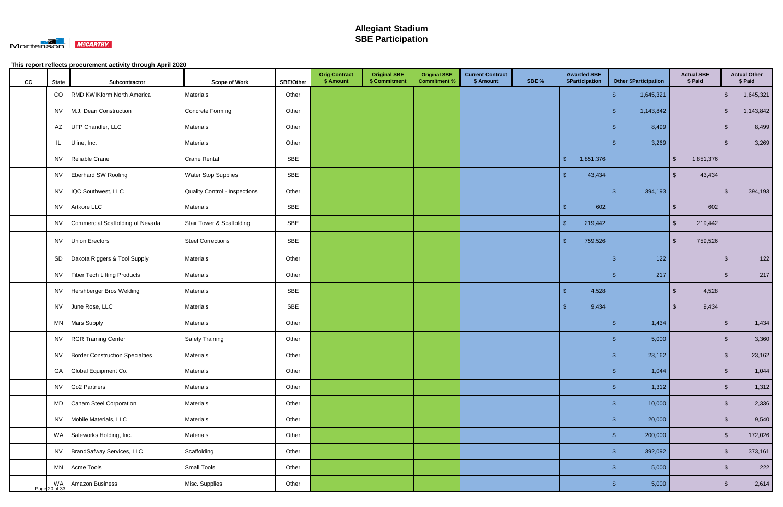

| cc | <b>State</b> | Subcontractor                        | <b>Scope of Work</b>                 | <b>SBE/Other</b> | <b>Orig Contract</b><br>\$ Amount | <b>Original SBE</b><br>\$ Commitment | <b>Original SBE</b><br><b>Commitment %</b> | <b>Current Contract</b><br>\$ Amount | SBE % | <b>Awarded SBE</b><br>\$Participation |                    | <b>Other \$Participation</b> |                         | <b>Actual SBE</b><br>\$ Paid |               | <b>Actual Other</b><br>\$ Paid |
|----|--------------|--------------------------------------|--------------------------------------|------------------|-----------------------------------|--------------------------------------|--------------------------------------------|--------------------------------------|-------|---------------------------------------|--------------------|------------------------------|-------------------------|------------------------------|---------------|--------------------------------|
|    | CO           | <b>RMD KWIKform North America</b>    | <b>Materials</b>                     | Other            |                                   |                                      |                                            |                                      |       |                                       | -\$                | 1,645,321                    |                         |                              | $\sqrt{2}$    | 1,645,321                      |
|    |              | NV   M.J. Dean Construction          | Concrete Forming                     | Other            |                                   |                                      |                                            |                                      |       |                                       | -\$                | 1,143,842                    |                         |                              | $\sqrt{2}$    | 1,143,842                      |
|    |              | AZ UFP Chandler, LLC                 | <b>Materials</b>                     | Other            |                                   |                                      |                                            |                                      |       |                                       | - \$               | 8,499                        |                         |                              | $\sqrt[3]{2}$ | 8,499                          |
|    | IL.          | Uline, Inc.                          | Materials                            | Other            |                                   |                                      |                                            |                                      |       |                                       |                    | 3,269                        |                         |                              | -\$           | 3,269                          |
|    |              | NV Reliable Crane                    | <b>Crane Rental</b>                  | SBE              |                                   |                                      |                                            |                                      |       | $\sqrt{2}$<br>1,851,376               |                    |                              | $\sqrt[6]{\frac{1}{2}}$ | 1,851,376                    |               |                                |
|    |              | NV Eberhard SW Roofing               | <b>Water Stop Supplies</b>           | SBE              |                                   |                                      |                                            |                                      |       | 43,434<br>\$                          |                    |                              | $\sqrt[6]{\frac{1}{2}}$ | 43,434                       |               |                                |
|    |              | NV   IQC Southwest, LLC              | <b>Quality Control - Inspections</b> | Other            |                                   |                                      |                                            |                                      |       |                                       | -\$                | 394,193                      |                         |                              | \$            | 394,193                        |
|    |              | NV Artkore LLC                       | <b>Materials</b>                     | SBE              |                                   |                                      |                                            |                                      |       | $\sqrt{2}$<br>602                     |                    |                              | $\sqrt[6]{2}$           | 602                          |               |                                |
|    |              | NV Commercial Scaffolding of Nevada  | Stair Tower & Scaffolding            | SBE              |                                   |                                      |                                            |                                      |       | $\sqrt{2}$<br>219,442                 |                    |                              | $\sqrt[6]{2}$           | 219,442                      |               |                                |
|    |              | NV <b>Union Erectors</b>             | <b>Steel Corrections</b>             | SBE              |                                   |                                      |                                            |                                      |       | $\sqrt{2}$<br>759,526                 |                    |                              | $\sqrt[6]{2}$           | 759,526                      |               |                                |
|    |              | SD   Dakota Riggers & Tool Supply    | <b>Materials</b>                     | Other            |                                   |                                      |                                            |                                      |       |                                       | -S                 | 122                          |                         |                              | -\$           | 122                            |
|    |              | NV   Fiber Tech Lifting Products     | <b>Materials</b>                     | Other            |                                   |                                      |                                            |                                      |       |                                       | S                  | 217                          |                         |                              | $\sqrt[6]{3}$ | 217                            |
|    |              | NV   Hershberger Bros Welding        | <b>Materials</b>                     | SBE              |                                   |                                      |                                            |                                      |       | 4,528<br>$\sqrt[6]{3}$                |                    |                              | $\sqrt[6]{2}$           | 4,528                        |               |                                |
|    |              | NV June Rose, LLC                    | <b>Materials</b>                     | SBE              |                                   |                                      |                                            |                                      |       | 9,434<br>$\sqrt[6]{3}$                |                    |                              | -\$                     | 9,434                        |               |                                |
|    |              | MN Mars Supply                       | <b>Materials</b>                     | Other            |                                   |                                      |                                            |                                      |       |                                       | -\$                | 1,434                        |                         |                              | $\sqrt[3]{2}$ | 1,434                          |
|    |              | NV RGR Training Center               | Safety Training                      | Other            |                                   |                                      |                                            |                                      |       |                                       | R                  | 5,000                        |                         |                              | \$            | 3,360                          |
|    |              | NV   Border Construction Specialties | <b>Materials</b>                     | Other            |                                   |                                      |                                            |                                      |       |                                       | $\hat{\mathbf{r}}$ | 23,162                       |                         |                              | $\sqrt{2}$    | 23,162                         |
|    |              | GA Global Equipment Co.              | <b>Materials</b>                     | Other            |                                   |                                      |                                            |                                      |       |                                       | $\sqrt[6]{3}$      | 1,044                        |                         |                              | $\sqrt{3}$    | 1,044                          |
|    |              | NV Go2 Partners                      | <b>Materials</b>                     | Other            |                                   |                                      |                                            |                                      |       |                                       | -\$                | 1,312                        |                         |                              | $\sqrt[6]{3}$ | 1,312                          |
|    |              | MD Canam Steel Corporation           | <b>Materials</b>                     | Other            |                                   |                                      |                                            |                                      |       |                                       | -\$                | 10,000                       |                         |                              | $\sqrt[6]{3}$ | 2,336                          |
|    |              | NV Mobile Materials, LLC             | <b>Materials</b>                     | Other            |                                   |                                      |                                            |                                      |       |                                       | -\$                | 20,000                       |                         |                              | $\sqrt{2}$    | 9,540                          |
|    |              | WA Safeworks Holding, Inc.           | <b>Materials</b>                     | Other            |                                   |                                      |                                            |                                      |       |                                       | -S                 | 200,000                      |                         |                              | $\sqrt[3]{2}$ | 172,026                        |
|    |              | NV  BrandSafway Services, LLC        | Scaffolding                          | Other            |                                   |                                      |                                            |                                      |       |                                       | -\$                | 392,092                      |                         |                              | $\sqrt[3]{2}$ | 373,161                        |
|    |              | MN Acme Tools                        | <b>Small Tools</b>                   | Other            |                                   |                                      |                                            |                                      |       |                                       | -\$                | 5,000                        |                         |                              | $\sqrt[6]{3}$ | 222                            |
|    |              | WA Amazon Business<br>Page 20 of 33  | Misc. Supplies                       | Other            |                                   |                                      |                                            |                                      |       |                                       | -\$                | 5,000                        |                         |                              | $\sqrt{2}$    | 2,614                          |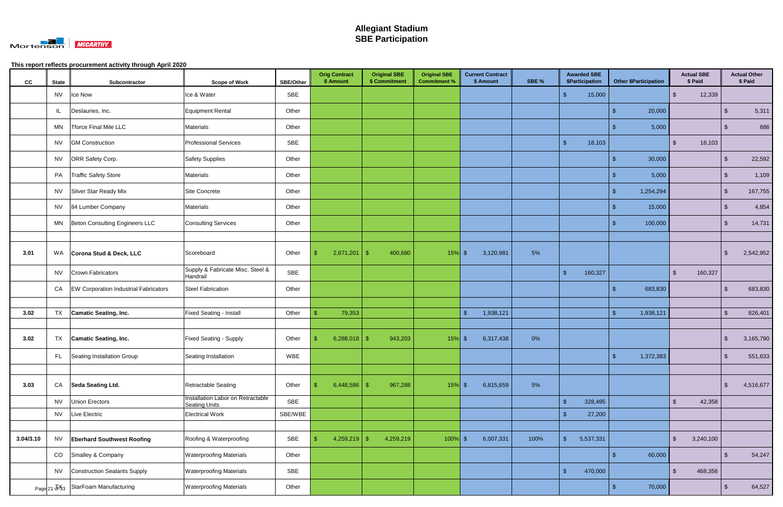

| cc        | <b>State</b> | Subcontractor                                | <b>Scope of Work</b>                                      | <b>SBE/Other</b> | <b>Orig Contract</b><br>\$ Amount | <b>Original SBE</b><br>\$ Commitment | <b>Original SBE</b><br><b>Commitment %</b> | <b>Current Contract</b><br>\$ Amount | SBE % | <b>Awarded SBE</b><br>\$Participation |               | <b>Other \$Participation</b> | <b>Actual SBE</b><br>\$ Paid       |                         | <b>Actual Other</b><br>\$ Paid |
|-----------|--------------|----------------------------------------------|-----------------------------------------------------------|------------------|-----------------------------------|--------------------------------------|--------------------------------------------|--------------------------------------|-------|---------------------------------------|---------------|------------------------------|------------------------------------|-------------------------|--------------------------------|
|           | <b>NV</b>    | Ice Now                                      | Ice & Water                                               | SBE              |                                   |                                      |                                            |                                      |       | 15,000                                |               |                              | 12,339<br>-\$                      |                         |                                |
|           | IL.          | Deslauries, Inc.                             | Equipment Rental                                          | Other            |                                   |                                      |                                            |                                      |       |                                       | $\mathbf{\$}$ | 20,000                       |                                    | - \$                    | 5,311                          |
|           | MN           | Tforce Final Mile LLC                        | <b>Materials</b>                                          | Other            |                                   |                                      |                                            |                                      |       |                                       | - S           | 5,000                        |                                    | ්                       | 886                            |
|           | <b>NV</b>    | <b>GM Construction</b>                       | <b>Professional Services</b>                              | SBE              |                                   |                                      |                                            |                                      |       | 18,103<br>\$                          |               |                              | 18,103<br>. ዩ                      |                         |                                |
|           | <b>NV</b>    | ORR Safety Corp.                             | <b>Safety Supplies</b>                                    | Other            |                                   |                                      |                                            |                                      |       |                                       | -\$           | 30,000                       |                                    | -\$                     | 22,592                         |
|           | PA           | <b>Traffic Safety Store</b>                  | Materials                                                 | Other            |                                   |                                      |                                            |                                      |       |                                       |               | 5,000                        |                                    | -\$                     | 1,109                          |
|           |              | NV Silver Star Ready Mix                     | Site Concrete                                             | Other            |                                   |                                      |                                            |                                      |       |                                       | -\$           | 1,254,294                    |                                    | \$                      | 167,755                        |
|           | <b>NV</b>    | 84 Lumber Company                            | Materials                                                 | Other            |                                   |                                      |                                            |                                      |       |                                       | -\$           | 15,000                       |                                    | $\sqrt[6]{3}$           | 4,854                          |
|           | MN           | Beton Consulting Engineers LLC               | <b>Consulting Services</b>                                | Other            |                                   |                                      |                                            |                                      |       |                                       | -\$           | 100,000                      |                                    | \$                      | 14,731                         |
|           |              |                                              |                                                           |                  |                                   |                                      |                                            |                                      |       |                                       |               |                              |                                    |                         |                                |
| 3.01      | WA           | Corona Stud & Deck, LLC                      | Scoreboard                                                | Other            | 2,671,201                         | $\sqrt[6]{3}$<br>400,680             | $15%$ \$                                   | 3,120,981                            | 5%    |                                       |               |                              |                                    | \$                      | 2,542,952                      |
|           | <b>NV</b>    | Crown Fabricators                            | Supply & Fabricate Misc. Steel &<br>Handrail              | SBE              |                                   |                                      |                                            |                                      |       | 160,327<br>\$                         |               |                              | \$<br>160,327                      |                         |                                |
|           | CA           | <b>EW Corporation Industrial Fabricators</b> | <b>Steel Fabrication</b>                                  | Other            |                                   |                                      |                                            |                                      |       |                                       |               | 683,830                      |                                    | $\mathfrak{L}$          | 683,830                        |
|           |              |                                              |                                                           |                  |                                   |                                      |                                            |                                      |       |                                       |               |                              |                                    |                         |                                |
| 3.02      | <b>TX</b>    | <b>Camatic Seating, Inc.</b>                 | Fixed Seating - Install                                   | Other            | 79,353                            |                                      |                                            | 1,938,121<br>-\$                     |       |                                       | $\mathbf{f}$  | 1,938,121                    |                                    | $\sqrt[6]{\frac{1}{2}}$ | 826,401                        |
|           |              |                                              |                                                           |                  |                                   |                                      |                                            |                                      |       |                                       |               |                              |                                    |                         |                                |
| 3.02      | TX           | Camatic Seating, Inc.                        | <b>Fixed Seating - Supply</b>                             | Other            | $6,288,018$ \$                    | 943,203                              | $15%$ \$                                   | 6,317,438                            | 0%    |                                       |               |                              |                                    | \$                      | 3,165,790                      |
|           | FL.          | Seating Installation Group                   | Seating Installation                                      | WBE              |                                   |                                      |                                            |                                      |       |                                       | $\mathsf{\$}$ | 1,372,383                    |                                    | $\sqrt{2}$              | 551,633                        |
|           |              |                                              |                                                           |                  |                                   |                                      |                                            |                                      |       |                                       |               |                              |                                    |                         |                                |
| 3.03      | CA           | Seda Seating Ltd.                            | Retractable Seating                                       | Other            | $6,448,586$ \$                    | 967,288                              | $15%$ \$                                   | 6,815,659                            | 5%    |                                       |               |                              |                                    | $\sqrt{2}$              | 4,516,677                      |
|           | <b>NV</b>    | Union Erectors                               | Installation Labor on Retractable<br><b>Seating Units</b> | SBE              |                                   |                                      |                                            |                                      |       | $\mathsf{\$}$<br>328,495              |               |                              | $\mathfrak{s}$<br>42,358           |                         |                                |
|           | <b>NV</b>    | Live Electric                                | <b>Electrical Work</b>                                    | SBE/WBE          |                                   |                                      |                                            |                                      |       | 27,200                                |               |                              |                                    |                         |                                |
|           |              |                                              |                                                           |                  |                                   |                                      |                                            |                                      |       |                                       |               |                              |                                    |                         |                                |
| 3.04/3.10 | <b>NV</b>    | <b>Eberhard Southwest Roofing</b>            | Roofing & Waterproofing                                   | SBE              | $4,259,219$ \$                    | 4,259,219                            | $100\%$ \$                                 | 6,007,331                            | 100%  | 5,537,331<br>\$                       |               |                              | 3,240,100<br>$\mathfrak{L}$        |                         |                                |
|           | CO           | Smalley & Company                            | <b>Waterproofing Materials</b>                            | Other            |                                   |                                      |                                            |                                      |       |                                       | -\$           | 60,000                       |                                    | \$                      | 54,247                         |
|           | <b>NV</b>    | <b>Construction Sealants Supply</b>          | <b>Waterproofing Materials</b>                            | SBE              |                                   |                                      |                                            |                                      |       | 470,000<br>$\sqrt[6]{3}$              |               |                              | $\sqrt[6]{\frac{1}{2}}$<br>468,356 |                         |                                |
|           |              | Page 21 Jr 33 StarFoam Manufacturing         | <b>Waterproofing Materials</b>                            | Other            |                                   |                                      |                                            |                                      |       |                                       | $\sqrt{3}$    | 70,000                       |                                    | $\sqrt[6]{3}$           | 64,527                         |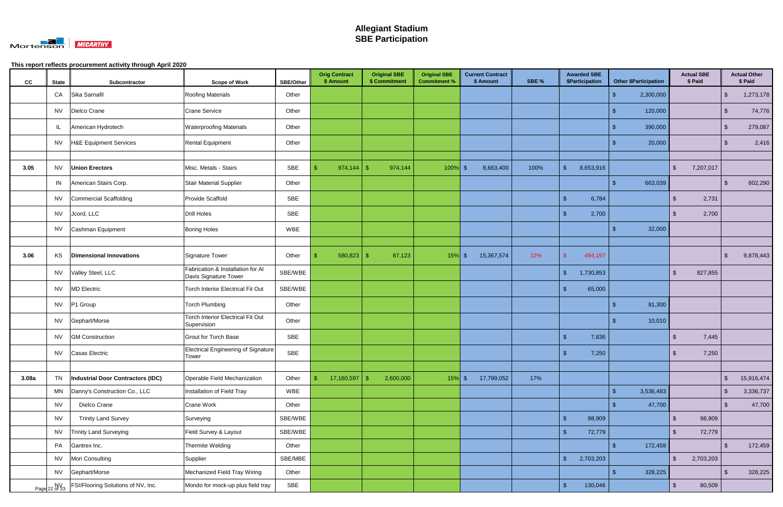

| cc    | <b>State</b>  | Subcontractor                      | <b>Scope of Work</b>                                       | <b>SBE/Other</b> | <b>Orig Contract</b><br>\$ Amount | <b>Original SBE</b><br>\$ Commitment | <b>Original SBE</b><br><b>Commitment %</b> | <b>Current Contract</b><br>\$ Amount | SBE % | <b>Awarded SBE</b><br>\$Participation | <b>Other \$Participation</b> | <b>Actual SBE</b><br>\$ Paid      |               | <b>Actual Other</b><br>\$ Paid |
|-------|---------------|------------------------------------|------------------------------------------------------------|------------------|-----------------------------------|--------------------------------------|--------------------------------------------|--------------------------------------|-------|---------------------------------------|------------------------------|-----------------------------------|---------------|--------------------------------|
|       | CA            | Sika Sarnafil                      | Roofing Materials                                          | Other            |                                   |                                      |                                            |                                      |       |                                       | 2,300,000<br>-\$             |                                   | $\sqrt{2}$    | 1,273,178                      |
|       |               | NV   Dielco Crane                  | <b>Crane Service</b>                                       | Other            |                                   |                                      |                                            |                                      |       |                                       | 120,000<br>-\$               |                                   | -\$           | 74,776                         |
|       | JL.           | American Hydrotech                 | <b>Waterproofing Materials</b>                             | Other            |                                   |                                      |                                            |                                      |       |                                       | 390,000<br>-\$               |                                   | $\sqrt{3}$    | 279,087                        |
|       | NV            | H&E Equipment Services             | <b>Rental Equipment</b>                                    | Other            |                                   |                                      |                                            |                                      |       |                                       | 20,000                       |                                   | -\$           | 2,416                          |
|       |               |                                    |                                                            |                  |                                   |                                      |                                            |                                      |       |                                       |                              |                                   |               |                                |
| 3.05  |               | NV <b>Union Erectors</b>           | Misc. Metals - Stairs                                      | SBE              |                                   | 974,144                              | $100\%$ \$                                 | 8,663,400                            | 100%  | 8,653,916<br>\$                       |                              | 7,207,017<br>$\sqrt[6]{3}$        |               |                                |
|       |               | IN American Stairs Corp.           | <b>Stair Material Supplier</b>                             | Other            |                                   |                                      |                                            |                                      |       |                                       | 663,039<br>-\$               |                                   | $\sqrt{3}$    | 602,290                        |
|       |               | NV Commercial Scaffolding          | Provide Scaffold                                           | <b>SBE</b>       |                                   |                                      |                                            |                                      |       | 6,784<br>\$                           |                              | 2,731<br>\$                       |               |                                |
|       |               | NV Jcord, LLC                      | <b>Drill Holes</b>                                         | SBE              |                                   |                                      |                                            |                                      |       | 2,700                                 |                              | 2,700<br>- \$                     |               |                                |
|       |               | NV Cashman Equipment               | <b>Boring Holes</b>                                        | <b>WBE</b>       |                                   |                                      |                                            |                                      |       |                                       | 32,000<br>-\$                |                                   |               |                                |
|       |               |                                    |                                                            |                  |                                   |                                      |                                            |                                      |       |                                       |                              |                                   |               |                                |
| 3.06  | KS            | <b>Dimensional Innovations</b>     | Signature Tower                                            | Other            | 580,823<br>- \$                   | 87,123<br>-\$                        | $15\%$ \$                                  | 15,367,574                           | 12%   | 494,197                               |                              |                                   | \$            | 9,878,443                      |
|       | <b>NV</b>     | Valley Steel, LLC                  | Fabrication & Installation for Al<br>Davis Signature Tower | SBE/WBE          |                                   |                                      |                                            |                                      |       | $\mathfrak{s}$<br>1,730,853           |                              | $\mathfrak{L}$<br>827,855         |               |                                |
|       | <b>NV</b>     | <b>MD Electric</b>                 | <b>Torch Interior Electrical Fit Out</b>                   | SBE/WBE          |                                   |                                      |                                            |                                      |       | 65,000                                |                              |                                   |               |                                |
|       | <b>NV</b>     | P1 Group                           | <b>Torch Plumbing</b>                                      | Other            |                                   |                                      |                                            |                                      |       |                                       | 81,300<br>-\$                |                                   |               |                                |
|       |               | NV Gephart/Morse                   | <b>Torch Interior Electrical Fit Out</b><br>Supervision    | Other            |                                   |                                      |                                            |                                      |       |                                       | 10,010                       |                                   |               |                                |
|       | NV            | <b>GM Construction</b>             | <b>Grout for Torch Base</b>                                | SBE              |                                   |                                      |                                            |                                      |       | 7,836<br>\$                           |                              | 7,445<br>-\$                      |               |                                |
|       |               | NV Casas Electric                  | <b>Electrical Engineering of Signature</b><br>Tower        | SBE              |                                   |                                      |                                            |                                      |       | 7,250                                 |                              | 7,250<br>-\$                      |               |                                |
|       |               |                                    |                                                            |                  |                                   |                                      |                                            |                                      |       |                                       |                              |                                   |               |                                |
| 3.08a | <b>TN</b>     | Industrial Door Contractors (IDC)  | Operable Field Mechanization                               | Other            | 17,160,597<br>S.                  | $\sqrt{3}$<br>2,600,000              | $15%$ \$                                   | 17,799,052                           | 17%   |                                       |                              |                                   | $\sqrt{2}$    | 15,916,474                     |
|       | <b>MN</b>     | Danny's Construction Co., LLC      | Installation of Field Tray                                 | WBE              |                                   |                                      |                                            |                                      |       |                                       | $\mathfrak{s}$<br>3,536,483  |                                   | $\sqrt[6]{3}$ | 3,336,737                      |
|       | <b>NV</b>     | Dielco Crane                       | Crane Work                                                 | Other            |                                   |                                      |                                            |                                      |       |                                       | 47,700<br>- S                |                                   | $\sqrt{2}$    | 47,700                         |
|       | <b>NV</b>     | <b>Trinity Land Survey</b>         | Surveying                                                  | SBE/WBE          |                                   |                                      |                                            |                                      |       | $\sqrt{2}$<br>98,909                  |                              | 98,909<br>\$                      |               |                                |
|       | <b>NV</b>     | <b>Trinity Land Surveying</b>      | Field Survey & Layout                                      | SBE/WBE          |                                   |                                      |                                            |                                      |       | 72,779<br>\$                          |                              | 72,779<br>\$                      |               |                                |
|       |               | PA Gantrex Inc.                    | Thermite Welding                                           | Other            |                                   |                                      |                                            |                                      |       |                                       | 172,459<br>-\$               |                                   | $\sqrt[6]{3}$ | 172,459                        |
|       |               | NV Mori Consulting                 | Supplier                                                   | SBE/MBE          |                                   |                                      |                                            |                                      |       | \$<br>2,703,203                       |                              | $\sqrt{2}$<br>2,703,203           |               |                                |
|       |               | NV Gephart/Morse                   | Mechanized Field Tray Wiring                               | Other            |                                   |                                      |                                            |                                      |       |                                       | $\mathcal{S}$<br>328,225     |                                   | $\sqrt[6]{3}$ | 328,225                        |
|       | Page 22 of 33 | FSI/Flooring Solutions of NV, Inc. | Mondo for mock-up plus field tray                          | SBE              |                                   |                                      |                                            |                                      |       | $\sqrt{2}$<br>130,046                 |                              | $\sqrt[6]{\frac{1}{2}}$<br>80,509 |               |                                |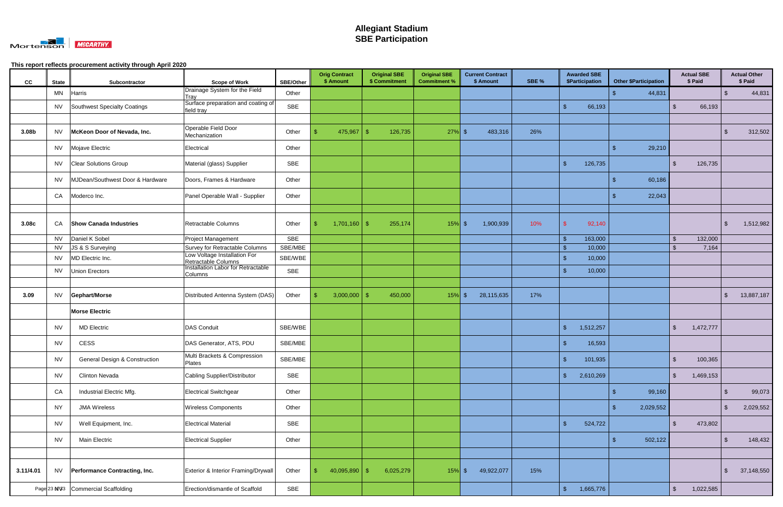

| cc        | <b>State</b> | Subcontractor                            | <b>Scope of Work</b>                                           | <b>SBE/Other</b> | <b>Orig Contract</b><br>\$ Amount | <b>Original SBE</b><br>\$ Commitment | <b>Original SBE</b><br><b>Commitment %</b> | <b>Current Contract</b><br>\$ Amount | SBE % | <b>Awarded SBE</b><br>\$Participation | <b>Other \$Participation</b> | <b>Actual SBE</b><br>\$ Paid       |               | <b>Actual Other</b><br>\$ Paid |
|-----------|--------------|------------------------------------------|----------------------------------------------------------------|------------------|-----------------------------------|--------------------------------------|--------------------------------------------|--------------------------------------|-------|---------------------------------------|------------------------------|------------------------------------|---------------|--------------------------------|
|           | MN           | Harris                                   | Drainage System for the Field<br>Tray                          | Other            |                                   |                                      |                                            |                                      |       |                                       | 44,831<br>\$                 |                                    | \$            | 44,831                         |
|           | <b>NV</b>    | Southwest Specialty Coatings             | Surface preparation and coating of<br>field tray               | <b>SBE</b>       |                                   |                                      |                                            |                                      |       | $\mathbf{\$}$<br>66,193               |                              | $\sqrt{2}$<br>66,193               |               |                                |
|           |              |                                          |                                                                |                  |                                   |                                      |                                            |                                      |       |                                       |                              |                                    |               |                                |
| 3.08b     | <b>NV</b>    | McKeon Door of Nevada, Inc.              | Operable Field Door<br>Mechanization                           | Other            | 475,967                           | 126,735<br>-\$                       | $27\%$ \$                                  | 483,316                              | 26%   |                                       |                              |                                    | - \$          | 312,502                        |
|           |              | NV Mojave Electric                       | Electrical                                                     | Other            |                                   |                                      |                                            |                                      |       |                                       | 29,210<br>-\$                |                                    |               |                                |
|           |              | NV Clear Solutions Group                 | Material (glass) Supplier                                      | <b>SBE</b>       |                                   |                                      |                                            |                                      |       | $\mathbf{\$}$<br>126,735              |                              | $\sqrt[6]{\frac{1}{2}}$<br>126,735 |               |                                |
|           | NV           | MJDean/Southwest Door & Hardware         | Doors, Frames & Hardware                                       | Other            |                                   |                                      |                                            |                                      |       |                                       | -\$<br>60,186                |                                    |               |                                |
|           | CA           | Moderco Inc.                             | Panel Operable Wall - Supplier                                 | Other            |                                   |                                      |                                            |                                      |       |                                       | 22,043                       |                                    |               |                                |
| 3.08c     | CA           | <b>Show Canada Industries</b>            | Retractable Columns                                            | Other            |                                   | 255,174                              | $15\%$ \$                                  | 1,900,939                            | 10%   | 92,140                                |                              |                                    | \$.           | 1,512,982                      |
|           |              | NV Daniel K Sobel                        | Project Management                                             | <b>SBE</b>       |                                   |                                      |                                            |                                      |       | 163,000<br>$\sqrt[6]{3}$              |                              | $\sqrt[6]{\frac{1}{2}}$<br>132,000 |               |                                |
|           | <b>NV</b>    | JS & S Surveying                         | Survey for Retractable Columns<br>Low Voltage Installation For | SBE/MBE          |                                   |                                      |                                            |                                      |       | -\$<br>10,000                         |                              | $\mathcal{L}$<br>7,164             |               |                                |
|           | <b>NV</b>    | MD Electric Inc.                         | Retractable Columns<br>Installation Labor for Retractable      | SBE/WBE          |                                   |                                      |                                            |                                      |       | 10,000<br>\$                          |                              |                                    |               |                                |
|           | <b>NV</b>    | Union Erectors                           | <b>Columns</b>                                                 | SBE              |                                   |                                      |                                            |                                      |       | 10,000<br>\$                          |                              |                                    |               |                                |
|           |              |                                          |                                                                |                  |                                   |                                      |                                            |                                      |       |                                       |                              |                                    |               |                                |
| 3.09      |              | NV Gephart/Morse                         | Distributed Antenna System (DAS)                               | Other            | 3,000,000                         | 450,000<br>-\$                       | $15%$ \$                                   | 28,115,635                           | 17%   |                                       |                              |                                    | $\sqrt[6]{3}$ | 13,887,187                     |
|           |              | <b>Morse Electric</b>                    |                                                                |                  |                                   |                                      |                                            |                                      |       |                                       |                              |                                    |               |                                |
|           | NV.          | <b>MD Electric</b>                       | <b>DAS Conduit</b>                                             | SBE/WBE          |                                   |                                      |                                            |                                      |       | 1,512,257<br>$\mathfrak{L}$           |                              | $\sqrt[6]{2}$<br>1,472,777         |               |                                |
|           | NV           | <b>CESS</b>                              | DAS Generator, ATS, PDU                                        | SBE/MBE          |                                   |                                      |                                            |                                      |       | 16,593                                |                              |                                    |               |                                |
|           | <b>NV</b>    | <b>General Design &amp; Construction</b> | Multi Brackets & Compression<br>Plates                         | SBE/MBE          |                                   |                                      |                                            |                                      |       | 101,935<br>\$                         |                              | 100,365<br>-\$                     |               |                                |
|           | <b>NV</b>    | <b>Clinton Nevada</b>                    | <b>Cabling Supplier/Distributor</b>                            | SBE              |                                   |                                      |                                            |                                      |       | $\sqrt{3}$<br>2,610,269               |                              | $\sqrt[6]{2}$<br>1,469,153         |               |                                |
|           | CA           | Industrial Electric Mfg.                 | <b>Electrical Switchgear</b>                                   | Other            |                                   |                                      |                                            |                                      |       |                                       | 99,160<br>-\$                |                                    | $\sqrt[3]{2}$ | 99,073                         |
|           | <b>NY</b>    | <b>JMA Wireless</b>                      | <b>Wireless Components</b>                                     | Other            |                                   |                                      |                                            |                                      |       |                                       | 2,029,552<br>-\$             |                                    | \$            | 2,029,552                      |
|           | <b>NV</b>    | Well Equipment, Inc.                     | <b>Electrical Material</b>                                     | SBE              |                                   |                                      |                                            |                                      |       | $\sqrt{2}$<br>524,722                 |                              | $\sqrt[6]{2}$<br>473,802           |               |                                |
|           | <b>NV</b>    | Main Electric                            | <b>Electrical Supplier</b>                                     | Other            |                                   |                                      |                                            |                                      |       |                                       | 502,122<br>-\$               |                                    | $\sqrt[3]{2}$ | 148,432                        |
|           |              |                                          |                                                                |                  |                                   |                                      |                                            |                                      |       |                                       |                              |                                    |               |                                |
| 3.11/4.01 |              | NV Performance Contracting, Inc.         | Exterior & Interior Framing/Drywall                            | Other            | $40,095,890$ \$<br>-\$            | 6,025,279                            | $15\%$ \$                                  | 49,922,077                           | 15%   |                                       |                              |                                    | -\$           | 37,148,550                     |
|           |              | Page 23 N\%3 Commercial Scaffolding      | Erection/dismantle of Scaffold                                 | SBE              |                                   |                                      |                                            |                                      |       | $\mathsf{\$}$<br>1,665,776            |                              | $\sqrt{2}$<br>1,022,585            |               |                                |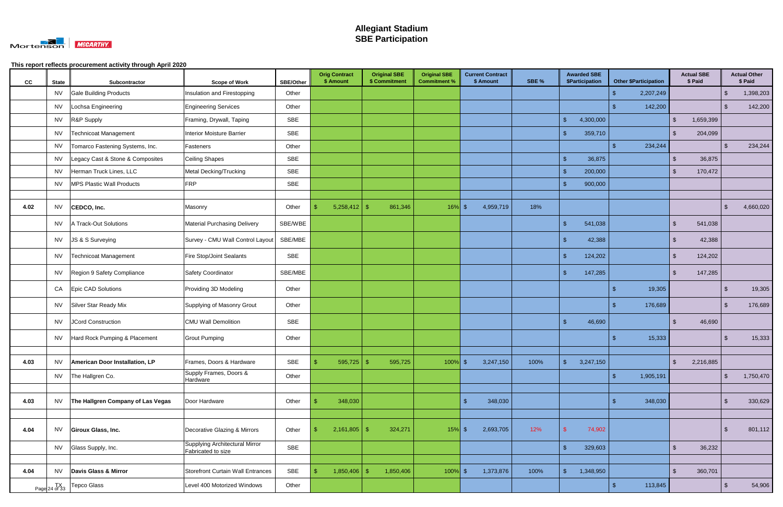

| cc   | <b>State</b>                 | Subcontractor                          | <b>Scope of Work</b>                                        | <b>SBE/Other</b> | <b>Orig Contract</b><br>\$ Amount | <b>Original SBE</b><br>\$ Commitment | <b>Original SBE</b><br><b>Commitment %</b> | <b>Current Contract</b><br>\$ Amount | SBE % | <b>Awarded SBE</b><br>\$Participation |           |               | <b>Other \$Participation</b> |                         | <b>Actual SBE</b><br>\$ Paid |                         | <b>Actual Other</b><br>\$ Paid |
|------|------------------------------|----------------------------------------|-------------------------------------------------------------|------------------|-----------------------------------|--------------------------------------|--------------------------------------------|--------------------------------------|-------|---------------------------------------|-----------|---------------|------------------------------|-------------------------|------------------------------|-------------------------|--------------------------------|
|      | <b>NV</b>                    | <b>Gale Building Products</b>          | Insulation and Firestopping                                 | Other            |                                   |                                      |                                            |                                      |       |                                       |           |               | 2,207,249                    |                         |                              | $\sqrt[6]{\frac{1}{2}}$ | 1,398,203                      |
|      | <b>NV</b>                    | Lochsa Engineering                     | <b>Engineering Services</b>                                 | Other            |                                   |                                      |                                            |                                      |       |                                       |           | -\$           | 142,200                      |                         |                              | $\sqrt[6]{\frac{1}{2}}$ | 142,200                        |
|      | <b>NV</b>                    | R&P Supply                             | Framing, Drywall, Taping                                    | <b>SBE</b>       |                                   |                                      |                                            |                                      |       | $\mathfrak{s}$                        | 4,300,000 |               |                              | $\mathfrak{L}$          | 1,659,399                    |                         |                                |
|      | NV                           | <b>Technicoat Management</b>           | Interior Moisture Barrier                                   | SBE              |                                   |                                      |                                            |                                      |       | $\sqrt{3}$                            | 359,710   |               |                              | $\mathfrak{S}$          | 204,099                      |                         |                                |
|      | <b>NV</b>                    | Tomarco Fastening Systems, Inc.        | Fasteners                                                   | Other            |                                   |                                      |                                            |                                      |       |                                       |           | $\mathbf{\$}$ | 234,244                      |                         |                              | $\sqrt[6]{2}$           | 234,244                        |
|      | NV                           | Legacy Cast & Stone & Composites       | <b>Ceiling Shapes</b>                                       | <b>SBE</b>       |                                   |                                      |                                            |                                      |       |                                       | 36,875    |               |                              | $\mathfrak{L}$          | 36,875                       |                         |                                |
|      | <b>NV</b>                    | Herman Truck Lines, LLC                | Metal Decking/Trucking                                      | <b>SBE</b>       |                                   |                                      |                                            |                                      |       | $\mathsf{\$}$                         | 200,000   |               |                              | $\mathfrak{L}$          | 170,472                      |                         |                                |
|      | NV                           | <b>MPS Plastic Wall Products</b>       | <b>FRP</b>                                                  | SBE              |                                   |                                      |                                            |                                      |       | $\mathfrak{s}$                        | 900,000   |               |                              |                         |                              |                         |                                |
|      |                              |                                        |                                                             |                  |                                   |                                      |                                            |                                      |       |                                       |           |               |                              |                         |                              |                         |                                |
| 4.02 | <b>NV</b>                    | CEDCO, Inc.                            | Masonry                                                     | Other            | $5,258,412$ \$                    | 861,346                              | $16\%$ \$                                  | 4,959,719                            | 18%   |                                       |           |               |                              |                         |                              | $\mathfrak{S}$          | 4,660,020                      |
|      | <b>NV</b>                    | A Track-Out Solutions                  | <b>Material Purchasing Delivery</b>                         | SBE/WBE          |                                   |                                      |                                            |                                      |       | $\mathfrak{L}$                        | 541,038   |               |                              | $\mathfrak{L}$          | 541,038                      |                         |                                |
|      | <b>NV</b>                    | JS & S Surveying                       | Survey - CMU Wall Control Layout                            | SBE/MBE          |                                   |                                      |                                            |                                      |       | \$                                    | 42,388    |               |                              | -\$                     | 42,388                       |                         |                                |
|      | NV                           | Technicoat Management                  | Fire Stop/Joint Sealants                                    | SBE              |                                   |                                      |                                            |                                      |       | $\mathfrak{s}$                        | 124,202   |               |                              | $\mathfrak{L}$          | 124,202                      |                         |                                |
|      | <b>NV</b>                    | Region 9 Safety Compliance             | <b>Safety Coordinator</b>                                   | SBE/MBE          |                                   |                                      |                                            |                                      |       | $\mathfrak{L}$                        | 147,285   |               |                              | $\mathfrak{L}$          | 147,285                      |                         |                                |
|      | CA                           | <b>Epic CAD Solutions</b>              | Providing 3D Modeling                                       | Other            |                                   |                                      |                                            |                                      |       |                                       |           |               | 19,305                       |                         |                              | -S                      | 19,305                         |
|      |                              | NV Silver Star Ready Mix               | Supplying of Masonry Grout                                  | Other            |                                   |                                      |                                            |                                      |       |                                       |           |               | 176,689                      |                         |                              | $\sqrt[6]{3}$           | 176,689                        |
|      | NV                           | <b>JCord Construction</b>              | <b>CMU Wall Demolition</b>                                  | <b>SBE</b>       |                                   |                                      |                                            |                                      |       | $\mathfrak{s}$                        | 46,690    |               |                              | \$                      | 46,690                       |                         |                                |
|      | NV                           | Hard Rock Pumping & Placement          | <b>Grout Pumping</b>                                        | Other            |                                   |                                      |                                            |                                      |       |                                       |           | -9            | 15,333                       |                         |                              | -\$                     | 15,333                         |
| 4.03 | <b>NV</b>                    | American Door Installation, LP         | Frames, Doors & Hardware                                    | SBE              | $\vert$ \$<br>$595,725$ \$        | 595,725                              | $100\%$ \$                                 | 3,247,150                            | 100%  | $\mathsf{S}$                          | 3,247,150 |               |                              | $\sqrt{3}$              | 2,216,885                    |                         |                                |
|      | <b>NV</b>                    | The Hallgren Co.                       | Supply Frames, Doors &                                      | Other            |                                   |                                      |                                            |                                      |       |                                       |           | $\mathcal{S}$ | 1,905,191                    |                         |                              | $\sqrt{2}$              | 1,750,470                      |
|      |                              |                                        | Hardware                                                    |                  |                                   |                                      |                                            |                                      |       |                                       |           |               |                              |                         |                              |                         |                                |
| 4.03 |                              | NV   The Hallgren Company of Las Vegas | Door Hardware                                               | Other            | 348,030                           |                                      |                                            | 348,030<br>$\sqrt[6]{3}$             |       |                                       |           | -9            | 348,030                      |                         |                              | $\sqrt[6]{\frac{1}{2}}$ | 330,629                        |
|      |                              |                                        |                                                             |                  |                                   |                                      |                                            |                                      |       |                                       |           |               |                              |                         |                              |                         |                                |
| 4.04 | <b>NV</b>                    | Giroux Glass, Inc.                     | Decorative Glazing & Mirrors                                | Other            | 2,161,805                         | 324,271<br>-\$                       | $15%$ \$                                   | 2,693,705                            | 12%   | $\mathsf{\$}$                         | 74,902    |               |                              |                         |                              | $\sqrt[6]{\frac{1}{2}}$ | 801,112                        |
|      |                              | NV Glass Supply, Inc.                  | <b>Supplying Architectural Mirror</b><br>Fabricated to size | SBE              |                                   |                                      |                                            |                                      |       | $\sqrt{2}$                            | 329,603   |               |                              | $\sqrt[6]{\frac{1}{2}}$ | 36,232                       |                         |                                |
|      |                              |                                        |                                                             |                  |                                   |                                      |                                            |                                      |       |                                       |           |               |                              |                         |                              |                         |                                |
| 4.04 | <b>NV</b>                    | Davis Glass & Mirror                   | <b>Storefront Curtain Wall Entrances</b>                    | SBE              | 1,850,406                         | 1,850,406<br>-\$                     | $100\%$ \$                                 | 1,373,876                            | 100%  | $\mathcal{L}$                         | 1,348,950 |               |                              | $\mathfrak{F}$          | 360,701                      |                         |                                |
|      | Page $24 \overline{d}$ of 33 | Tepco Glass                            | Level 400 Motorized Windows                                 | Other            |                                   |                                      |                                            |                                      |       |                                       |           | -\$           | 113,845                      |                         |                              | $\mathfrak{F}$          | 54,906                         |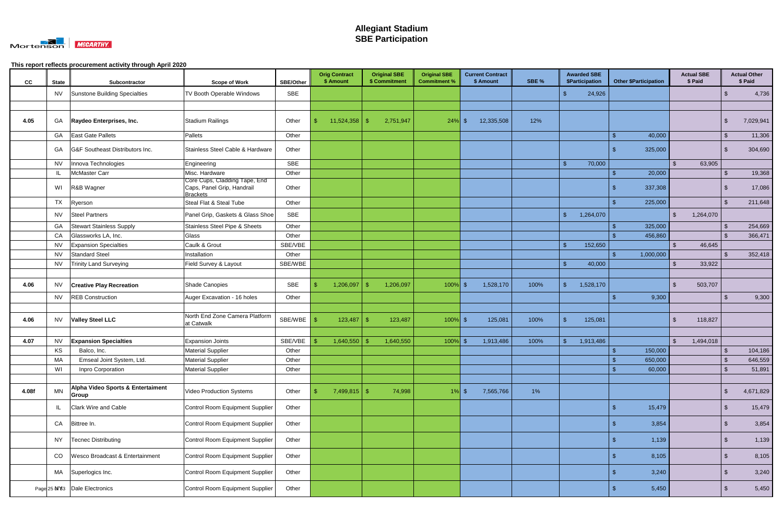

| cc    | <b>State</b> | Subcontractor                              | <b>Scope of Work</b>                                                           | <b>SBE/Other</b> | <b>Orig Contract</b><br>\$ Amount | <b>Original SBE</b><br>\$ Commitment | <b>Original SBE</b><br><b>Commitment %</b> | <b>Current Contract</b><br>\$ Amount | SBE % | <b>Awarded SBE</b><br><b>\$Participation</b> | <b>Other \$Participation</b> | <b>Actual SBE</b><br>\$ Paid         |                    | <b>Actual Other</b><br>\$ Paid |
|-------|--------------|--------------------------------------------|--------------------------------------------------------------------------------|------------------|-----------------------------------|--------------------------------------|--------------------------------------------|--------------------------------------|-------|----------------------------------------------|------------------------------|--------------------------------------|--------------------|--------------------------------|
|       | NV           | Sunstone Building Specialties              | TV Booth Operable Windows                                                      | SBE              |                                   |                                      |                                            |                                      |       | 24,926<br>\$.                                |                              |                                      | \$                 | 4,736                          |
|       |              |                                            |                                                                                |                  |                                   |                                      |                                            |                                      |       |                                              |                              |                                      |                    |                                |
| 4.05  | GA           | Raydeo Enterprises, Inc.                   | <b>Stadium Railings</b>                                                        | Other            | -S                                | 2,751,947                            | $24\%$ \$                                  | 12,335,508                           | 12%   |                                              |                              |                                      | -\$                | 7,029,941                      |
|       | GA           | East Gate Pallets                          | Pallets                                                                        | Other            |                                   |                                      |                                            |                                      |       |                                              | $\mathbf{\$}$<br>40,000      |                                      | $\mathfrak{F}$     | 11,306                         |
|       | GA           | G&F Southeast Distributors Inc.            | Stainless Steel Cable & Hardware                                               | Other            |                                   |                                      |                                            |                                      |       |                                              | 325,000                      |                                      | -\$                | 304,690                        |
|       | NV           | Innova Technologies                        | Engineering                                                                    | <b>SBE</b>       |                                   |                                      |                                            |                                      |       | $\mathcal{S}$<br>70,000                      |                              | $\mathbf{\$}$<br>63,905              |                    |                                |
|       | IL           | McMaster Carr                              | Misc. Hardware                                                                 | Other            |                                   |                                      |                                            |                                      |       |                                              | 20,000                       |                                      | \$                 | 19,368                         |
|       | WI           | R&B Wagner                                 | Core Cups, Cladding Tape, End<br>Caps, Panel Grip, Handrail<br><b>Brackets</b> | Other            |                                   |                                      |                                            |                                      |       |                                              | 337,308                      |                                      | - \$               | 17,086                         |
|       | <b>TX</b>    | Ryerson                                    | Steal Flat & Steal Tube                                                        | Other            |                                   |                                      |                                            |                                      |       |                                              | 225,000                      |                                      | $\mathbf{\hat{s}}$ | 211,648                        |
|       | NV           | <b>Steel Partners</b>                      | Panel Grip, Gaskets & Glass Shoe                                               | <b>SBE</b>       |                                   |                                      |                                            |                                      |       | $\mathfrak{L}$<br>1,264,070                  |                              | $\sqrt[6]{\frac{1}{2}}$<br>1,264,070 |                    |                                |
|       | GA           | <b>Stewart Stainless Supply</b>            | Stainless Steel Pipe & Sheets                                                  | Other            |                                   |                                      |                                            |                                      |       |                                              | 325,000                      |                                      | $\mathcal{L}$      | 254,669                        |
|       | CA           | Glassworks LA, Inc.                        | <b>Glass</b>                                                                   | Other            |                                   |                                      |                                            |                                      |       |                                              | 456,860                      |                                      | $\mathfrak{L}$     | 366,471                        |
|       | NV           | <b>Expansion Specialties</b>               | Caulk & Grout                                                                  | SBE/VBE          |                                   |                                      |                                            |                                      |       | <b>\$</b><br>152,650                         |                              | $\mathfrak{L}$<br>46,645             |                    |                                |
|       | <b>NV</b>    | <b>Standard Steel</b>                      | Installation                                                                   | Other            |                                   |                                      |                                            |                                      |       |                                              | 1,000,000<br>ፍ               |                                      | .\$                | 352,418                        |
|       | NV           | <b>Trinity Land Surveying</b>              | Field Survey & Layout                                                          | SBE/WBE          |                                   |                                      |                                            |                                      |       | $\mathbf{\hat{S}}$<br>40,000                 |                              | $\mathfrak{L}$<br>33,922             |                    |                                |
|       |              |                                            |                                                                                |                  |                                   |                                      |                                            |                                      |       |                                              |                              |                                      |                    |                                |
| 4.06  | NV.          | <b>Creative Play Recreation</b>            | Shade Canopies                                                                 | <b>SBE</b>       | 1,206,097                         | 1,206,097<br>-SS                     | 100%                                       | 1,528,170<br>l \$                    | 100%  | 1,528,170<br>\$                              |                              | $\mathbf{s}$<br>503,707              |                    |                                |
|       | <b>NV</b>    | <b>REB Construction</b>                    | Auger Excavation - 16 holes                                                    | Other            |                                   |                                      |                                            |                                      |       |                                              | 9,300                        |                                      | \$                 | 9,300                          |
|       |              |                                            |                                                                                |                  |                                   |                                      |                                            |                                      |       |                                              |                              |                                      |                    |                                |
| 4.06  | <b>NV</b>    | <b>Valley Steel LLC</b>                    | North End Zone Camera Platform<br>at Catwalk                                   | SBE/WBE          | 123,487<br>l \$                   | 123,487<br>-\$                       | $100\%$ \$                                 | 125,081                              | 100%  | \$<br>125,081                                |                              | $\mathbf{s}$<br>118,827              |                    |                                |
| 4.07  | NV.          | <b>Expansion Specialties</b>               | <b>Expansion Joints</b>                                                        | SBE/VBE          | 1,640,550                         | 1,640,550                            | 100%                                       | 1,913,486                            | 100%  | 1,913,486<br>ፍ                               |                              | $\mathbb{S}$<br>1,494,018            |                    |                                |
|       | KS           | Balco, Inc.                                | <b>Material Supplier</b>                                                       | Other            |                                   |                                      |                                            |                                      |       |                                              | 150,000                      |                                      | \$                 | 104, 186                       |
|       | MA           | Emseal Joint System, Ltd.                  | <b>Material Supplier</b>                                                       | Other            |                                   |                                      |                                            |                                      |       |                                              | 650,000<br>S                 |                                      | \$                 | 646,559                        |
|       | WI           | Inpro Corporation                          | <b>Material Supplier</b>                                                       | Other            |                                   |                                      |                                            |                                      |       |                                              | 60,000                       |                                      | $\mathfrak{F}$     | 51,891                         |
|       |              |                                            |                                                                                |                  |                                   |                                      |                                            |                                      |       |                                              |                              |                                      |                    |                                |
| 4.08f | <b>MN</b>    | Alpha Video Sports & Entertaiment<br>Group | Video Production Systems                                                       | Other            | $7,499,815$ \$                    | 74,998                               | $1\%$ \$                                   | 7,565,766                            | 1%    |                                              |                              |                                      | -\$                | 4,671,829                      |
|       | IL           | Clark Wire and Cable                       | Control Room Equipment Supplier                                                | Other            |                                   |                                      |                                            |                                      |       |                                              | 15,479<br>-S                 |                                      | $\sqrt[3]{2}$      | 15,479                         |
|       | CA           | Bittree In.                                | Control Room Equipment Supplier                                                | Other            |                                   |                                      |                                            |                                      |       |                                              | 3,854                        |                                      | $\sqrt{2}$         | 3,854                          |
|       |              | NY   Tecnec Distributing                   | Control Room Equipment Supplier                                                | Other            |                                   |                                      |                                            |                                      |       |                                              | 1,139<br>-\$                 |                                      | $\sqrt{2}$         | 1,139                          |
|       | CO           | <b>Wesco Broadcast &amp; Entertainment</b> | Control Room Equipment Supplier                                                | Other            |                                   |                                      |                                            |                                      |       |                                              | 8,105<br>-\$                 |                                      | $\sqrt{2}$         | 8,105                          |
|       |              | MA Superlogics Inc.                        | Control Room Equipment Supplier                                                | Other            |                                   |                                      |                                            |                                      |       |                                              | 3,240<br>-S                  |                                      | $\sqrt[6]{3}$      | 3,240                          |
|       |              | Page 25 N 83 Dale Electronics              | Control Room Equipment Supplier                                                | Other            |                                   |                                      |                                            |                                      |       |                                              | 5,450<br>-S                  |                                      | \$                 | 5,450                          |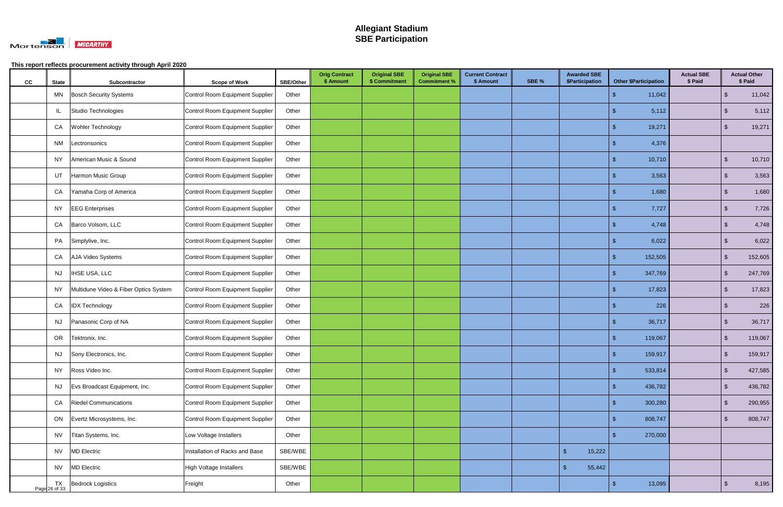

| cc | <b>State</b>    | Subcontractor                         | <b>Scope of Work</b>            | SBE/Other | <b>Orig Contract</b><br>\$ Amount | <b>Original SBE</b><br>\$ Commitment | <b>Original SBE</b><br><b>Commitment %</b> | <b>Current Contract</b><br>\$ Amount | SBE % | <b>Awarded SBE</b><br>\$Participation | <b>Other \$Participation</b> | <b>Actual SBE</b><br>\$ Paid |                         | <b>Actual Other</b><br>\$ Paid |
|----|-----------------|---------------------------------------|---------------------------------|-----------|-----------------------------------|--------------------------------------|--------------------------------------------|--------------------------------------|-------|---------------------------------------|------------------------------|------------------------------|-------------------------|--------------------------------|
|    | MN              | <b>Bosch Security Systems</b>         | Control Room Equipment Supplier | Other     |                                   |                                      |                                            |                                      |       |                                       | 11,042<br>-S                 |                              | -\$                     | 11,042                         |
|    | IL.             | Studio Technologies                   | Control Room Equipment Supplier | Other     |                                   |                                      |                                            |                                      |       |                                       | 5,112                        |                              | -\$                     | 5,112                          |
|    | CA              | Wohler Technology                     | Control Room Equipment Supplier | Other     |                                   |                                      |                                            |                                      |       |                                       | 19,271<br>-S                 |                              | $\mathbf{\$}$           | 19,271                         |
|    | NM              | Lectronsonics                         | Control Room Equipment Supplier | Other     |                                   |                                      |                                            |                                      |       |                                       | 4,376                        |                              |                         |                                |
|    | NY.             | American Music & Sound                | Control Room Equipment Supplier | Other     |                                   |                                      |                                            |                                      |       |                                       | 10,710                       |                              | -\$                     | 10,710                         |
|    | UT              | Harmon Music Group                    | Control Room Equipment Supplier | Other     |                                   |                                      |                                            |                                      |       |                                       | 3,563                        |                              | $\sqrt[6]{\frac{1}{2}}$ | 3,563                          |
|    | CA              | Yamaha Corp of America                | Control Room Equipment Supplier | Other     |                                   |                                      |                                            |                                      |       |                                       | 1,680<br>S                   |                              | $\sqrt[6]{3}$           | 1,680                          |
|    | NY              | <b>EEG</b> Enterprises                | Control Room Equipment Supplier | Other     |                                   |                                      |                                            |                                      |       |                                       | 7,727<br>Æ                   |                              | \$                      | 7,726                          |
|    | CA              | Barco Volsom, LLC                     | Control Room Equipment Supplier | Other     |                                   |                                      |                                            |                                      |       |                                       | 4,748                        |                              | $\mathfrak{S}$          | 4,748                          |
|    | PA              | Simplylive, Inc.                      | Control Room Equipment Supplier | Other     |                                   |                                      |                                            |                                      |       |                                       | 6,022<br>S                   |                              | \$                      | 6,022                          |
|    | CA              | AJA Video Systems                     | Control Room Equipment Supplier | Other     |                                   |                                      |                                            |                                      |       |                                       | 152,505                      |                              | $\mathfrak{S}$          | 152,605                        |
|    | <b>NJ</b>       | <b>IHSE USA, LLC</b>                  | Control Room Equipment Supplier | Other     |                                   |                                      |                                            |                                      |       |                                       | 347,769                      |                              | $\mathbf{\$}$           | 247,769                        |
|    | NY              | Multidune Video & Fiber Optics System | Control Room Equipment Supplier | Other     |                                   |                                      |                                            |                                      |       |                                       | 17,823                       |                              | .S                      | 17,823                         |
|    | CA              | <b>IDX Technology</b>                 | Control Room Equipment Supplier | Other     |                                   |                                      |                                            |                                      |       |                                       |                              | 226                          | -\$                     | 226                            |
|    | NJ              | Panasonic Corp of NA                  | Control Room Equipment Supplier | Other     |                                   |                                      |                                            |                                      |       |                                       | 36,717                       |                              | \$                      | 36,717                         |
|    | OR              | Tektronix, Inc.                       | Control Room Equipment Supplier | Other     |                                   |                                      |                                            |                                      |       |                                       | 119,067<br>S                 |                              | $\sqrt[6]{3}$           | 119,067                        |
|    |                 | NJ Sony Electronics, Inc.             | Control Room Equipment Supplier | Other     |                                   |                                      |                                            |                                      |       |                                       | 159,917                      |                              | \$                      | 159,917                        |
|    | NY              | Ross Video Inc.                       | Control Room Equipment Supplier | Other     |                                   |                                      |                                            |                                      |       |                                       | 533,814                      |                              | $\mathfrak{S}$          | 427,585                        |
|    | NJ              | Evs Broadcast Equipment, Inc.         | Control Room Equipment Supplier | Other     |                                   |                                      |                                            |                                      |       |                                       | 436,782<br>-\$               |                              | $\sqrt[6]{3}$           | 436,782                        |
|    | CA              | <b>Riedel Communications</b>          | Control Room Equipment Supplier | Other     |                                   |                                      |                                            |                                      |       |                                       | 300,280<br>S                 |                              | $\mathfrak{S}$          | 290,955                        |
|    | ON              | Evertz Microsystems, Inc.             | Control Room Equipment Supplier | Other     |                                   |                                      |                                            |                                      |       |                                       | 808,747<br>-\$               |                              | \$                      | 808,747                        |
|    | <b>NV</b>       | Titan Systems, Inc.                   | Low Voltage Installers          | Other     |                                   |                                      |                                            |                                      |       |                                       | 270,000<br>S                 |                              |                         |                                |
|    | <b>NV</b>       | <b>MD Electric</b>                    | Installation of Racks and Base  | SBE/WBE   |                                   |                                      |                                            |                                      |       | $\sqrt[3]{2}$<br>15,222               |                              |                              |                         |                                |
|    | <b>NV</b>       | <b>MD</b> Electric                    | <b>High Voltage Installers</b>  | SBE/WBE   |                                   |                                      |                                            |                                      |       | 55,442<br>\$                          |                              |                              |                         |                                |
|    | $Page$ 26 of 33 | <b>Bedrock Logistics</b>              | Freight                         | Other     |                                   |                                      |                                            |                                      |       |                                       | 13,095<br>-\$                |                              | $\sqrt[6]{3}$           | 8,195                          |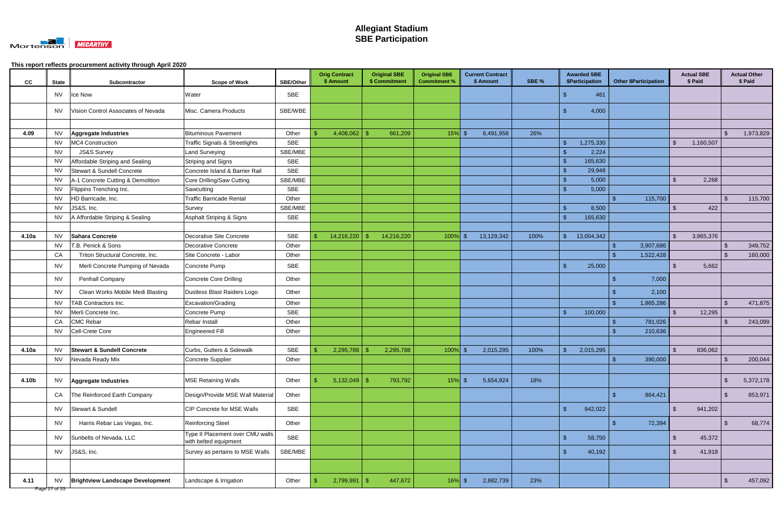

| SBE<br>461<br>NV<br>Ice Now<br>Water<br>Vision Control Associates of Nevada<br>SBE/WBE<br>4,000<br><b>NV</b><br>Misc. Camera Products<br><b>Bituminous Pavement</b><br>Other<br>4,408,062<br>4.09<br>661,209<br>$15\%$ \$<br>6,491,958<br>26%<br>\$<br>NV.<br>Aggregate Industries<br>-\$<br>MC4 Construction<br><b>SBE</b><br><b>NV</b><br><b>Traffic Signals &amp; Streetlights</b><br>1,275,330<br>1,160,507<br>\$<br><b>JS&amp;S Survey</b><br><b>NV</b><br>Land Surveying<br>SBE/MBE<br>2,224<br>Affordable Striping and Sealing<br>Striping and Signs<br><b>SBE</b><br><b>NV</b><br>165,630<br>Stewart & Sundell Concrete<br>SBE<br><b>NV</b><br>Concrete Island & Barrier Rail<br>29,948<br>-\$<br>2,268<br>A-1 Concrete Cutting & Demolition<br>Core Drilling/Saw Cutting<br>SBE/MBE<br>5,000<br>$\mathfrak{L}$<br>NV.<br><b>NV</b><br><b>SBE</b><br>5,000<br>Flippins Trenching Inc.<br>Sawcutting<br>115,700<br><b>NV</b><br>HD Barricade, Inc.<br><b>Traffic Barricade Rental</b><br>Other<br>-\$<br>JS&S, Inc.<br>SBE/MBE<br>8,500<br>422<br>NV.<br>Survey<br>A Affordable Striping & Sealing<br>165,630<br>Asphalt Striping & Signs<br>SBE<br>NV.<br>13,004,342<br><b>NV</b><br>Sahara Concrete<br><b>Decorative Site Concrete</b><br><b>SBE</b><br>14,216,220<br>14,216,220<br>$100\%$ \$<br>13,129,342<br>100%<br>3,965,376<br>-\$<br>4.10a<br>3,907,686<br><b>NV</b><br>T.B. Penick & Sons<br><b>Decorative Concrete</b><br>Other<br>-\$<br>-\$<br>CA<br>Triton Structural Concrete, Inc.<br>Other<br>1,522,428<br>-\$<br>Site Concrete - Labor<br>. Գ<br><b>SBE</b><br>Merli Concrete Pumping of Nevada<br>Concrete Pump<br>25,000<br>5,662<br>NV.<br>Penhall Company<br><b>Concrete Core Drilling</b><br>Other<br>7,000<br>NV.<br>-\$<br><b>NV</b><br>Other<br>2,100<br>Clean Works Mobile Medi Blasting<br>Dustless Blast Raiders Logo<br>TAB Contractors Inc.<br>Excavation/Grading<br>Other<br>\$<br><b>NV</b><br>1,865,286<br>SBE<br>Merli Concrete Inc.<br>Concrete Pump<br>100,000<br>12,295<br>NV.<br>\$<br>-S<br><b>CMC Rebar</b><br>CA<br>Other<br>781,026<br>Rebar Install<br>Cell-Crete Core<br><b>NV</b><br><b>Engineered Fill</b><br>Other<br>210,636<br><b>Stewart &amp; Sundell Concrete</b><br>Curbs, Gutters & Sidewalk<br>SBE<br>2,015,295<br>100%<br>2,015,295<br>836,062<br>NV<br>2,295,788<br>2,295,788<br>$100\%$ \$<br>4.10a<br>-\$<br>Concrete Supplier<br>390,000<br>Nevada Ready Mix<br>Other<br>\$<br>NV<br>-\$<br>$5,132,049$ \$<br>$15%$ \$<br>5,654,924<br>18%<br>$\sqrt{2}$<br>4.10b<br>Aggregate Industries<br><b>MSE Retaining Walls</b><br>Other<br>793,792<br><b>NV</b><br>-\$<br>864,421<br>The Reinforced Earth Company<br>Other<br>$\sqrt[3]{2}$<br>CA<br>Design/Provide MSE Wall Material<br>$\mathbf{\$}$<br>Stewart & Sundell<br>SBE<br>942,022<br>$\mathfrak{L}$<br>CIP Concrete for MSE Walls<br>941,202<br><b>NV</b><br>72,394<br>$\sqrt[3]{2}$<br><b>NV</b><br>Harris Rebar Las Vegas, Inc.<br><b>Reinforcing Steel</b><br>Other<br>$\mathbf{f}$<br>Type II Placement over CMU walls<br>SBE<br>$\mathcal{S}$<br>58,750<br>$\mathcal{L}$<br>45,372<br>Sunbelts of Nevada, LLC<br><b>NV</b><br>with belted equipment<br>JS&S, Inc.<br>SBE/MBE<br>40,192<br>Survey as pertains to MSE Walls<br>$\mathbf{\$}$<br>\$<br>41,918<br>NV<br>447,672<br>2,882,739<br>23%<br>$\sqrt[6]{3}$<br>2,799,991<br>$\sqrt{3}$<br>$16\%$ \$<br>4.11<br>NV.<br><b>Brightview Landscape Development</b><br>Landscape & Irrigation<br>Other<br>- S | cc | <b>State</b> | Subcontractor | <b>Scope of Work</b> | <b>SBE/Other</b> | <b>Orig Contract</b><br>\$ Amount | <b>Original SBE</b><br>\$ Commitment | <b>Original SBE</b><br><b>Commitment %</b> | <b>Current Contract</b><br>\$ Amount | SBE % | <b>Awarded SBE</b><br>\$Participation | <b>Other \$Participation</b> | <b>Actual SBE</b><br>\$ Paid | <b>Actual Other</b><br>\$ Paid |
|--------------------------------------------------------------------------------------------------------------------------------------------------------------------------------------------------------------------------------------------------------------------------------------------------------------------------------------------------------------------------------------------------------------------------------------------------------------------------------------------------------------------------------------------------------------------------------------------------------------------------------------------------------------------------------------------------------------------------------------------------------------------------------------------------------------------------------------------------------------------------------------------------------------------------------------------------------------------------------------------------------------------------------------------------------------------------------------------------------------------------------------------------------------------------------------------------------------------------------------------------------------------------------------------------------------------------------------------------------------------------------------------------------------------------------------------------------------------------------------------------------------------------------------------------------------------------------------------------------------------------------------------------------------------------------------------------------------------------------------------------------------------------------------------------------------------------------------------------------------------------------------------------------------------------------------------------------------------------------------------------------------------------------------------------------------------------------------------------------------------------------------------------------------------------------------------------------------------------------------------------------------------------------------------------------------------------------------------------------------------------------------------------------------------------------------------------------------------------------------------------------------------------------------------------------------------------------------------------------------------------------------------------------------------------------------------------------------------------------------------------------------------------------------------------------------------------------------------------------------------------------------------------------------------------------------------------------------------------------------------------------------------------------------------------------------------------------------------------------------------------------------------------------------------------------------------------------------------------------------------------------------------------------------------------------------------------------------------------------------------------------------------------------------------------------------------------------------------------------------------|----|--------------|---------------|----------------------|------------------|-----------------------------------|--------------------------------------|--------------------------------------------|--------------------------------------|-------|---------------------------------------|------------------------------|------------------------------|--------------------------------|
|                                                                                                                                                                                                                                                                                                                                                                                                                                                                                                                                                                                                                                                                                                                                                                                                                                                                                                                                                                                                                                                                                                                                                                                                                                                                                                                                                                                                                                                                                                                                                                                                                                                                                                                                                                                                                                                                                                                                                                                                                                                                                                                                                                                                                                                                                                                                                                                                                                                                                                                                                                                                                                                                                                                                                                                                                                                                                                                                                                                                                                                                                                                                                                                                                                                                                                                                                                                                                                                                                            |    |              |               |                      |                  |                                   |                                      |                                            |                                      |       |                                       |                              |                              |                                |
|                                                                                                                                                                                                                                                                                                                                                                                                                                                                                                                                                                                                                                                                                                                                                                                                                                                                                                                                                                                                                                                                                                                                                                                                                                                                                                                                                                                                                                                                                                                                                                                                                                                                                                                                                                                                                                                                                                                                                                                                                                                                                                                                                                                                                                                                                                                                                                                                                                                                                                                                                                                                                                                                                                                                                                                                                                                                                                                                                                                                                                                                                                                                                                                                                                                                                                                                                                                                                                                                                            |    |              |               |                      |                  |                                   |                                      |                                            |                                      |       |                                       |                              |                              |                                |
|                                                                                                                                                                                                                                                                                                                                                                                                                                                                                                                                                                                                                                                                                                                                                                                                                                                                                                                                                                                                                                                                                                                                                                                                                                                                                                                                                                                                                                                                                                                                                                                                                                                                                                                                                                                                                                                                                                                                                                                                                                                                                                                                                                                                                                                                                                                                                                                                                                                                                                                                                                                                                                                                                                                                                                                                                                                                                                                                                                                                                                                                                                                                                                                                                                                                                                                                                                                                                                                                                            |    |              |               |                      |                  |                                   |                                      |                                            |                                      |       |                                       |                              |                              |                                |
|                                                                                                                                                                                                                                                                                                                                                                                                                                                                                                                                                                                                                                                                                                                                                                                                                                                                                                                                                                                                                                                                                                                                                                                                                                                                                                                                                                                                                                                                                                                                                                                                                                                                                                                                                                                                                                                                                                                                                                                                                                                                                                                                                                                                                                                                                                                                                                                                                                                                                                                                                                                                                                                                                                                                                                                                                                                                                                                                                                                                                                                                                                                                                                                                                                                                                                                                                                                                                                                                                            |    |              |               |                      |                  |                                   |                                      |                                            |                                      |       |                                       |                              |                              | 1,973,829                      |
|                                                                                                                                                                                                                                                                                                                                                                                                                                                                                                                                                                                                                                                                                                                                                                                                                                                                                                                                                                                                                                                                                                                                                                                                                                                                                                                                                                                                                                                                                                                                                                                                                                                                                                                                                                                                                                                                                                                                                                                                                                                                                                                                                                                                                                                                                                                                                                                                                                                                                                                                                                                                                                                                                                                                                                                                                                                                                                                                                                                                                                                                                                                                                                                                                                                                                                                                                                                                                                                                                            |    |              |               |                      |                  |                                   |                                      |                                            |                                      |       |                                       |                              |                              |                                |
|                                                                                                                                                                                                                                                                                                                                                                                                                                                                                                                                                                                                                                                                                                                                                                                                                                                                                                                                                                                                                                                                                                                                                                                                                                                                                                                                                                                                                                                                                                                                                                                                                                                                                                                                                                                                                                                                                                                                                                                                                                                                                                                                                                                                                                                                                                                                                                                                                                                                                                                                                                                                                                                                                                                                                                                                                                                                                                                                                                                                                                                                                                                                                                                                                                                                                                                                                                                                                                                                                            |    |              |               |                      |                  |                                   |                                      |                                            |                                      |       |                                       |                              |                              |                                |
|                                                                                                                                                                                                                                                                                                                                                                                                                                                                                                                                                                                                                                                                                                                                                                                                                                                                                                                                                                                                                                                                                                                                                                                                                                                                                                                                                                                                                                                                                                                                                                                                                                                                                                                                                                                                                                                                                                                                                                                                                                                                                                                                                                                                                                                                                                                                                                                                                                                                                                                                                                                                                                                                                                                                                                                                                                                                                                                                                                                                                                                                                                                                                                                                                                                                                                                                                                                                                                                                                            |    |              |               |                      |                  |                                   |                                      |                                            |                                      |       |                                       |                              |                              |                                |
|                                                                                                                                                                                                                                                                                                                                                                                                                                                                                                                                                                                                                                                                                                                                                                                                                                                                                                                                                                                                                                                                                                                                                                                                                                                                                                                                                                                                                                                                                                                                                                                                                                                                                                                                                                                                                                                                                                                                                                                                                                                                                                                                                                                                                                                                                                                                                                                                                                                                                                                                                                                                                                                                                                                                                                                                                                                                                                                                                                                                                                                                                                                                                                                                                                                                                                                                                                                                                                                                                            |    |              |               |                      |                  |                                   |                                      |                                            |                                      |       |                                       |                              |                              |                                |
|                                                                                                                                                                                                                                                                                                                                                                                                                                                                                                                                                                                                                                                                                                                                                                                                                                                                                                                                                                                                                                                                                                                                                                                                                                                                                                                                                                                                                                                                                                                                                                                                                                                                                                                                                                                                                                                                                                                                                                                                                                                                                                                                                                                                                                                                                                                                                                                                                                                                                                                                                                                                                                                                                                                                                                                                                                                                                                                                                                                                                                                                                                                                                                                                                                                                                                                                                                                                                                                                                            |    |              |               |                      |                  |                                   |                                      |                                            |                                      |       |                                       |                              |                              |                                |
|                                                                                                                                                                                                                                                                                                                                                                                                                                                                                                                                                                                                                                                                                                                                                                                                                                                                                                                                                                                                                                                                                                                                                                                                                                                                                                                                                                                                                                                                                                                                                                                                                                                                                                                                                                                                                                                                                                                                                                                                                                                                                                                                                                                                                                                                                                                                                                                                                                                                                                                                                                                                                                                                                                                                                                                                                                                                                                                                                                                                                                                                                                                                                                                                                                                                                                                                                                                                                                                                                            |    |              |               |                      |                  |                                   |                                      |                                            |                                      |       |                                       |                              |                              |                                |
|                                                                                                                                                                                                                                                                                                                                                                                                                                                                                                                                                                                                                                                                                                                                                                                                                                                                                                                                                                                                                                                                                                                                                                                                                                                                                                                                                                                                                                                                                                                                                                                                                                                                                                                                                                                                                                                                                                                                                                                                                                                                                                                                                                                                                                                                                                                                                                                                                                                                                                                                                                                                                                                                                                                                                                                                                                                                                                                                                                                                                                                                                                                                                                                                                                                                                                                                                                                                                                                                                            |    |              |               |                      |                  |                                   |                                      |                                            |                                      |       |                                       |                              |                              | 115,700                        |
|                                                                                                                                                                                                                                                                                                                                                                                                                                                                                                                                                                                                                                                                                                                                                                                                                                                                                                                                                                                                                                                                                                                                                                                                                                                                                                                                                                                                                                                                                                                                                                                                                                                                                                                                                                                                                                                                                                                                                                                                                                                                                                                                                                                                                                                                                                                                                                                                                                                                                                                                                                                                                                                                                                                                                                                                                                                                                                                                                                                                                                                                                                                                                                                                                                                                                                                                                                                                                                                                                            |    |              |               |                      |                  |                                   |                                      |                                            |                                      |       |                                       |                              |                              |                                |
|                                                                                                                                                                                                                                                                                                                                                                                                                                                                                                                                                                                                                                                                                                                                                                                                                                                                                                                                                                                                                                                                                                                                                                                                                                                                                                                                                                                                                                                                                                                                                                                                                                                                                                                                                                                                                                                                                                                                                                                                                                                                                                                                                                                                                                                                                                                                                                                                                                                                                                                                                                                                                                                                                                                                                                                                                                                                                                                                                                                                                                                                                                                                                                                                                                                                                                                                                                                                                                                                                            |    |              |               |                      |                  |                                   |                                      |                                            |                                      |       |                                       |                              |                              |                                |
|                                                                                                                                                                                                                                                                                                                                                                                                                                                                                                                                                                                                                                                                                                                                                                                                                                                                                                                                                                                                                                                                                                                                                                                                                                                                                                                                                                                                                                                                                                                                                                                                                                                                                                                                                                                                                                                                                                                                                                                                                                                                                                                                                                                                                                                                                                                                                                                                                                                                                                                                                                                                                                                                                                                                                                                                                                                                                                                                                                                                                                                                                                                                                                                                                                                                                                                                                                                                                                                                                            |    |              |               |                      |                  |                                   |                                      |                                            |                                      |       |                                       |                              |                              |                                |
|                                                                                                                                                                                                                                                                                                                                                                                                                                                                                                                                                                                                                                                                                                                                                                                                                                                                                                                                                                                                                                                                                                                                                                                                                                                                                                                                                                                                                                                                                                                                                                                                                                                                                                                                                                                                                                                                                                                                                                                                                                                                                                                                                                                                                                                                                                                                                                                                                                                                                                                                                                                                                                                                                                                                                                                                                                                                                                                                                                                                                                                                                                                                                                                                                                                                                                                                                                                                                                                                                            |    |              |               |                      |                  |                                   |                                      |                                            |                                      |       |                                       |                              |                              |                                |
|                                                                                                                                                                                                                                                                                                                                                                                                                                                                                                                                                                                                                                                                                                                                                                                                                                                                                                                                                                                                                                                                                                                                                                                                                                                                                                                                                                                                                                                                                                                                                                                                                                                                                                                                                                                                                                                                                                                                                                                                                                                                                                                                                                                                                                                                                                                                                                                                                                                                                                                                                                                                                                                                                                                                                                                                                                                                                                                                                                                                                                                                                                                                                                                                                                                                                                                                                                                                                                                                                            |    |              |               |                      |                  |                                   |                                      |                                            |                                      |       |                                       |                              |                              | 349,752                        |
|                                                                                                                                                                                                                                                                                                                                                                                                                                                                                                                                                                                                                                                                                                                                                                                                                                                                                                                                                                                                                                                                                                                                                                                                                                                                                                                                                                                                                                                                                                                                                                                                                                                                                                                                                                                                                                                                                                                                                                                                                                                                                                                                                                                                                                                                                                                                                                                                                                                                                                                                                                                                                                                                                                                                                                                                                                                                                                                                                                                                                                                                                                                                                                                                                                                                                                                                                                                                                                                                                            |    |              |               |                      |                  |                                   |                                      |                                            |                                      |       |                                       |                              |                              | 160,000                        |
|                                                                                                                                                                                                                                                                                                                                                                                                                                                                                                                                                                                                                                                                                                                                                                                                                                                                                                                                                                                                                                                                                                                                                                                                                                                                                                                                                                                                                                                                                                                                                                                                                                                                                                                                                                                                                                                                                                                                                                                                                                                                                                                                                                                                                                                                                                                                                                                                                                                                                                                                                                                                                                                                                                                                                                                                                                                                                                                                                                                                                                                                                                                                                                                                                                                                                                                                                                                                                                                                                            |    |              |               |                      |                  |                                   |                                      |                                            |                                      |       |                                       |                              |                              |                                |
|                                                                                                                                                                                                                                                                                                                                                                                                                                                                                                                                                                                                                                                                                                                                                                                                                                                                                                                                                                                                                                                                                                                                                                                                                                                                                                                                                                                                                                                                                                                                                                                                                                                                                                                                                                                                                                                                                                                                                                                                                                                                                                                                                                                                                                                                                                                                                                                                                                                                                                                                                                                                                                                                                                                                                                                                                                                                                                                                                                                                                                                                                                                                                                                                                                                                                                                                                                                                                                                                                            |    |              |               |                      |                  |                                   |                                      |                                            |                                      |       |                                       |                              |                              |                                |
|                                                                                                                                                                                                                                                                                                                                                                                                                                                                                                                                                                                                                                                                                                                                                                                                                                                                                                                                                                                                                                                                                                                                                                                                                                                                                                                                                                                                                                                                                                                                                                                                                                                                                                                                                                                                                                                                                                                                                                                                                                                                                                                                                                                                                                                                                                                                                                                                                                                                                                                                                                                                                                                                                                                                                                                                                                                                                                                                                                                                                                                                                                                                                                                                                                                                                                                                                                                                                                                                                            |    |              |               |                      |                  |                                   |                                      |                                            |                                      |       |                                       |                              |                              |                                |
|                                                                                                                                                                                                                                                                                                                                                                                                                                                                                                                                                                                                                                                                                                                                                                                                                                                                                                                                                                                                                                                                                                                                                                                                                                                                                                                                                                                                                                                                                                                                                                                                                                                                                                                                                                                                                                                                                                                                                                                                                                                                                                                                                                                                                                                                                                                                                                                                                                                                                                                                                                                                                                                                                                                                                                                                                                                                                                                                                                                                                                                                                                                                                                                                                                                                                                                                                                                                                                                                                            |    |              |               |                      |                  |                                   |                                      |                                            |                                      |       |                                       |                              |                              | 471,875                        |
|                                                                                                                                                                                                                                                                                                                                                                                                                                                                                                                                                                                                                                                                                                                                                                                                                                                                                                                                                                                                                                                                                                                                                                                                                                                                                                                                                                                                                                                                                                                                                                                                                                                                                                                                                                                                                                                                                                                                                                                                                                                                                                                                                                                                                                                                                                                                                                                                                                                                                                                                                                                                                                                                                                                                                                                                                                                                                                                                                                                                                                                                                                                                                                                                                                                                                                                                                                                                                                                                                            |    |              |               |                      |                  |                                   |                                      |                                            |                                      |       |                                       |                              |                              |                                |
|                                                                                                                                                                                                                                                                                                                                                                                                                                                                                                                                                                                                                                                                                                                                                                                                                                                                                                                                                                                                                                                                                                                                                                                                                                                                                                                                                                                                                                                                                                                                                                                                                                                                                                                                                                                                                                                                                                                                                                                                                                                                                                                                                                                                                                                                                                                                                                                                                                                                                                                                                                                                                                                                                                                                                                                                                                                                                                                                                                                                                                                                                                                                                                                                                                                                                                                                                                                                                                                                                            |    |              |               |                      |                  |                                   |                                      |                                            |                                      |       |                                       |                              |                              | 243,099                        |
|                                                                                                                                                                                                                                                                                                                                                                                                                                                                                                                                                                                                                                                                                                                                                                                                                                                                                                                                                                                                                                                                                                                                                                                                                                                                                                                                                                                                                                                                                                                                                                                                                                                                                                                                                                                                                                                                                                                                                                                                                                                                                                                                                                                                                                                                                                                                                                                                                                                                                                                                                                                                                                                                                                                                                                                                                                                                                                                                                                                                                                                                                                                                                                                                                                                                                                                                                                                                                                                                                            |    |              |               |                      |                  |                                   |                                      |                                            |                                      |       |                                       |                              |                              |                                |
|                                                                                                                                                                                                                                                                                                                                                                                                                                                                                                                                                                                                                                                                                                                                                                                                                                                                                                                                                                                                                                                                                                                                                                                                                                                                                                                                                                                                                                                                                                                                                                                                                                                                                                                                                                                                                                                                                                                                                                                                                                                                                                                                                                                                                                                                                                                                                                                                                                                                                                                                                                                                                                                                                                                                                                                                                                                                                                                                                                                                                                                                                                                                                                                                                                                                                                                                                                                                                                                                                            |    |              |               |                      |                  |                                   |                                      |                                            |                                      |       |                                       |                              |                              |                                |
|                                                                                                                                                                                                                                                                                                                                                                                                                                                                                                                                                                                                                                                                                                                                                                                                                                                                                                                                                                                                                                                                                                                                                                                                                                                                                                                                                                                                                                                                                                                                                                                                                                                                                                                                                                                                                                                                                                                                                                                                                                                                                                                                                                                                                                                                                                                                                                                                                                                                                                                                                                                                                                                                                                                                                                                                                                                                                                                                                                                                                                                                                                                                                                                                                                                                                                                                                                                                                                                                                            |    |              |               |                      |                  |                                   |                                      |                                            |                                      |       |                                       |                              |                              |                                |
|                                                                                                                                                                                                                                                                                                                                                                                                                                                                                                                                                                                                                                                                                                                                                                                                                                                                                                                                                                                                                                                                                                                                                                                                                                                                                                                                                                                                                                                                                                                                                                                                                                                                                                                                                                                                                                                                                                                                                                                                                                                                                                                                                                                                                                                                                                                                                                                                                                                                                                                                                                                                                                                                                                                                                                                                                                                                                                                                                                                                                                                                                                                                                                                                                                                                                                                                                                                                                                                                                            |    |              |               |                      |                  |                                   |                                      |                                            |                                      |       |                                       |                              |                              | 200,044                        |
|                                                                                                                                                                                                                                                                                                                                                                                                                                                                                                                                                                                                                                                                                                                                                                                                                                                                                                                                                                                                                                                                                                                                                                                                                                                                                                                                                                                                                                                                                                                                                                                                                                                                                                                                                                                                                                                                                                                                                                                                                                                                                                                                                                                                                                                                                                                                                                                                                                                                                                                                                                                                                                                                                                                                                                                                                                                                                                                                                                                                                                                                                                                                                                                                                                                                                                                                                                                                                                                                                            |    |              |               |                      |                  |                                   |                                      |                                            |                                      |       |                                       |                              |                              |                                |
|                                                                                                                                                                                                                                                                                                                                                                                                                                                                                                                                                                                                                                                                                                                                                                                                                                                                                                                                                                                                                                                                                                                                                                                                                                                                                                                                                                                                                                                                                                                                                                                                                                                                                                                                                                                                                                                                                                                                                                                                                                                                                                                                                                                                                                                                                                                                                                                                                                                                                                                                                                                                                                                                                                                                                                                                                                                                                                                                                                                                                                                                                                                                                                                                                                                                                                                                                                                                                                                                                            |    |              |               |                      |                  |                                   |                                      |                                            |                                      |       |                                       |                              |                              | 5,372,178                      |
|                                                                                                                                                                                                                                                                                                                                                                                                                                                                                                                                                                                                                                                                                                                                                                                                                                                                                                                                                                                                                                                                                                                                                                                                                                                                                                                                                                                                                                                                                                                                                                                                                                                                                                                                                                                                                                                                                                                                                                                                                                                                                                                                                                                                                                                                                                                                                                                                                                                                                                                                                                                                                                                                                                                                                                                                                                                                                                                                                                                                                                                                                                                                                                                                                                                                                                                                                                                                                                                                                            |    |              |               |                      |                  |                                   |                                      |                                            |                                      |       |                                       |                              |                              | 853,971                        |
|                                                                                                                                                                                                                                                                                                                                                                                                                                                                                                                                                                                                                                                                                                                                                                                                                                                                                                                                                                                                                                                                                                                                                                                                                                                                                                                                                                                                                                                                                                                                                                                                                                                                                                                                                                                                                                                                                                                                                                                                                                                                                                                                                                                                                                                                                                                                                                                                                                                                                                                                                                                                                                                                                                                                                                                                                                                                                                                                                                                                                                                                                                                                                                                                                                                                                                                                                                                                                                                                                            |    |              |               |                      |                  |                                   |                                      |                                            |                                      |       |                                       |                              |                              |                                |
|                                                                                                                                                                                                                                                                                                                                                                                                                                                                                                                                                                                                                                                                                                                                                                                                                                                                                                                                                                                                                                                                                                                                                                                                                                                                                                                                                                                                                                                                                                                                                                                                                                                                                                                                                                                                                                                                                                                                                                                                                                                                                                                                                                                                                                                                                                                                                                                                                                                                                                                                                                                                                                                                                                                                                                                                                                                                                                                                                                                                                                                                                                                                                                                                                                                                                                                                                                                                                                                                                            |    |              |               |                      |                  |                                   |                                      |                                            |                                      |       |                                       |                              |                              | 68,774                         |
|                                                                                                                                                                                                                                                                                                                                                                                                                                                                                                                                                                                                                                                                                                                                                                                                                                                                                                                                                                                                                                                                                                                                                                                                                                                                                                                                                                                                                                                                                                                                                                                                                                                                                                                                                                                                                                                                                                                                                                                                                                                                                                                                                                                                                                                                                                                                                                                                                                                                                                                                                                                                                                                                                                                                                                                                                                                                                                                                                                                                                                                                                                                                                                                                                                                                                                                                                                                                                                                                                            |    |              |               |                      |                  |                                   |                                      |                                            |                                      |       |                                       |                              |                              |                                |
|                                                                                                                                                                                                                                                                                                                                                                                                                                                                                                                                                                                                                                                                                                                                                                                                                                                                                                                                                                                                                                                                                                                                                                                                                                                                                                                                                                                                                                                                                                                                                                                                                                                                                                                                                                                                                                                                                                                                                                                                                                                                                                                                                                                                                                                                                                                                                                                                                                                                                                                                                                                                                                                                                                                                                                                                                                                                                                                                                                                                                                                                                                                                                                                                                                                                                                                                                                                                                                                                                            |    |              |               |                      |                  |                                   |                                      |                                            |                                      |       |                                       |                              |                              |                                |
|                                                                                                                                                                                                                                                                                                                                                                                                                                                                                                                                                                                                                                                                                                                                                                                                                                                                                                                                                                                                                                                                                                                                                                                                                                                                                                                                                                                                                                                                                                                                                                                                                                                                                                                                                                                                                                                                                                                                                                                                                                                                                                                                                                                                                                                                                                                                                                                                                                                                                                                                                                                                                                                                                                                                                                                                                                                                                                                                                                                                                                                                                                                                                                                                                                                                                                                                                                                                                                                                                            |    |              |               |                      |                  |                                   |                                      |                                            |                                      |       |                                       |                              |                              |                                |
| Page 27 of 33                                                                                                                                                                                                                                                                                                                                                                                                                                                                                                                                                                                                                                                                                                                                                                                                                                                                                                                                                                                                                                                                                                                                                                                                                                                                                                                                                                                                                                                                                                                                                                                                                                                                                                                                                                                                                                                                                                                                                                                                                                                                                                                                                                                                                                                                                                                                                                                                                                                                                                                                                                                                                                                                                                                                                                                                                                                                                                                                                                                                                                                                                                                                                                                                                                                                                                                                                                                                                                                                              |    |              |               |                      |                  |                                   |                                      |                                            |                                      |       |                                       |                              |                              | 457,092                        |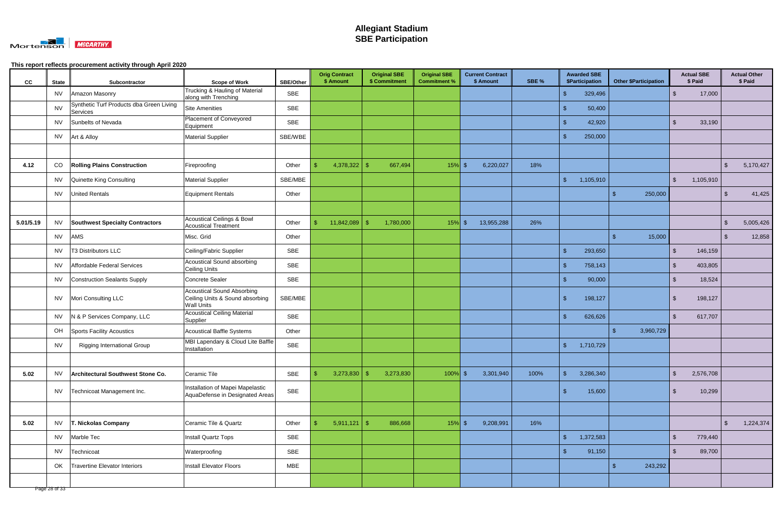

| cc        | <b>State</b> | Subcontractor                                        | <b>Scope of Work</b>                                                               | SBE/Other  | <b>Orig Contract</b><br>\$ Amount | <b>Original SBE</b><br>\$ Commitment | <b>Original SBE</b><br><b>Commitment %</b> | <b>Current Contract</b><br>\$ Amount | SBE % |                         | <b>Awarded SBE</b><br>\$Participation |     | <b>Other \$Participation</b> |                         | <b>Actual SBE</b><br>\$ Paid |                | <b>Actual Other</b><br>\$ Paid |
|-----------|--------------|------------------------------------------------------|------------------------------------------------------------------------------------|------------|-----------------------------------|--------------------------------------|--------------------------------------------|--------------------------------------|-------|-------------------------|---------------------------------------|-----|------------------------------|-------------------------|------------------------------|----------------|--------------------------------|
|           | <b>NV</b>    | Amazon Masonry                                       | Trucking & Hauling of Material<br>along with Trenching                             | <b>SBE</b> |                                   |                                      |                                            |                                      |       | $\mathfrak{L}$          | 329,496                               |     |                              | \$                      | 17,000                       |                |                                |
|           | <b>NV</b>    | Synthetic Turf Products dba Green Living<br>Services | <b>Site Amenities</b>                                                              | SBE        |                                   |                                      |                                            |                                      |       | -\$                     | 50,400                                |     |                              |                         |                              |                |                                |
|           | <b>NV</b>    | Sunbelts of Nevada                                   | Placement of Conveyored<br>Equipment                                               | <b>SBE</b> |                                   |                                      |                                            |                                      |       | \$                      | 42,920                                |     |                              | $\sqrt[6]{3}$           | 33,190                       |                |                                |
|           | <b>NV</b>    | Art & Alloy                                          | <b>Material Supplier</b>                                                           | SBE/WBE    |                                   |                                      |                                            |                                      |       | -\$                     | 250,000                               |     |                              |                         |                              |                |                                |
|           |              |                                                      |                                                                                    |            |                                   |                                      |                                            |                                      |       |                         |                                       |     |                              |                         |                              |                |                                |
| 4.12      | CO           | <b>Rolling Plains Construction</b>                   | Fireproofing                                                                       | Other      | 4,378,322                         | <sup>\$</sup><br>667,494             | $15%$ \$                                   | 6,220,027                            | 18%   |                         |                                       |     |                              |                         |                              | $\mathfrak{S}$ | 5,170,427                      |
|           | <b>NV</b>    | Quinette King Consulting                             | <b>Material Supplier</b>                                                           | SBE/MBE    |                                   |                                      |                                            |                                      |       | $\mathfrak{F}$          | 1,105,910                             |     |                              | $\sqrt[6]{2}$           | 1,105,910                    |                |                                |
|           | <b>NV</b>    | <b>United Rentals</b>                                | Equipment Rentals                                                                  | Other      |                                   |                                      |                                            |                                      |       |                         |                                       | \$  | 250,000                      |                         |                              | \$             | 41,425                         |
|           |              |                                                      |                                                                                    |            |                                   |                                      |                                            |                                      |       |                         |                                       |     |                              |                         |                              |                |                                |
| 5.01/5.19 | <b>NV</b>    | <b>Southwest Specialty Contractors</b>               | <b>Acoustical Ceilings &amp; Bowl</b><br><b>Acoustical Treatment</b>               | Other      | 11,842,089<br>\$                  | 1,780,000<br>-S                      | $15\%$ \$                                  | 13,955,288                           | 26%   |                         |                                       |     |                              |                         |                              | $\sqrt[6]{3}$  | 5,005,426                      |
|           | <b>NV</b>    | AMS                                                  | Misc. Grid                                                                         | Other      |                                   |                                      |                                            |                                      |       |                         |                                       |     | 15,000                       |                         |                              |                | 12,858                         |
|           | <b>NV</b>    | T3 Distributors LLC                                  | Ceiling/Fabric Supplier                                                            | <b>SBE</b> |                                   |                                      |                                            |                                      |       | $\mathcal{S}$           | 293,650                               |     |                              | $\mathfrak{L}$          | 146,159                      |                |                                |
|           | <b>NV</b>    | Affordable Federal Services                          | Acoustical Sound absorbing<br><b>Ceiling Units</b>                                 | <b>SBE</b> |                                   |                                      |                                            |                                      |       | $\sqrt{2}$              | 758,143                               |     |                              | $\mathfrak{L}$          | 403,805                      |                |                                |
|           | <b>NV</b>    | <b>Construction Sealants Supply</b>                  | Concrete Sealer                                                                    | <b>SBE</b> |                                   |                                      |                                            |                                      |       | $\mathcal{S}$           | 90,000                                |     |                              | $\mathfrak{L}$          | 18,524                       |                |                                |
|           | <b>NV</b>    | Mori Consulting LLC                                  | Acoustical Sound Absorbing<br>Ceiling Units & Sound absorbing<br><b>Wall Units</b> | SBE/MBE    |                                   |                                      |                                            |                                      |       | -\$                     | 198,127                               |     |                              | $\mathbf{\$}$           | 198,127                      |                |                                |
|           | <b>NV</b>    | N & P Services Company, LLC                          | <b>Acoustical Ceiling Material</b><br>Supplier                                     | <b>SBE</b> |                                   |                                      |                                            |                                      |       | $\mathbf{\$}$           | 626,626                               |     |                              | $\mathfrak{L}$          | 617,707                      |                |                                |
|           | OH           | Sports Facility Acoustics                            | <b>Acoustical Baffle Systems</b>                                                   | Other      |                                   |                                      |                                            |                                      |       |                         |                                       | -\$ | 3,960,729                    |                         |                              |                |                                |
|           | <b>NV</b>    | Rigging International Group                          | MBI Lapendary & Cloud Lite Baffle<br>Installation                                  | <b>SBE</b> |                                   |                                      |                                            |                                      |       | $\sqrt{3}$              | 1,710,729                             |     |                              |                         |                              |                |                                |
|           |              |                                                      |                                                                                    |            |                                   |                                      |                                            |                                      |       |                         |                                       |     |                              |                         |                              |                |                                |
| 5.02      | <b>NV</b>    | Architectural Southwest Stone Co.                    | Ceramic Tile                                                                       | SBE        | 3,273,830<br>$\mathfrak{S}$       | 3,273,830<br>- S                     | $100\%$ \$                                 | 3,301,940                            | 100%  | $\sqrt[6]{\frac{1}{2}}$ | 3,286,340                             |     |                              | $\sqrt[6]{\frac{1}{2}}$ | 2,576,708                    |                |                                |
|           | <b>NV</b>    | Technicoat Management Inc.                           | Installation of Mapei Mapelastic<br>AquaDefense in Designated Areas                | SBE        |                                   |                                      |                                            |                                      |       | $\sqrt{2}$              | 15,600                                |     |                              | $\sqrt[6]{3}$           | 10,299                       |                |                                |
|           |              |                                                      |                                                                                    |            |                                   |                                      |                                            |                                      |       |                         |                                       |     |                              |                         |                              |                |                                |
| 5.02      | <b>NV</b>    | T. Nickolas Company                                  | Ceramic Tile & Quartz                                                              | Other      | $5,911,121$ \$<br>\$.             | 886,668                              | $15%$ \$                                   | 9,208,991                            | 16%   |                         |                                       |     |                              |                         |                              | $\mathfrak{S}$ | 1,224,374                      |
|           | <b>NV</b>    | Marble Tec                                           | Install Quartz Tops                                                                | SBE        |                                   |                                      |                                            |                                      |       | $\sqrt{3}$              | 1,372,583                             |     |                              | $\sqrt[6]{\frac{1}{2}}$ | 779,440                      |                |                                |
|           | <b>NV</b>    | Technicoat                                           | Waterproofing                                                                      | SBE        |                                   |                                      |                                            |                                      |       | \$                      | 91,150                                |     |                              | -\$                     | 89,700                       |                |                                |
|           | OK           | Travertine Elevator Interiors                        | Install Elevator Floors                                                            | <b>MBE</b> |                                   |                                      |                                            |                                      |       |                         |                                       | -\$ | 243,292                      |                         |                              |                |                                |
|           |              |                                                      |                                                                                    |            |                                   |                                      |                                            |                                      |       |                         |                                       |     |                              |                         |                              |                |                                |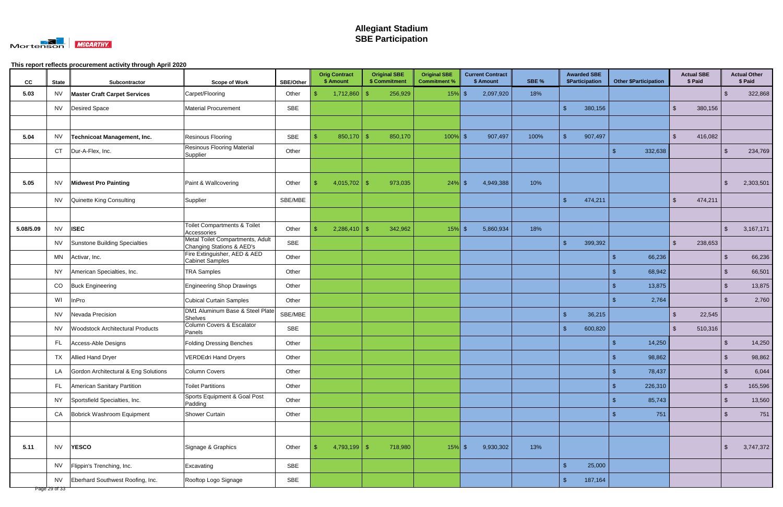

| CC        | <b>State</b> | Subcontractor                           | <b>Scope of Work</b>                                          | <b>SBE/Other</b> | <b>Orig Contract</b><br>\$ Amount | <b>Original SBE</b><br>\$ Commitment | <b>Original SBE</b><br><b>Commitment %</b> | <b>Current Contract</b><br>\$ Amount | SBE % | <b>Awarded SBE</b><br><b>\$Participation</b> | <b>Other \$Participation</b> | <b>Actual SBE</b><br>\$ Paid       |               | <b>Actual Other</b><br>\$ Paid |
|-----------|--------------|-----------------------------------------|---------------------------------------------------------------|------------------|-----------------------------------|--------------------------------------|--------------------------------------------|--------------------------------------|-------|----------------------------------------------|------------------------------|------------------------------------|---------------|--------------------------------|
| 5.03      | <b>NV</b>    | <b>Master Craft Carpet Services</b>     | Carpet/Flooring                                               | Other            | 1,712,860                         | 256,929<br>-\$                       | 15%                                        | 2,097,920<br>l \$                    | 18%   |                                              |                              |                                    |               | 322,868                        |
|           | <b>NV</b>    | Desired Space                           | <b>Material Procurement</b>                                   | <b>SBE</b>       |                                   |                                      |                                            |                                      |       | 380,156<br>\$.                               |                              | 380,156<br>-\$                     |               |                                |
|           |              |                                         |                                                               |                  |                                   |                                      |                                            |                                      |       |                                              |                              |                                    |               |                                |
| 5.04      | NV           | Technicoat Management, Inc.             | <b>Resinous Flooring</b>                                      | SBE              | $850,170$ \$                      | 850,170                              | $100\%$ \$                                 | 907,497                              | 100%  | 907,497<br>$\mathfrak{S}$                    |                              | $\sqrt[6]{\frac{1}{2}}$<br>416,082 |               |                                |
|           | <b>CT</b>    | Dur-A-Flex, Inc.                        | <b>Resinous Flooring Material</b><br>Supplier                 | Other            |                                   |                                      |                                            |                                      |       |                                              | 332,638                      |                                    | -\$           | 234,769                        |
|           |              |                                         |                                                               |                  |                                   |                                      |                                            |                                      |       |                                              |                              |                                    |               |                                |
| 5.05      | <b>NV</b>    | <b>Midwest Pro Painting</b>             | Paint & Wallcovering                                          | Other            | 4,015,702   \$                    | 973,035                              | $24\%$ \$                                  | 4,949,388                            | 10%   |                                              |                              |                                    | \$            | 2,303,501                      |
|           | NV           | Quinette King Consulting                | Supplier                                                      | SBE/MBE          |                                   |                                      |                                            |                                      |       | $\mathbf{\$}$<br>474,211                     |                              | $\sqrt[6]{2}$<br>474,211           |               |                                |
|           |              |                                         |                                                               |                  |                                   |                                      |                                            |                                      |       |                                              |                              |                                    |               |                                |
| 5.08/5.09 | <b>NV</b>    | <b>ISEC</b>                             | <b>Toilet Compartments &amp; Toilet</b><br>Accessories        | Other            | $2,286,410$ \$                    | 342,962                              | $15%$ \$                                   | 5,860,934                            | 18%   |                                              |                              |                                    | \$            | 3,167,171                      |
|           | NV           | Sunstone Building Specialties           | Metal Toilet Compartments, Adult<br>Changing Stations & AED's | <b>SBE</b>       |                                   |                                      |                                            |                                      |       | 399,392<br>$\mathbf{\$}$                     |                              | $\mathbb{S}$<br>238,653            |               |                                |
|           | MN           | Activar, Inc.                           | Fire Extinguisher, AED & AED<br><b>Cabinet Samples</b>        | Other            |                                   |                                      |                                            |                                      |       |                                              | 66,236<br>-S                 |                                    | \$            | 66,236                         |
|           | NY           | American Specialties, Inc.              | <b>TRA Samples</b>                                            | Other            |                                   |                                      |                                            |                                      |       |                                              | 68,942                       |                                    | -\$           | 66,501                         |
|           | CO           | <b>Buck Engineering</b>                 | <b>Engineering Shop Drawings</b>                              | Other            |                                   |                                      |                                            |                                      |       |                                              | 13,875                       |                                    | \$            | 13,875                         |
|           | WI           | InPro                                   | <b>Cubical Curtain Samples</b>                                | Other            |                                   |                                      |                                            |                                      |       |                                              | 2,764                        |                                    | -\$           | 2,760                          |
|           | NV.          | Nevada Precision                        | DM1 Aluminum Base & Steel Plate<br><b>Shelves</b>             | SBE/MBE          |                                   |                                      |                                            |                                      |       | $\sqrt{3}$<br>36,215                         |                              | $\mathfrak{L}$<br>22,545           |               |                                |
|           | NV           | <b>Woodstock Architectural Products</b> | Column Covers & Escalator<br>Panels                           | SBE              |                                   |                                      |                                            |                                      |       | $\mathbf{\$}$<br>600,820                     |                              | $\sqrt[6]{\frac{1}{2}}$<br>510,316 |               |                                |
|           | FL.          | Access-Able Designs                     | <b>Folding Dressing Benches</b>                               | Other            |                                   |                                      |                                            |                                      |       |                                              | 14,250                       |                                    |               | 14,250                         |
|           | <b>TX</b>    | Allied Hand Dryer                       | <b>VERDEdri Hand Dryers</b>                                   | Other            |                                   |                                      |                                            |                                      |       |                                              | 98,862<br>-7                 |                                    | - \$          | 98,862                         |
|           |              | LA Gordon Architectural & Eng Solutions | Column Covers                                                 | Other            |                                   |                                      |                                            |                                      |       |                                              | 78,437<br>-\$                |                                    | $\sqrt{2}$    | 6,044                          |
|           |              | FL American Sanitary Partition          | <b>Toilet Partitions</b>                                      | Other            |                                   |                                      |                                            |                                      |       |                                              | 226,310                      |                                    | $\sqrt[6]{3}$ | 165,596                        |
|           | <b>NY</b>    | Sportsfield Specialties, Inc.           | Sports Equipment & Goal Post<br>Padding                       | Other            |                                   |                                      |                                            |                                      |       |                                              | 85,743<br>-S                 |                                    | $\sqrt[6]{3}$ | 13,560                         |
|           | CA           | Bobrick Washroom Equipment              | Shower Curtain                                                | Other            |                                   |                                      |                                            |                                      |       |                                              | 751<br>-S                    |                                    | $\sqrt[6]{3}$ | 751                            |
|           |              |                                         |                                                               |                  |                                   |                                      |                                            |                                      |       |                                              |                              |                                    |               |                                |
| 5.11      | <b>NV</b>    | <b>YESCO</b>                            | Signage & Graphics                                            | Other            | $4,793,199$ \$<br>-\$             | 718,980                              | $15%$ \$                                   | 9,930,302                            | 13%   |                                              |                              |                                    | -\$           | 3,747,372                      |
|           |              | NV   Flippin's Trenching, Inc.          | Excavating                                                    | SBE              |                                   |                                      |                                            |                                      |       | $\mathfrak{F}$<br>25,000                     |                              |                                    |               |                                |
|           | NV           | Eberhard Southwest Roofing, Inc.        | Rooftop Logo Signage                                          | SBE              |                                   |                                      |                                            |                                      |       | $\sqrt{3}$<br>187,164                        |                              |                                    |               |                                |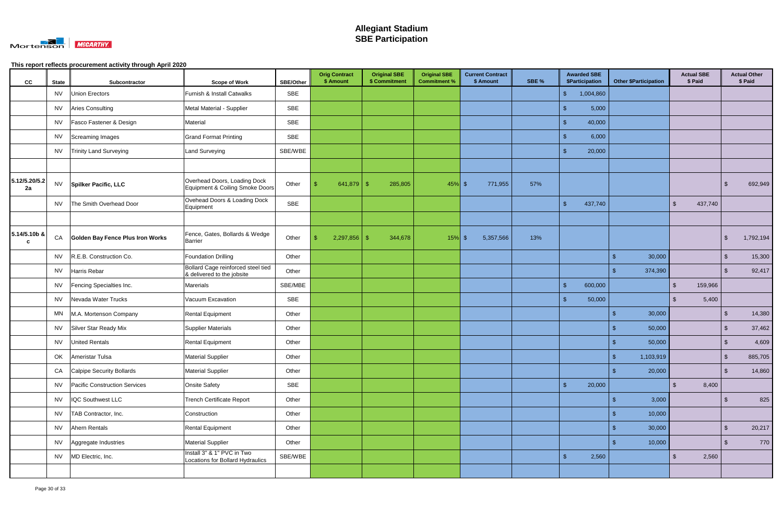

| cc                  | <b>State</b> | Subcontractor                    | <b>Scope of Work</b>                                             | <b>SBE/Other</b> | <b>Orig Contract</b><br>\$ Amount | <b>Original SBE</b><br>\$ Commitment | <b>Original SBE</b><br><b>Commitment %</b> | <b>Current Contract</b><br>\$ Amount | SBE % | <b>Awarded SBE</b><br><b>\$Participation</b> | <b>Other \$Participation</b> | <b>Actual SBE</b><br>\$ Paid       |               | <b>Actual Other</b><br>\$ Paid |
|---------------------|--------------|----------------------------------|------------------------------------------------------------------|------------------|-----------------------------------|--------------------------------------|--------------------------------------------|--------------------------------------|-------|----------------------------------------------|------------------------------|------------------------------------|---------------|--------------------------------|
|                     | NV           | <b>Union Erectors</b>            | Furnish & Install Catwalks                                       | <b>SBE</b>       |                                   |                                      |                                            |                                      |       | 1,004,860<br>\$                              |                              |                                    |               |                                |
|                     | <b>NV</b>    | <b>Aries Consulting</b>          | Metal Material - Supplier                                        | SBE              |                                   |                                      |                                            |                                      |       | 5,000<br>S                                   |                              |                                    |               |                                |
|                     | NV.          | Fasco Fastener & Design          | Material                                                         | SBE              |                                   |                                      |                                            |                                      |       | $\sqrt{3}$<br>40,000                         |                              |                                    |               |                                |
|                     | <b>NV</b>    | Screaming Images                 | <b>Grand Format Printing</b>                                     | SBE              |                                   |                                      |                                            |                                      |       | 6,000<br>$\mathfrak{L}$                      |                              |                                    |               |                                |
|                     | NV           | Trinity Land Surveying           | Land Surveying                                                   | SBE/WBE          |                                   |                                      |                                            |                                      |       | $\mathbf{\$}$<br>20,000                      |                              |                                    |               |                                |
|                     |              |                                  |                                                                  |                  |                                   |                                      |                                            |                                      |       |                                              |                              |                                    |               |                                |
| 5.12/5.20/5.2<br>2a | <b>NV</b>    | <b>Spilker Pacific, LLC</b>      | Overhead Doors, Loading Dock<br>Equipment & Coiling Smoke Doors  | Other            |                                   | 285,805                              | $45%$ \$                                   | 771,955                              | 57%   |                                              |                              |                                    | -\$           | 692,949                        |
|                     | NV           | The Smith Overhead Door          | Ovehead Doors & Loading Dock<br>Equipment                        | SBE              |                                   |                                      |                                            |                                      |       | $\mathfrak{F}$<br>437,740                    |                              | $\sqrt[6]{\frac{1}{2}}$<br>437,740 |               |                                |
|                     |              |                                  |                                                                  |                  |                                   |                                      |                                            |                                      |       |                                              |                              |                                    |               |                                |
| 5.14/5.10b &<br>C   | CA           | Golden Bay Fence Plus Iron Works | Fence, Gates, Bollards & Wedge<br><b>Barrier</b>                 | Other            | $2,297,856$ \$                    | 344,678                              | $15\%$ \$                                  | 5,357,566                            | 13%   |                                              |                              |                                    | \$            | 1,792,194                      |
|                     | NV           | R.E.B. Construction Co.          | <b>Foundation Drilling</b>                                       | Other            |                                   |                                      |                                            |                                      |       |                                              | 30,000<br>\$                 |                                    | $\sqrt[3]{2}$ | 15,300                         |
|                     | NV           | Harris Rebar                     | Bollard Cage reinforced steel tied<br>& delivered to the jobsite | Other            |                                   |                                      |                                            |                                      |       |                                              | 374,390                      |                                    | -\$           | 92,417                         |
|                     | <b>NV</b>    | Fencing Specialties Inc.         | Marerials                                                        | SBE/MBE          |                                   |                                      |                                            |                                      |       | $\mathfrak{F}$<br>600,000                    |                              | $\sqrt[6]{\frac{1}{2}}$<br>159,966 |               |                                |
|                     | NV           | Nevada Water Trucks              | Vacuum Excavation                                                | SBE              |                                   |                                      |                                            |                                      |       | $\sqrt{3}$<br>50,000                         |                              | 5,400<br>\$                        |               |                                |
|                     | MN           | M.A. Mortenson Company           | <b>Rental Equipment</b>                                          | Other            |                                   |                                      |                                            |                                      |       |                                              | 30,000<br>\$                 |                                    | -\$           | 14,380                         |
|                     | NV           | Silver Star Ready Mix            | Supplier Materials                                               | Other            |                                   |                                      |                                            |                                      |       |                                              | 50,000                       |                                    | -\$           | 37,462                         |
|                     | NV           | <b>United Rentals</b>            | <b>Rental Equipment</b>                                          | Other            |                                   |                                      |                                            |                                      |       |                                              | 50,000                       |                                    | -\$           | 4,609                          |
|                     |              | OK   Ameristar Tulsa             | <b>Material Supplier</b>                                         | Other            |                                   |                                      |                                            |                                      |       |                                              | 1,103,919                    |                                    | $\sqrt{3}$    | 885,705                        |
|                     |              | CA Calpipe Security Bollards     | <b>Material Supplier</b>                                         | Other            |                                   |                                      |                                            |                                      |       |                                              | 20,000<br>-\$                |                                    | $\sqrt[6]{3}$ | 14,860                         |
|                     | <b>NV</b>    | Pacific Construction Services    | <b>Onsite Safety</b>                                             | SBE              |                                   |                                      |                                            |                                      |       | $\mathsf{\$}$<br>20,000                      |                              | $\mathbf{\$}$<br>8,400             |               |                                |
|                     | NV           | <b>IQC Southwest LLC</b>         | <b>Trench Certificate Report</b>                                 | Other            |                                   |                                      |                                            |                                      |       |                                              | 3,000<br>-\$                 |                                    | $\sqrt[3]{2}$ | 825                            |
|                     |              | NV   TAB Contractor, Inc.        | Construction                                                     | Other            |                                   |                                      |                                            |                                      |       |                                              | 10,000<br>-9                 |                                    |               |                                |
|                     |              | NV Ahern Rentals                 | Rental Equipment                                                 | Other            |                                   |                                      |                                            |                                      |       |                                              | 30,000                       |                                    | $\sqrt[6]{3}$ | 20,217                         |
|                     |              | NV Aggregate Industries          | <b>Material Supplier</b>                                         | Other            |                                   |                                      |                                            |                                      |       |                                              | 10,000<br>-S                 |                                    | $\sqrt[6]{3}$ | 770                            |
|                     |              | NV   MD Electric, Inc.           | Install 3" & 1" PVC in Two<br>Locations for Bollard Hydraulics   | SBE/WBE          |                                   |                                      |                                            |                                      |       | $\sqrt{3}$<br>2,560                          |                              | $\sqrt[6]{\frac{1}{2}}$<br>2,560   |               |                                |
|                     |              |                                  |                                                                  |                  |                                   |                                      |                                            |                                      |       |                                              |                              |                                    |               |                                |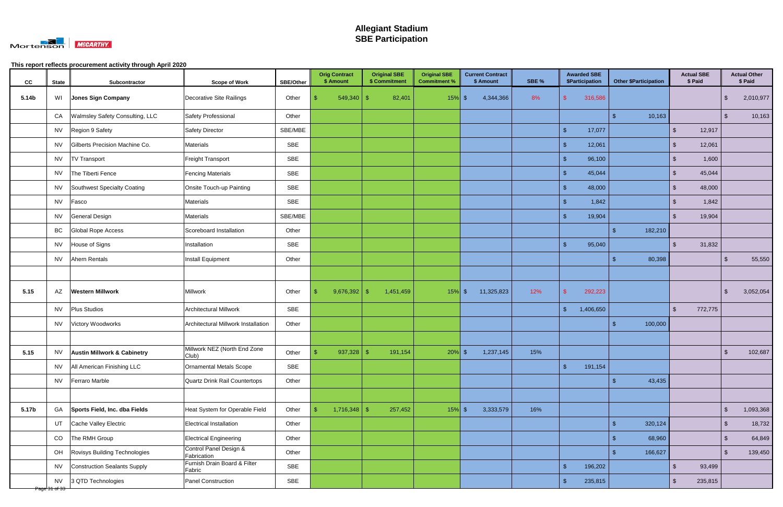

| cc    | <b>State</b>  | Subcontractor                          | <b>Scope of Work</b>                  | <b>SBE/Other</b> | <b>Orig Contract</b><br>\$ Amount | <b>Original SBE</b><br>\$ Commitment | <b>Original SBE</b><br><b>Commitment %</b> | <b>Current Contract</b><br>\$ Amount | SBE % | <b>Awarded SBE</b><br>\$Participation | <b>Other \$Participation</b> | <b>Actual SBE</b><br>\$ Paid      |               | <b>Actual Other</b><br>\$ Paid |
|-------|---------------|----------------------------------------|---------------------------------------|------------------|-----------------------------------|--------------------------------------|--------------------------------------------|--------------------------------------|-------|---------------------------------------|------------------------------|-----------------------------------|---------------|--------------------------------|
| 5.14b | WI            | Jones Sign Company                     | Decorative Site Railings              | Other            | 549,340                           | 82,401<br>-\$                        | $15\%$ \$                                  | 4,344,366                            | 8%    | 316,586                               |                              |                                   | -\$           | 2,010,977                      |
|       | CA            | Walmsley Safety Consulting, LLC        | Safety Professional                   | Other            |                                   |                                      |                                            |                                      |       |                                       | 10,163<br>-\$                |                                   | $\sqrt[6]{3}$ | 10,163                         |
|       | NV            | Region 9 Safety                        | Safety Director                       | SBE/MBE          |                                   |                                      |                                            |                                      |       | $\sqrt{2}$<br>17,077                  |                              | $\sqrt[6]{2}$<br>12,917           |               |                                |
|       | NV            | Gilberts Precision Machine Co.         | Materials                             | SBE              |                                   |                                      |                                            |                                      |       | 12,061<br>$\mathfrak{L}$              |                              | $\mathfrak{L}$<br>12,061          |               |                                |
|       | <b>NV</b>     | <b>TV Transport</b>                    | Freight Transport                     | SBE              |                                   |                                      |                                            |                                      |       | $\mathbf{\$}$<br>96,100               |                              | 1,600<br>$\mathcal{L}$            |               |                                |
|       | <b>NV</b>     | The Tiberti Fence                      | <b>Fencing Materials</b>              | SBE              |                                   |                                      |                                            |                                      |       | $\mathsf{\$}$<br>45,044               |                              | $\mathfrak{L}$<br>45,044          |               |                                |
|       | <b>NV</b>     | Southwest Specialty Coating            | Onsite Touch-up Painting              | <b>SBE</b>       |                                   |                                      |                                            |                                      |       | $\sqrt{3}$<br>48,000                  |                              | $\sqrt[6]{\frac{1}{2}}$<br>48,000 |               |                                |
|       | <b>NV</b>     | Fasco                                  | Materials                             | SBE              |                                   |                                      |                                            |                                      |       | <sup>\$</sup><br>1,842                |                              | $\mathfrak{L}$<br>1,842           |               |                                |
|       | <b>NV</b>     | General Design                         | Materials                             | SBE/MBE          |                                   |                                      |                                            |                                      |       | 19,904<br>\$                          |                              | $\mathbb{S}$<br>19,904            |               |                                |
|       | BC            | <b>Global Rope Access</b>              | Scoreboard Installation               | Other            |                                   |                                      |                                            |                                      |       |                                       | 182,210<br>් ක               |                                   |               |                                |
|       | NV            | House of Signs                         | Installation                          | SBE              |                                   |                                      |                                            |                                      |       | $\mathsf{\$}$<br>95,040               |                              | 31,832<br>-\$                     |               |                                |
|       | NV            | Ahern Rentals                          | Install Equipment                     | Other            |                                   |                                      |                                            |                                      |       |                                       | 80,398<br>-S                 |                                   | -\$           | 55,550                         |
|       |               |                                        |                                       |                  |                                   |                                      |                                            |                                      |       |                                       |                              |                                   |               |                                |
| 5.15  | AZ            | <b>Western Millwork</b>                | Millwork                              | Other            | 9,676,392                         | 1,451,459<br>-\$                     | $15\%$ \$                                  | 11,325,823                           | 12%   | \$<br>292,223                         |                              |                                   | \$            | 3,052,054                      |
|       | NV            | <b>Plus Studios</b>                    | <b>Architectural Millwork</b>         | SBE              |                                   |                                      |                                            |                                      |       | $\sqrt{2}$<br>1,406,650               |                              | $\sqrt[6]{2}$<br>772,775          |               |                                |
|       | <b>NV</b>     | Victory Woodworks                      | Architectural Millwork Installation   | Other            |                                   |                                      |                                            |                                      |       |                                       | 100,000<br>-\$               |                                   |               |                                |
|       |               |                                        |                                       |                  |                                   |                                      |                                            |                                      |       |                                       |                              |                                   |               |                                |
| 5.15  | <b>NV</b>     | <b>Austin Millwork &amp; Cabinetry</b> | Millwork NEZ (North End Zone<br>Club) | Other            | $937,328$ \$<br>- \$              | 191,154                              | $20\%$ \$                                  | 1,237,145                            | 15%   |                                       |                              |                                   | $\sqrt{2}$    | 102,687                        |
|       | <b>NV</b>     | All American Finishing LLC             | Ornamental Metals Scope               | SBE              |                                   |                                      |                                            |                                      |       | $\sqrt{3}$<br>191,154                 |                              |                                   |               |                                |
|       | NV            | Ferraro Marble                         | Quartz Drink Rail Countertops         | Other            |                                   |                                      |                                            |                                      |       |                                       | 43,435<br>- \$               |                                   |               |                                |
|       |               |                                        |                                       |                  |                                   |                                      |                                            |                                      |       |                                       |                              |                                   |               |                                |
| 5.17b | GA            | Sports Field, Inc. dba Fields          | Heat System for Operable Field        | Other            | $1,716,348$ \$<br>S.              | 257,452                              | $15%$ \$                                   | 3,333,579                            | 16%   |                                       |                              |                                   | $\sqrt[6]{3}$ | 1,093,368                      |
|       | UT            | Cache Valley Electric                  | Electrical Installation               | Other            |                                   |                                      |                                            |                                      |       |                                       | 320,124<br>$\mathfrak{L}$    |                                   | $\sqrt[3]{2}$ | 18,732                         |
|       | CO            | The RMH Group                          | <b>Electrical Engineering</b>         | Other            |                                   |                                      |                                            |                                      |       |                                       | 68,960<br>- \$               |                                   | $\sqrt[6]{3}$ | 64,849                         |
|       | OH            | Rovisys Building Technologies          | Control Panel Design &<br>Fabrication | Other            |                                   |                                      |                                            |                                      |       |                                       | 166,627<br>- \$              |                                   | $\sqrt[6]{3}$ | 139,450                        |
|       | <b>NV</b>     | Construction Sealants Supply           | Furnish Drain Board & Filter          | SBE              |                                   |                                      |                                            |                                      |       | $\sqrt{2}$<br>196,202                 |                              | $\sqrt[6]{\frac{1}{2}}$<br>93,499 |               |                                |
|       | <b>NV</b>     | 3 QTD Technologies                     | Panel Construction                    | SBE              |                                   |                                      |                                            |                                      |       | $\sqrt{3}$<br>235,815                 |                              | $\sqrt[6]{2}$<br>235,815          |               |                                |
|       | Page 31 of 33 |                                        | Fabric                                |                  |                                   |                                      |                                            |                                      |       |                                       |                              |                                   |               |                                |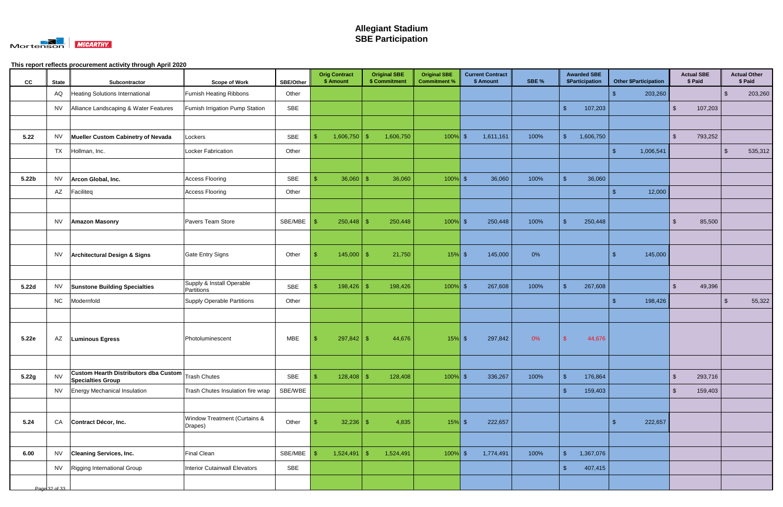

| cc                | <b>State</b>  | Subcontractor                                                     | <b>Scope of Work</b>                     | <b>SBE/Other</b> | <b>Orig Contract</b><br>\$ Amount |            | <b>Original SBE</b><br>\$ Commitment | <b>Original SBE</b><br><b>Commitment %</b> | <b>Current Contract</b><br>\$ Amount | SBE % |                         | <b>Awarded SBE</b><br>\$Participation |                    | <b>Other \$Participation</b> |                | <b>Actual SBE</b><br>\$ Paid |                | <b>Actual Other</b><br>\$ Paid |
|-------------------|---------------|-------------------------------------------------------------------|------------------------------------------|------------------|-----------------------------------|------------|--------------------------------------|--------------------------------------------|--------------------------------------|-------|-------------------------|---------------------------------------|--------------------|------------------------------|----------------|------------------------------|----------------|--------------------------------|
|                   | AQ            | <b>Heating Solutions International</b>                            | <b>Furnish Heating Ribbons</b>           | Other            |                                   |            |                                      |                                            |                                      |       |                         |                                       | -\$                | 203,260                      |                |                              | $\sqrt[6]{3}$  | 203,260                        |
|                   | <b>NV</b>     | Alliance Landscaping & Water Features                             | Furnish Irrigation Pump Station          | <b>SBE</b>       |                                   |            |                                      |                                            |                                      |       | $\mathbf{\$}$           | 107,203                               |                    |                              | $\mathfrak{S}$ | 107,203                      |                |                                |
|                   |               |                                                                   |                                          |                  |                                   |            |                                      |                                            |                                      |       |                         |                                       |                    |                              |                |                              |                |                                |
| 5.22              | <b>NV</b>     | Mueller Custom Cabinetry of Nevada                                | Lockers                                  | <b>SBE</b>       | $1,606,750$ \$<br>-\$             |            | 1,606,750                            | $100\%$ \$                                 | 1,611,161                            | 100%  | $\sqrt[6]{\frac{1}{2}}$ | 1,606,750                             |                    |                              | $\sqrt{2}$     | 793,252                      |                |                                |
|                   |               | TX Hollman, Inc.                                                  | Locker Fabrication                       | Other            |                                   |            |                                      |                                            |                                      |       |                         |                                       | $\mathbf{\hat{s}}$ | 1,006,541                    |                |                              | \$             | 535,312                        |
|                   |               |                                                                   |                                          |                  |                                   |            |                                      |                                            |                                      |       |                         |                                       |                    |                              |                |                              |                |                                |
| 5.22 <sub>b</sub> | <b>NV</b>     | Arcon Global, Inc.                                                | <b>Access Flooring</b>                   | <b>SBE</b>       | 36,060<br>-\$                     | -\$        | 36,060                               | $100\%$ \$                                 | 36,060                               | 100%  | $\mathfrak{S}$          | 36,060                                |                    |                              |                |                              |                |                                |
|                   | AZ            | Faciliteq                                                         | <b>Access Flooring</b>                   | Other            |                                   |            |                                      |                                            |                                      |       |                         |                                       | $\mathbf{\$}$      | 12,000                       |                |                              |                |                                |
|                   |               |                                                                   |                                          |                  |                                   |            |                                      |                                            |                                      |       |                         |                                       |                    |                              |                |                              |                |                                |
|                   | NV            | <b>Amazon Masonry</b>                                             | Pavers Team Store                        | SBE/MBE          | -S                                |            | 250,448                              | $100\%$ \$                                 | 250,448                              | 100%  | $\sqrt{2}$              | 250,448                               |                    |                              | $\sqrt[6]{2}$  | 85,500                       |                |                                |
|                   |               |                                                                   |                                          |                  |                                   |            |                                      |                                            |                                      |       |                         |                                       |                    |                              |                |                              |                |                                |
|                   | NV            | <b>Architectural Design &amp; Signs</b>                           | <b>Gate Entry Signs</b>                  | Other            | $145,000$ \ \$<br>- \$            |            | 21,750                               | $15%$ \$                                   | 145,000                              | 0%    |                         |                                       | S                  | 145,000                      |                |                              |                |                                |
|                   |               |                                                                   |                                          |                  |                                   |            |                                      |                                            |                                      |       |                         |                                       |                    |                              |                |                              |                |                                |
| 5.22d             | <b>NV</b>     | <b>Sunstone Building Specialties</b>                              | Supply & Install Operable                | <b>SBE</b>       | 198,426<br>-\$                    | $\sqrt{3}$ | 198,426                              | $100\%$ \$                                 | 267,608                              | 100%  | $\sqrt{3}$              | 267,608                               |                    |                              | $\sqrt{2}$     | 49,396                       |                |                                |
|                   | <b>NC</b>     | Modernfold                                                        | Partitions<br>Supply Operable Partitions | Other            |                                   |            |                                      |                                            |                                      |       |                         |                                       | \$                 | 198,426                      |                |                              | $\mathfrak{L}$ | 55,322                         |
|                   |               |                                                                   |                                          |                  |                                   |            |                                      |                                            |                                      |       |                         |                                       |                    |                              |                |                              |                |                                |
|                   |               |                                                                   |                                          |                  |                                   |            |                                      |                                            |                                      |       |                         |                                       |                    |                              |                |                              |                |                                |
| 5.22e             | AZ            | <b>Luminous Egress</b>                                            | Photoluminescent                         | <b>MBE</b>       | $297,842$ \$<br>∣\$               |            | 44,676                               | $15%$ \$                                   | 297,842                              | 0%    | $\mathbb{S}$            | 44,676                                |                    |                              |                |                              |                |                                |
|                   |               |                                                                   |                                          |                  |                                   |            |                                      |                                            |                                      |       |                         |                                       |                    |                              |                |                              |                |                                |
|                   |               |                                                                   |                                          |                  |                                   |            |                                      |                                            |                                      |       |                         |                                       |                    |                              |                |                              |                |                                |
| 5.22g             | <b>NV</b>     | Custom Hearth Distributors dba Custom<br><b>Specialties Group</b> | <b>Trash Chutes</b>                      | SBE              | -\$                               |            | 128,408                              | $100\%$ \$                                 | 336,267                              | 100%  | $\sqrt{3}$              | 176,864                               |                    |                              | $\sqrt{2}$     | 293,716                      |                |                                |
|                   | <b>NV</b>     | <b>Energy Mechanical Insulation</b>                               | Trash Chutes Insulation fire wrap        | SBE/WBE          |                                   |            |                                      |                                            |                                      |       | $\sqrt{2}$              | 159,403                               |                    |                              | $\sqrt[6]{2}$  | 159,403                      |                |                                |
|                   |               |                                                                   |                                          |                  |                                   |            |                                      |                                            |                                      |       |                         |                                       |                    |                              |                |                              |                |                                |
| 5.24              | CA            | Contract Décor, Inc.                                              | Window Treatment (Curtains &<br>Drapes)  | Other            | $32,236$ \$<br>-\$                |            | 4,835                                | $15\%$ \$                                  | 222,657                              |       |                         |                                       | -\$                | 222,657                      |                |                              |                |                                |
|                   |               |                                                                   |                                          |                  |                                   |            |                                      |                                            |                                      |       |                         |                                       |                    |                              |                |                              |                |                                |
| 6.00              | <b>NV</b>     | <b>Cleaning Services, Inc.</b>                                    | Final Clean                              | SBE/MBE          | $1,524,491$ \$                    |            | 1,524,491                            | $100\%$ \$                                 | 1,774,491                            | 100%  | $\sqrt[6]{\frac{1}{2}}$ | 1,367,076                             |                    |                              |                |                              |                |                                |
|                   |               | NV Rigging International Group                                    | <b>Interior Cutainwall Elevators</b>     | SBE              |                                   |            |                                      |                                            |                                      |       | $\sqrt{2}$              | 407,415                               |                    |                              |                |                              |                |                                |
|                   |               |                                                                   |                                          |                  |                                   |            |                                      |                                            |                                      |       |                         |                                       |                    |                              |                |                              |                |                                |
|                   | Page 32 of 33 |                                                                   |                                          |                  |                                   |            |                                      |                                            |                                      |       |                         |                                       |                    |                              |                |                              |                |                                |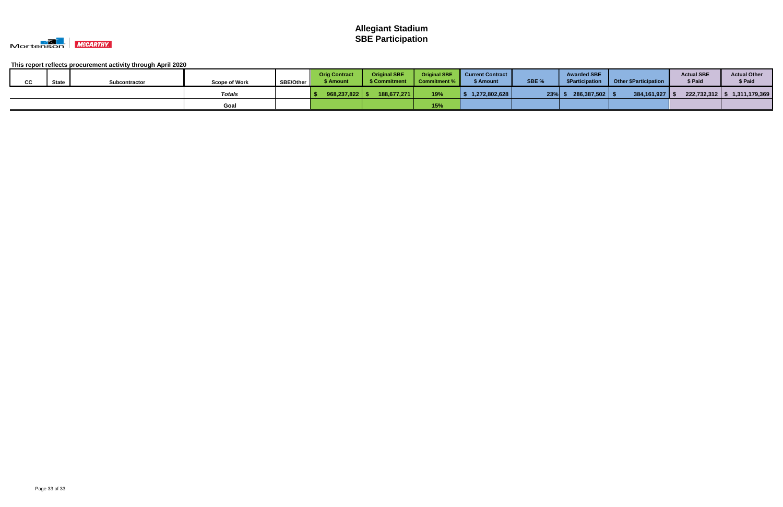

| $\sim$ | <b>State</b> | Subcontractor | <b>Scope of Work</b> | <b>SBE/Other</b> | <b>Orig Contract</b><br>\$ Amount | <b>Original SBE</b><br>\$ Commitment | <b>Original SBE</b><br>Commitment % | <b>Current Contract</b><br>\$ Amount | SBE % | <b>Awarded SBE</b><br>\$Participation | Other \$Participation | <b>Actual SBE</b><br>\$ Paid | <b>Actual Other</b><br>\$ Paid   |
|--------|--------------|---------------|----------------------|------------------|-----------------------------------|--------------------------------------|-------------------------------------|--------------------------------------|-------|---------------------------------------|-----------------------|------------------------------|----------------------------------|
|        |              |               | Totals               |                  | 968,237,822                       | 188,677,271                          | 19%                                 | 1,272,802,628                        | 23%   | 286,387,502 \$                        | $384,161,927$   9     |                              | $222,732,312$   \$ 1,311,179,369 |
|        |              |               | Goal                 |                  |                                   |                                      | 15%                                 |                                      |       |                                       |                       |                              |                                  |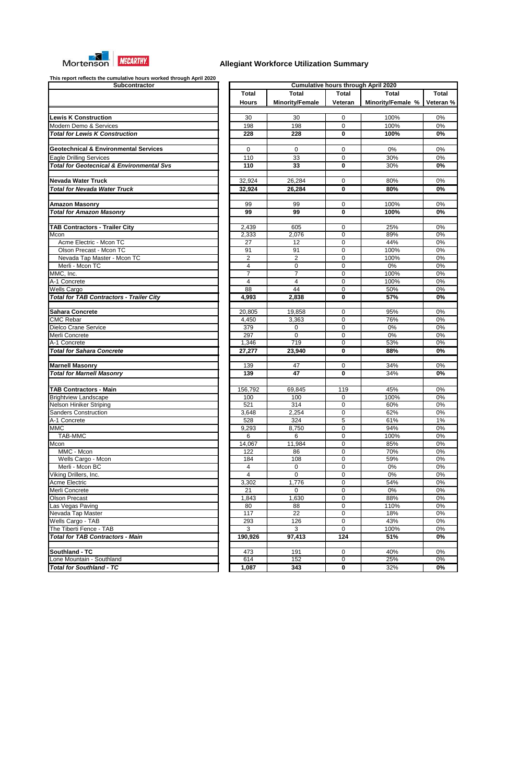

| Subcontractor                                        |                      |                        |                  | <b>Cumulative hours through April 2020</b> |        |
|------------------------------------------------------|----------------------|------------------------|------------------|--------------------------------------------|--------|
|                                                      | <b>Total</b>         | <b>Total</b>           | <b>Total</b>     | Total                                      | Tota   |
|                                                      | <b>Hours</b>         | <b>Minority/Female</b> | Veteran          | Minority/Female %                          | Vetera |
| <b>Lewis K Construction</b>                          | 30                   | 30                     | $\mathbf 0$      | 100%                                       | 0%     |
| Modern Demo & Services                               | 198                  | 198                    | 0                | 100%                                       | 0%     |
|                                                      |                      |                        | $\bf{0}$         |                                            |        |
| <b>Total for Lewis K Construction</b>                | 228                  | 228                    |                  | 100%                                       | 0%     |
| <b>Geotechnical &amp; Environmental Services</b>     | $\Omega$             | $\mathbf{0}$           | $\mathbf 0$      | 0%                                         | 0%     |
| <b>Eagle Drilling Services</b>                       | 110                  | 33                     | 0                | 30%                                        | 0%     |
| <b>Total for Geotecnical &amp; Environmental Svs</b> | 110                  | 33                     | $\mathbf 0$      | 30%                                        | 0%     |
| <b>Nevada Water Truck</b>                            | 32,924               | 26,284                 | 0                | 80%                                        | 0%     |
| <b>Total for Nevada Water Truck</b>                  | 32,924               | 26,284                 | $\bf{0}$         | 80%                                        | 0%     |
|                                                      |                      |                        |                  |                                            |        |
| <b>Amazon Masonry</b>                                | 99                   | 99                     | $\mathbf 0$      | 100%                                       | 0%     |
| <b>Total for Amazon Masonry</b>                      | 99                   | 99                     | 0                | 100%                                       | 0%     |
| <b>TAB Contractors - Trailer City</b>                | 2,439                | 605                    | 0                | 25%                                        | 0%     |
| Mcon                                                 | $\overline{2}$ , 333 | 2,076                  | 0                | 89%                                        | 0%     |
| Acme Electric - Mcon TC                              | $\overline{27}$      | 12                     | $\mathbf 0$      | 44%                                        | 0%     |
| Olson Precast - Mcon TC                              | 91                   | 91                     | $\mathbf 0$      | 100%                                       | 0%     |
| Nevada Tap Master - Mcon TC                          | $\overline{c}$       | $\overline{c}$         | $\mathbf 0$      | 100%                                       | 0%     |
| Merli - Mcon TC                                      | $\overline{4}$       | $\mathbf 0$            | 0                | $0\%$                                      | 0%     |
| MMC, Inc.                                            | $\overline{7}$       | $\overline{7}$         | 0                | 100%                                       | 0%     |
| A-1 Concrete                                         | 4                    | $\overline{4}$         | 0                | 100%                                       | 0%     |
| Wells Cargo                                          | $\overline{88}$      | 44                     | $\mathbf 0$      | 50%                                        | 0%     |
| <b>Total for TAB Contractors - Trailer City</b>      | 4,993                | 2,838                  | $\bf{0}$         | 57%                                        | 0%     |
| <b>Sahara Concrete</b>                               | 20,805               | 19,858                 | $\mathbf 0$      | 95%                                        | 0%     |
| <b>CMC Rebar</b>                                     | 4,450                | 3,363                  | 0                | 76%                                        | 0%     |
| Dielco Crane Service                                 | 379                  | $\mathbf 0$            | 0                | 0%                                         | 0%     |
| Merli Concrete                                       | 297                  | $\mathbf 0$            | 0                | $0\%$                                      | 0%     |
| A-1 Concrete                                         | 1,346                | 719                    | $\mathbf 0$      | 53%                                        | 0%     |
| <b>Total for Sahara Concrete</b>                     | 27,277               | 23,940                 | $\mathbf 0$      | 88%                                        | 0%     |
|                                                      |                      |                        |                  |                                            |        |
| <b>Marnell Masonry</b>                               | 139                  | 47                     | $\mathbf 0$      | 34%                                        | 0%     |
| <b>Total for Marnell Masonry</b>                     | 139                  | 47                     | 0                | 34%                                        | 0%     |
| <b>TAB Contractors - Main</b>                        | 156,792              | 69,845                 | 119              | 45%                                        | 0%     |
| <b>Brightview Landscape</b>                          | 100                  | 100                    | 0                | 100%                                       | 0%     |
| <b>Nelson Hiniker Striping</b>                       | 521                  | $\overline{314}$       | $\boldsymbol{0}$ | 60%                                        | 0%     |
| <b>Sanders Construction</b>                          | 3,648                | 2,254                  | $\boldsymbol{0}$ | 62%                                        | 0%     |
| A-1 Concrete                                         | 528                  | 324                    | 5                | 61%                                        | 1%     |
| <b>MMC</b>                                           | 9,293                | 8,750                  | $\boldsymbol{0}$ | 94%                                        | 0%     |
| <b>TAB-MMC</b>                                       | 6                    | 6                      | $\boldsymbol{0}$ | 100%                                       | 0%     |
| Mcon                                                 | 14,067               | 11,984                 | 0                | 85%                                        | 0%     |
| MMC - Mcon                                           | 122                  | 86                     | 0                | 70%                                        | 0%     |
| Wells Cargo - Mcon                                   | 184                  | 108                    | 0                | 59%                                        | 0%     |
| Merli - Mcon BC                                      | 4                    | 0                      | 0                | 0%                                         | 0%     |
| Viking Drillers, Inc.                                | 4                    | $\mathbf 0$            | 0                | $0\%$                                      | 0%     |
| <b>Acme Electric</b>                                 | 3,302                | 1,776                  | 0                | 54%                                        | 0%     |
| Merli Concrete                                       | 21                   | 0                      | 0                | 0%                                         | 0%     |
| <b>Olson Precast</b>                                 | 1,843                | 1,630                  | 0                | 88%                                        | 0%     |
| Las Vegas Paving                                     | 80                   | 88                     | 0                | 110%                                       | 0%     |
| Nevada Tap Master                                    | 117                  | 22                     | 0                | 18%                                        | 0%     |
| Wells Cargo - TAB                                    | 293                  | 126                    | 0                | 43%                                        | 0%     |
| The Tiberti Fence - TAB                              | 3                    | 3                      | $\mathbf 0$      | 100%                                       | 0%     |
| <b>Total for TAB Contractors - Main</b>              | 190,926              | 97,413                 | 124              | 51%                                        | 0%     |
| Southland - TC                                       | 473                  | 191                    | 0                | 40%                                        | 0%     |
| Lone Mountain - Southland                            | 614                  | 152                    | $\mathbf 0$      | 25%                                        | 0%     |
|                                                      |                      |                        |                  |                                            |        |
| <b>Total for Southland - TC</b>                      | 1,087                | 343                    | $\mathbf 0$      | 32%                                        | 0%     |

| This report reflects the cumulative hours worked through April 2020<br>Subcontractor |                |                        |              | <b>Cumulative hours through April 2020</b> |              |
|--------------------------------------------------------------------------------------|----------------|------------------------|--------------|--------------------------------------------|--------------|
|                                                                                      | <b>Total</b>   | <b>Total</b>           | <b>Total</b> | Total                                      | <b>Total</b> |
|                                                                                      | <b>Hours</b>   | <b>Minority/Female</b> | Veteran      | Minority/Female %                          | Veteran %    |
|                                                                                      |                |                        |              |                                            |              |
| <b>Lewis K Construction</b>                                                          | 30             | 30                     | $\mathbf 0$  | 100%                                       | 0%           |
| Modern Demo & Services                                                               | 198            | 198                    | $\mathbf 0$  | 100%                                       | 0%           |
| <b>Total for Lewis K Construction</b>                                                | 228            | 228                    | $\mathbf 0$  | 100%                                       | 0%           |
|                                                                                      |                |                        |              |                                            |              |
| <b>Geotechnical &amp; Environmental Services</b>                                     | 0              | 0                      | 0            | 0%                                         | 0%           |
| <b>Eagle Drilling Services</b>                                                       | 110            | 33                     | $\mathbf 0$  | 30%                                        | 0%           |
| <b>Total for Geotecnical &amp; Environmental Svs</b>                                 | 110            | 33                     | $\bf{0}$     | 30%                                        | 0%           |
|                                                                                      |                |                        |              |                                            |              |
| Nevada Water Truck                                                                   | 32,924         | 26,284                 | $\mathbf 0$  | 80%                                        | 0%           |
| <b>Total for Nevada Water Truck</b>                                                  | 32,924         | 26,284                 | $\bf{0}$     | 80%                                        | 0%           |
| <b>Amazon Masonry</b>                                                                | 99             | 99                     | $\mathbf 0$  | 100%                                       | 0%           |
| <b>Total for Amazon Masonry</b>                                                      | 99             | 99                     | $\bf{0}$     | 100%                                       | 0%           |
|                                                                                      |                |                        |              |                                            |              |
| <b>TAB Contractors - Trailer City</b>                                                | 2,439          | 605                    | $\Omega$     | 25%                                        | 0%           |
| Mcon                                                                                 | 2,333          | 2,076                  | $\Omega$     | 89%                                        | 0%           |
| Acme Electric - Mcon TC                                                              | 27             | $\overline{12}$        | $\mathbf 0$  | 44%                                        | 0%           |
| Olson Precast - Mcon TC                                                              | 91             | 91                     | $\Omega$     | 100%                                       | 0%           |
| Nevada Tap Master - Mcon TC                                                          | $\overline{2}$ | $\overline{2}$         | $\mathbf 0$  | 100%                                       | 0%           |
| Merli - Mcon TC                                                                      | 4              | $\mathbf 0$            | $\mathbf 0$  | 0%                                         | 0%           |
| MMC, Inc.                                                                            | $\overline{7}$ | $\overline{7}$         | $\mathbf 0$  | 100%                                       | 0%           |
| A-1 Concrete                                                                         | 4              | $\overline{4}$         | $\mathbf 0$  | 100%                                       | 0%           |
| Wells Cargo                                                                          | 88             | 44                     | $\mathbf 0$  | 50%                                        | 0%           |
| <b>Total for TAB Contractors - Trailer City</b>                                      | 4,993          | 2,838                  | $\mathbf 0$  | 57%                                        | 0%           |
| Sahara Concrete                                                                      | 20,805         | 19,858                 | $\mathbf 0$  | 95%                                        | 0%           |
| <b>CMC Rebar</b>                                                                     | 4,450          | 3,363                  | $\Omega$     | 76%                                        | 0%           |
| Dielco Crane Service                                                                 | 379            | 0                      | $\mathbf 0$  | 0%                                         | 0%           |
| Merli Concrete                                                                       | 297            | $\mathbf 0$            | $\mathbf 0$  | 0%                                         | 0%           |
| A-1 Concrete                                                                         | 1,346          | $\overline{719}$       | 0            | 53%                                        | 0%           |
| <b>Total for Sahara Concrete</b>                                                     | 27,277         | 23,940                 | $\mathbf 0$  | 88%                                        | $0\%$        |
|                                                                                      |                |                        |              |                                            |              |
| <b>Marnell Masonry</b>                                                               | 139            | 47                     | 0            | 34%                                        | $0\%$        |
| <b>Total for Marnell Masonry</b>                                                     | 139            | 47                     | $\bf{0}$     | 34%                                        | $0\%$        |
|                                                                                      |                |                        |              |                                            |              |
| <b>TAB Contractors - Main</b>                                                        | 156,792        | 69,845                 | 119          | 45%                                        | 0%           |
| <b>Brightview Landscape</b>                                                          | 100            | 100                    | 0            | 100%                                       | 0%           |
| Nelson Hiniker Striping<br>Sanders Construction                                      | 521            | 314                    | 0            | 60%                                        | 0%<br>0%     |
| A-1 Concrete                                                                         | 3,648<br>528   | 2,254<br>324           | 0<br>5       | 62%<br>61%                                 | 1%           |
| MMC                                                                                  | 9,293          | 8,750                  | 0            | 94%                                        | 0%           |
| <b>TAB-MMC</b>                                                                       | 6              | 6                      | 0            | 100%                                       | 0%           |
| Mcon                                                                                 | 14,067         | 11,984                 | 0            | 85%                                        | 0%           |
| MMC - Mcon                                                                           | 122            | 86                     | 0            | 70%                                        | 0%           |
| Wells Cargo - Mcon                                                                   | 184            | 108                    | 0            | 59%                                        | 0%           |
| Merli - Mcon BC                                                                      | 4              | 0                      | $\mathbf 0$  | 0%                                         | 0%           |
| Viking Drillers, Inc.                                                                | 4              | $\mathbf 0$            | $\mathbf 0$  | 0%                                         | 0%           |
| Acme Electric                                                                        | 3,302          | 1,776                  | 0            | 54%                                        | 0%           |
| Merli Concrete                                                                       | 21             | 0                      | 0            | 0%                                         | 0%           |
| <b>Olson Precast</b>                                                                 | 1,843          | 1,630                  | 0            | 88%                                        | 0%           |
| Las Vegas Paving                                                                     | 80             | 88                     | 0            | 110%                                       | 0%           |
| Nevada Tap Master                                                                    | 117            | 22                     | 0            | 18%                                        | 0%           |
| Wells Cargo - TAB                                                                    | 293            | 126                    | 0            | 43%                                        | 0%           |
| The Tiberti Fence - TAB                                                              | 3              | 3                      | $\mathbf 0$  | 100%                                       | 0%           |
| <b>Total for TAB Contractors - Main</b>                                              | 190,926        | 97,413                 | 124          | 51%                                        | 0%           |
|                                                                                      |                |                        |              |                                            |              |
| Southland - TC                                                                       | 473            | 191                    | 0            | 40%                                        | 0%           |
| Lone Mountain - Southland                                                            | 614            | 152                    | 0            | 25%                                        | 0%           |
| <b>Total for Southland - TC</b>                                                      | 1,087          | 343                    | 0            | 32%                                        | 0%           |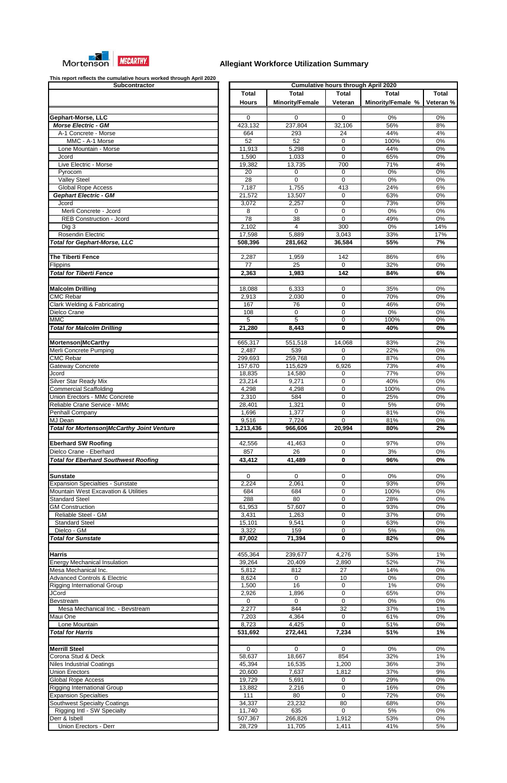

| <b>Subcontractor</b>                              |
|---------------------------------------------------|
|                                                   |
|                                                   |
|                                                   |
| Gephart-Morse, LLC                                |
| <b>Morse Electric - GM</b>                        |
| A-1 Concrete - Morse                              |
| MMC - A-1 Morse                                   |
| Lone Mountain - Morse<br>Jcord                    |
| Live Electric - Morse                             |
| Pyrocom                                           |
| <b>Valley Steel</b>                               |
| <b>Global Rope Access</b>                         |
| <b>Gephart Electric - GM</b>                      |
| Jcord                                             |
| Merli Concrete - Jcord                            |
| <b>REB Construction - Jcord</b>                   |
| Dig 3                                             |
| Rosendin Electric                                 |
| <b>Total for Gephart-Morse, LLC</b>               |
|                                                   |
| The Tiberti Fence                                 |
| Flippins                                          |
| <b>Total for Tiberti Fence</b>                    |
|                                                   |
| <b>Malcolm Drilling</b><br><b>CMC Rebar</b>       |
| Clark Welding & Fabricating                       |
| Dielco Crane                                      |
| <b>MMC</b>                                        |
| <b>Total for Malcolm Drilling</b>                 |
|                                                   |
| Mortenson McCarthy                                |
| Merli Concrete Pumping                            |
| <b>CMC Rebar</b>                                  |
| Gateway Concrete                                  |
| Jcord                                             |
| Silver Star Ready Mix                             |
| <b>Commercial Scaffolding</b>                     |
| Union Erectors - MMc Concrete                     |
| Reliable Crane Service - MMc                      |
| Penhall Company                                   |
|                                                   |
| MJ Dean                                           |
| <b>Total for Mortenson/McCarthy Joint Venture</b> |
|                                                   |
| <b>Eberhard SW Roofing</b>                        |
| Dielco Crane - Eberhard                           |
| <b>Total for Eberhard Southwest Roofing</b>       |
|                                                   |
| Sunstate                                          |
| <b>Expansion Specialties - Sunstate</b>           |
| Mountain West Excavation & Utilities              |
| <b>Standard Steel</b>                             |
| <b>GM Construction</b>                            |
| Reliable Steel - GM                               |
| <b>Standard Steel</b>                             |
| Dielco - GM                                       |
| <b>Total for Sunstate</b>                         |
|                                                   |
| Harris                                            |
| <b>Energy Mechanical Insulation</b>               |
| Mesa Mechanical Inc.                              |
| <b>Advanced Controls &amp; Electric</b>           |
| <b>Rigging International Group</b><br>JCord       |
| Bevstream                                         |
| Mesa Mechanical Inc. - Bevstream                  |
| Maui One                                          |
| Lone Mountain                                     |
| <b>Total for Harris</b>                           |
|                                                   |
| <b>Merrill Steel</b>                              |
| Corona Stud & Deck                                |
| <b>Niles Industrial Coatings</b>                  |
| <b>Union Erectors</b>                             |
| <b>Global Rope Access</b>                         |
| <b>Rigging International Group</b>                |
| <b>Expansion Specialties</b>                      |
| <b>Southwest Specialty Coatings</b>               |
| <b>Rigging Intl - SW Specialty</b>                |
| Derr & Isbell                                     |

| This report renoved the cumulative heard fromca through ripin Ecse<br>Subcontractor |              |                        |              | <b>Cumulative hours through April 2020</b> |              |
|-------------------------------------------------------------------------------------|--------------|------------------------|--------------|--------------------------------------------|--------------|
|                                                                                     | <b>Total</b> | Total                  | <b>Total</b> | <b>Total</b>                               | <b>Total</b> |
|                                                                                     | <b>Hours</b> | <b>Minority/Female</b> | Veteran      | Minority/Female %                          | Veteran %    |
|                                                                                     |              |                        |              |                                            |              |
| Gephart-Morse, LLC                                                                  | $\Omega$     | $\Omega$               | 0            | 0%                                         | 0%           |
| <b>Morse Electric - GM</b>                                                          | 423,132      | 237,804                | 32,106       | 56%                                        | 8%           |
| A-1 Concrete - Morse                                                                | 664          | 293                    | 24           | 44%                                        | 4%           |
| MMC - A-1 Morse                                                                     | 52           | $\overline{52}$        |              |                                            | $0\%$        |
|                                                                                     |              |                        | 0            | 100%                                       |              |
| Lone Mountain - Morse                                                               | 11,913       | 5,298                  | 0            | 44%                                        | 0%           |
| Jcord                                                                               | 1,590        | 1,033                  | 0            | 65%                                        | 0%           |
| Live Electric - Morse                                                               | 19,382       | 13,735                 | 700          | 71%                                        | 4%           |
| Pyrocom                                                                             | 20           | 0                      | 0            | 0%                                         | 0%           |
| <b>Valley Steel</b>                                                                 | 28           | 0                      | $\mathbf 0$  | 0%                                         | 0%           |
| <b>Global Rope Access</b>                                                           | 7,187        | 1,755                  | 413          | 24%                                        | 6%           |
| <b>Gephart Electric - GM</b>                                                        | 21,572       | 13,507                 | 0            | 63%                                        | 0%           |
| Jcord                                                                               | 3,072        | 2,257                  | 0            | 73%                                        | 0%           |
|                                                                                     |              |                        |              |                                            |              |
| Merli Concrete - Jcord                                                              | 8            | 0                      | 0            | 0%                                         | 0%           |
| <b>REB Construction - Jcord</b>                                                     | 78           | 38                     | $\mathbf 0$  | 49%                                        | 0%           |
| Dig 3                                                                               | 2,102        | 4                      | 300          | 0%                                         | 14%          |
| Rosendin Electric                                                                   | 17,598       | 5,889                  | 3,043        | 33%                                        | 17%          |
| <b>Total for Gephart-Morse, LLC</b>                                                 | 508,396      | 281,662                | 36,584       | 55%                                        | 7%           |
|                                                                                     |              |                        |              |                                            |              |
| The Tiberti Fence                                                                   | 2,287        | 1,959                  | 142          | 86%                                        | 6%           |
| Flippins                                                                            | 77           | 25                     | $\mathbf 0$  | 32%                                        | 0%           |
| <b>Total for Tiberti Fence</b>                                                      | 2,363        | 1,983                  | 142          | 84%                                        | 6%           |
|                                                                                     |              |                        |              |                                            |              |
| <b>Malcolm Drilling</b>                                                             | 18,088       | 6,333                  | $\mathbf 0$  | 35%                                        | 0%           |
| <b>CMC Rebar</b>                                                                    |              |                        | 0            | 70%                                        | 0%           |
|                                                                                     | 2,913        | 2,030                  |              |                                            |              |
| <b>Clark Welding &amp; Fabricating</b>                                              | 167          | 76                     | 0            | 46%                                        | 0%           |
| Dielco Crane                                                                        | 108          | 0                      | 0            | 0%                                         | 0%           |
| <b>MMC</b>                                                                          | 5            | 5                      | 0            | 100%                                       | 0%           |
| <b>Total for Malcolm Drilling</b>                                                   | 21,280       | 8,443                  | 0            | 40%                                        | 0%           |
|                                                                                     |              |                        |              |                                            |              |
| Mortenson McCarthy                                                                  | 665,317      | 551,518                | 14,068       | 83%                                        | 2%           |
| Merli Concrete Pumping                                                              | 2,487        | 539                    | 0            | 22%                                        | 0%           |
| CMC Rebar                                                                           | 299,693      | 259,768                | 0            | 87%                                        | 0%           |
| Gateway Concrete                                                                    | 157,670      | 115,629                | 6,926        | 73%                                        | 4%           |
| Jcord                                                                               | 18,835       | 14,580                 | 0            | 77%                                        | 0%           |
| Silver Star Ready Mix                                                               | 23,214       | 9,271                  | 0            | 40%                                        | 0%           |
|                                                                                     |              |                        |              |                                            |              |
| <b>Commercial Scaffolding</b>                                                       | 4,298        | 4,298                  | $\mathbf 0$  | 100%                                       | 0%           |
| Union Erectors - MMc Concrete                                                       | 2,310        | 584                    | $\mathbf 0$  | 25%                                        | 0%           |
| Reliable Crane Service - MMc                                                        | 28,401       | 1,321                  | $\Omega$     | 5%                                         | 0%           |
| Penhall Company                                                                     | 1,696        | 1,377                  | $\Omega$     | 81%                                        | 0%           |
| MJ Dean                                                                             | 9,516        | 7,724                  | $\Omega$     | 81%                                        | $0\%$        |
| <b>Total for Mortenson/McCarthy Joint Venture</b>                                   | 1,213,436    | 966,606                | 20,994       | 80%                                        | 2%           |
|                                                                                     |              |                        |              |                                            |              |
| <b>Eberhard SW Roofing</b>                                                          | 42,556       | 41,463                 | 0            | 97%                                        | 0%           |
| Dielco Crane - Eberhard                                                             | 857          | 26                     | 0            | 3%                                         | $0\%$        |
| <b>Total for Eberhard Southwest Roofing</b>                                         | 43,412       | 41,489                 | 0            | 96%                                        | 0%           |
|                                                                                     |              |                        |              |                                            |              |
|                                                                                     |              |                        |              |                                            |              |
| <b>Sunstate</b>                                                                     | $\Omega$     | 0                      | 0            | 0%                                         | 0%           |
| <b>Expansion Specialties - Sunstate</b>                                             | 2,224        | 2,061                  | 0            | 93%                                        | 0%           |
| <b>Mountain West Excavation &amp; Utilities</b>                                     | 684          | 684                    | 0            | 100%                                       | 0%           |
| <b>Standard Steel</b>                                                               | 288          | 80                     | 0            | 28%                                        | 0%           |
| <b>GM Construction</b>                                                              | 61,953       | 57,607                 | 0            | 93%                                        | 0%           |
| Reliable Steel - GM                                                                 | 3,431        | 1,263                  | 0            | 37%                                        | 0%           |
| <b>Standard Steel</b>                                                               | 15,101       | 9,541                  | 0            | 63%                                        | 0%           |
| Dielco - GM                                                                         | 3,322        | 159                    | 0            | 5%                                         | 0%           |
| <b>Total for Sunstate</b>                                                           | 87,002       | 71,394                 | 0            | 82%                                        | 0%           |
|                                                                                     |              |                        |              |                                            |              |
|                                                                                     |              |                        |              |                                            |              |
| Harris                                                                              | 455,364      | 239,677                | 4,276        | 53%                                        | 1%           |
| <b>Energy Mechanical Insulation</b>                                                 | 39,264       | 20,409                 | 2,890        | 52%                                        | 7%           |
| Mesa Mechanical Inc.                                                                | 5,812        | 812                    | 27           | 14%                                        | 0%           |
| <b>Advanced Controls &amp; Electric</b>                                             | 8,624        | $\Omega$               | 10           | 0%                                         | 0%           |
| <b>Rigging International Group</b>                                                  | 1,500        | $\overline{16}$        | 0            | 1%                                         | 0%           |
| JCord                                                                               | 2,926        | 1,896                  | 0            | 65%                                        | 0%           |
| Bevstream                                                                           | 0            | 0                      | 0            | 0%                                         | 0%           |
| Mesa Mechanical Inc. - Bevstream                                                    | 2,277        | 844                    | 32           | 37%                                        | 1%           |
| Maui One                                                                            | 7,203        | 4,364                  | 0            | 61%                                        | 0%           |
| Lone Mountain                                                                       | 8,723        | 4,425                  | $\mathbf 0$  | 51%                                        | $0\%$        |
|                                                                                     |              |                        |              |                                            |              |
| <b>Total for Harris</b>                                                             | 531,692      | 272,441                | 7,234        | 51%                                        | 1%           |
|                                                                                     |              |                        |              |                                            |              |
| <b>Merrill Steel</b>                                                                | $\mathbf 0$  | 0                      | 0            | 0%                                         | 0%           |
| Corona Stud & Deck                                                                  | 58,637       | 18,667                 | 854          | 32%                                        | $1\%$        |
| <b>Niles Industrial Coatings</b>                                                    | 45,394       | 16,535                 | 1,200        | 36%                                        | 3%           |
| <b>Union Erectors</b>                                                               | 20,600       | 7,637                  | 1,812        | 37%                                        | 9%           |
| <b>Global Rope Access</b>                                                           | 19,729       | 5,691                  | 0            | 29%                                        | 0%           |
| <b>Rigging International Group</b>                                                  | 13,882       | 2,216                  | $\pmb{0}$    | 16%                                        | 0%           |
| <b>Expansion Specialties</b>                                                        | 111          | 80                     | 0            | 72%                                        | 0%           |
|                                                                                     |              |                        |              |                                            |              |
| <b>Southwest Specialty Coatings</b>                                                 | 34,337       | 23,232                 | 80           | 68%                                        | 0%           |
| Rigging Intl - SW Specialty                                                         | 11,740       | 635                    | 0            | 5%                                         | 0%           |
| Derr & Isbell                                                                       | 507,367      | 266,826                | 1,912        | 53%                                        | $0\%$        |
| Union Erectors - Derr                                                               | 28,729       | 11,705                 | 1,411        | 41%                                        | $5%$         |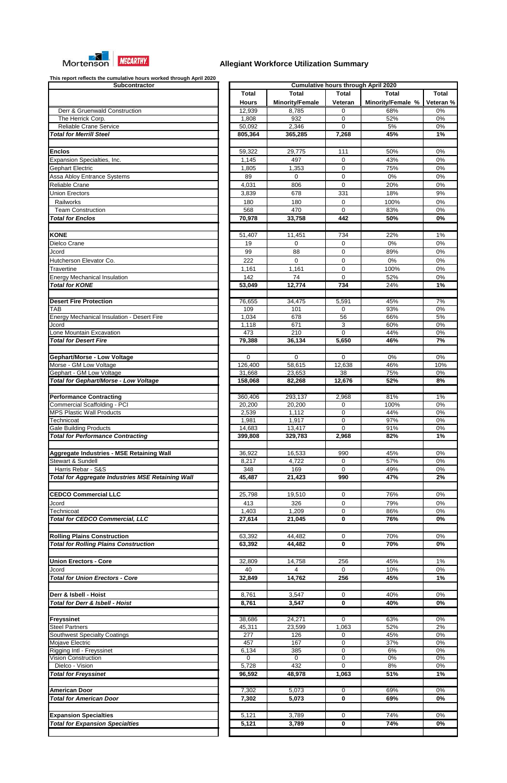

| Subcontractor                                                             |
|---------------------------------------------------------------------------|
|                                                                           |
|                                                                           |
| Derr & Gruenwald Construction                                             |
| The Herrick Corp.                                                         |
| Reliable Crane Service                                                    |
| <b>Total for Merrill Steel</b>                                            |
|                                                                           |
| Enclos                                                                    |
| Expansion Specialties, Inc.                                               |
| Gephart Electric                                                          |
| Assa Abloy Entrance Systems                                               |
| Reliable Crane                                                            |
| Union Erectors                                                            |
| Railworks                                                                 |
| <b>Team Construction</b>                                                  |
| <b>Total for Enclos</b>                                                   |
|                                                                           |
| <b>KONE</b>                                                               |
|                                                                           |
| Dielco Crane                                                              |
| Jcord                                                                     |
| Hutcherson Elevator Co.                                                   |
| Travertine                                                                |
| <b>Energy Mechanical Insulation</b>                                       |
| <b>Total for KONE</b>                                                     |
|                                                                           |
| <b>Desert Fire Protection</b>                                             |
| TAB                                                                       |
| <b>Energy Mechanical Insulation - Desert Fire</b>                         |
| Jcord                                                                     |
| Lone Mountain Excavation                                                  |
| <b>Total for Desert Fire</b>                                              |
|                                                                           |
| Gephart/Morse - Low Voltage                                               |
| Morse - GM Low Voltage                                                    |
| Gephart - GM Low Voltage                                                  |
| Total for Gephart/Morse - Low Voltage                                     |
|                                                                           |
| <b>Performance Contracting</b>                                            |
| Commercial Scaffolding - PCI                                              |
| <b>MPS Plastic Wall Products</b>                                          |
| Technicoat                                                                |
| <b>Gale Building Products</b><br><b>Total for Performance Contracting</b> |
|                                                                           |
|                                                                           |
| Aggregate Industries - MSE Retaining Wall                                 |
| Stewart & Sundell                                                         |
| Harris Rebar - S&S                                                        |
| <b>Total for Aggregate Industries MSE Retaining Wall</b>                  |
|                                                                           |
| <b>CEDCO Commercial LLC</b>                                               |
| Jcord                                                                     |
| Technicoat                                                                |
| <b>Total for CEDCO Commercial, LLC</b>                                    |
|                                                                           |
| <b>Rolling Plains Construction</b>                                        |
| <b>Total for Rolling Plains Construction</b>                              |
|                                                                           |
| <b>Union Erectors - Core</b>                                              |
| Jcord                                                                     |
| <b>Total for Union Erectors - Core</b>                                    |
|                                                                           |
| Derr & Isbell - Hoist                                                     |
| <b>Total for Derr &amp; Isbell - Hoist</b>                                |
|                                                                           |
| <b>Freyssinet</b>                                                         |
| <b>Steel Partners</b>                                                     |
|                                                                           |
| <b>Southwest Specialty Coatings</b>                                       |
| Mojave Electric                                                           |
| Rigging Intl - Freyssinet                                                 |
| Vision Construction                                                       |
| Dielco - Vision                                                           |
| <b>Total for Freyssinet</b>                                               |
|                                                                           |
| American Door                                                             |
| <b>Total for American Door</b>                                            |
|                                                                           |
|                                                                           |
| <b>Expansion Specialties</b><br><b>Total for Expansion Specialties</b>    |
|                                                                           |

| This report relieves the cumulative hours worked through April 2020<br><b>Subcontractor</b> |              |                        |                | <b>Cumulative hours through April 2020</b> |              |
|---------------------------------------------------------------------------------------------|--------------|------------------------|----------------|--------------------------------------------|--------------|
|                                                                                             | <b>Total</b> | Total                  | <b>Total</b>   | <b>Total</b>                               | <b>Total</b> |
|                                                                                             |              |                        |                |                                            |              |
|                                                                                             | <b>Hours</b> | <b>Minority/Female</b> | <b>Veteran</b> | Minority/Female %                          | Veteran %    |
| Derr & Gruenwald Construction                                                               | 12,939       | 8,785                  | 0              | 68%                                        | 0%           |
| The Herrick Corp.                                                                           | 1,808        | 932                    | 0              | 52%                                        | 0%           |
| Reliable Crane Service                                                                      | 50,092       | 2,346                  | $\Omega$       | 5%                                         | 0%           |
| <b>Total for Merrill Steel</b>                                                              | 805,364      | 365,285                | 7,268          | 45%                                        | 1%           |
|                                                                                             |              |                        |                |                                            |              |
| <b>Enclos</b>                                                                               | 59,322       | 29,775                 | 111            | 50%                                        | 0%           |
| Expansion Specialties, Inc.                                                                 | 1,145        | 497                    | 0              | 43%                                        | 0%           |
| Gephart Electric                                                                            | 1,805        | 1,353                  | 0              | 75%                                        | 0%           |
| Assa Abloy Entrance Systems                                                                 | 89           | 0                      | 0              | 0%                                         | 0%           |
|                                                                                             |              |                        |                |                                            |              |
| Reliable Crane                                                                              | 4,031        | 806                    | $\Omega$       | 20%                                        | 0%           |
| <b>Union Erectors</b>                                                                       | 3,839        | 678                    | 331            | 18%                                        | 9%           |
| Railworks                                                                                   | 180          | 180                    | 0              | 100%                                       | 0%           |
| <b>Team Construction</b>                                                                    | 568          | 470                    | $\Omega$       | 83%                                        | $0\%$        |
| <b>Total for Enclos</b>                                                                     | 70,978       | 33,758                 | 442            | 50%                                        | 0%           |
|                                                                                             |              |                        |                |                                            |              |
| <b>KONE</b>                                                                                 | 51,407       | 11,451                 | 734            | 22%                                        | 1%           |
| Dielco Crane                                                                                | 19           | 0                      | 0              | 0%                                         | 0%           |
| Jcord                                                                                       | 99           | 88                     | 0              | 89%                                        | 0%           |
|                                                                                             |              |                        |                |                                            |              |
| Hutcherson Elevator Co.                                                                     | 222          | 0                      | 0              | 0%                                         | 0%           |
| <b>Travertine</b>                                                                           | 1,161        | 1,161                  | 0              | 100%                                       | 0%           |
| <b>Energy Mechanical Insulation</b>                                                         | 142          | 74                     | $\Omega$       | 52%                                        | 0%           |
| <b>Total for KONE</b>                                                                       | 53,049       | 12,774                 | 734            | 24%                                        | 1%           |
|                                                                                             |              |                        |                |                                            |              |
| <b>Desert Fire Protection</b>                                                               | 76,655       | 34,475                 | 5,591          | 45%                                        | 7%           |
| $\overline{\mathsf{TAB}}$                                                                   | 109          | 101                    | 0              | 93%                                        | 0%           |
| <b>Energy Mechanical Insulation - Desert Fire</b>                                           | 1,034        | 678                    | 56             | 66%                                        | $5%$         |
| Jcord                                                                                       | 1,118        | 671                    | 3              | 60%                                        | 0%           |
| Lone Mountain Excavation                                                                    | 473          | 210                    | $\mathbf 0$    | 44%                                        | 0%           |
| <b>Total for Desert Fire</b>                                                                | 79,388       | 36,134                 | 5,650          | 46%                                        | 7%           |
|                                                                                             |              |                        |                |                                            |              |
| Gephart/Morse - Low Voltage                                                                 | 0            | 0                      | 0              | 0%                                         | 0%           |
| Morse - GM Low Voltage                                                                      | 126,400      | 58,615                 | 12,638         | 46%                                        | 10%          |
| Gephart - GM Low Voltage                                                                    | 31,668       | 23,653                 | 38             | 75%                                        | 0%           |
|                                                                                             |              |                        |                |                                            |              |
| Total for Gephart/Morse - Low Voltage                                                       | 158,068      | 82,268                 | 12,676         | 52%                                        | 8%           |
|                                                                                             |              |                        |                |                                            |              |
| <b>Performance Contracting</b>                                                              | 360,406      | 293,137                | 2,968          | 81%                                        | $1\%$        |
| <b>Commercial Scaffolding - PCI</b>                                                         | 20,200       | 20,200                 | 0              | 100%                                       | 0%           |
| <b>MPS Plastic Wall Products</b>                                                            | 2,539        | 1,112                  | 0              | 44%                                        | 0%           |
| Technicoat                                                                                  | 1,981        | 1,917                  | 0              | 97%                                        | 0%           |
| <b>Gale Building Products</b>                                                               | 14,683       | 13,417                 | $\mathbf 0$    | 91%                                        | 0%           |
| <b>Total for Performance Contracting</b>                                                    | 399,808      | 329,783                | 2,968          | 82%                                        | 1%           |
|                                                                                             |              |                        |                |                                            |              |
| Aggregate Industries - MSE Retaining Wall                                                   | 36,922       | 16,533                 | 990            | 45%                                        | 0%           |
| Stewart & Sundell                                                                           | 8,217        | 4,722                  | 0              | 57%                                        | 0%           |
| Harris Rebar - S&S                                                                          | 348          | 169                    | $\Omega$       | 49%                                        | 0%           |
| <b>Total for Aggregate Industries MSE Retaining Wall</b>                                    | 45,487       | 21,423                 | 990            | 47%                                        | 2%           |
|                                                                                             |              |                        |                |                                            |              |
| <b>CEDCO Commercial LLC</b>                                                                 | 25,798       |                        | 0              | 76%                                        |              |
|                                                                                             |              | 19,510                 |                |                                            | 0%           |
| Jcord                                                                                       | 413          | 326                    | 0              | 79%                                        | $0\%$        |
| Technicoat                                                                                  | 1,403        | 1,209                  | 0              | 86%                                        | 0%           |
| <b>Total for CEDCO Commercial, LLC</b>                                                      | 27,614       | 21,045                 | 0              | 76%                                        | 0%           |
|                                                                                             |              |                        |                |                                            |              |
| <b>Rolling Plains Construction</b>                                                          | 63,392       | 44,482                 | 0              | 70%                                        | 0%           |
| <b>Total for Rolling Plains Construction</b>                                                | 63,392       | 44,482                 | 0              | 70%                                        | 0%           |
|                                                                                             |              |                        |                |                                            |              |
| <b>Union Erectors - Core</b>                                                                | 32,809       | 14,758                 | 256            | 45%                                        | 1%           |
| Jcord                                                                                       | 40           | 4                      | 0              | 10%                                        | 0%           |
| <b>Total for Union Erectors - Core</b>                                                      | 32,849       | 14,762                 | 256            | 45%                                        | 1%           |
|                                                                                             |              |                        |                |                                            |              |
|                                                                                             |              |                        |                |                                            |              |
| Derr & Isbell - Hoist                                                                       | 8,761        | 3,547                  | 0              | 40%                                        | 0%           |
| <b>Total for Derr &amp; Isbell - Hoist</b>                                                  | 8,761        | 3,547                  | 0              | 40%                                        | 0%           |
|                                                                                             |              |                        |                |                                            |              |
| <b>Freyssinet</b>                                                                           | 38,686       | 24,271                 | 0              | 63%                                        | 0%           |
| Steel Partners                                                                              | 45,311       | 23,599                 | 1,063          | 52%                                        | 2%           |
| <b>Southwest Specialty Coatings</b>                                                         | 277          | 126                    | 0              | 45%                                        | 0%           |
| Mojave Electric                                                                             | 457          | 167                    | 0              | 37%                                        | 0%           |
| Rigging Intl - Freyssinet                                                                   | 6,134        | 385                    | $\mathbf 0$    | 6%                                         | 0%           |
| Vision Construction                                                                         | 0            | 0                      | 0              | 0%                                         | 0%           |
| Dielco - Vision                                                                             | 5,728        | 432                    | 0              | 8%                                         | $0\%$        |
| <b>Total for Freyssinet</b>                                                                 | 96,592       | 48,978                 | 1,063          | 51%                                        | 1%           |
|                                                                                             |              |                        |                |                                            |              |
| <b>American Door</b>                                                                        | 7,302        | 5,073                  | 0              | 69%                                        | $0\%$        |
| <b>Total for American Door</b>                                                              | 7,302        | 5,073                  | 0              | 69%                                        | 0%           |
|                                                                                             |              |                        |                |                                            |              |
| <b>Expansion Specialties</b>                                                                | 5,121        | 3,789                  | 0              | 74%                                        | 0%           |
| <b>Total for Expansion Specialties</b>                                                      |              | 3,789                  |                | 74%                                        |              |
|                                                                                             | 5,121        |                        | 0              |                                            | $0\%$        |
|                                                                                             |              |                        |                |                                            |              |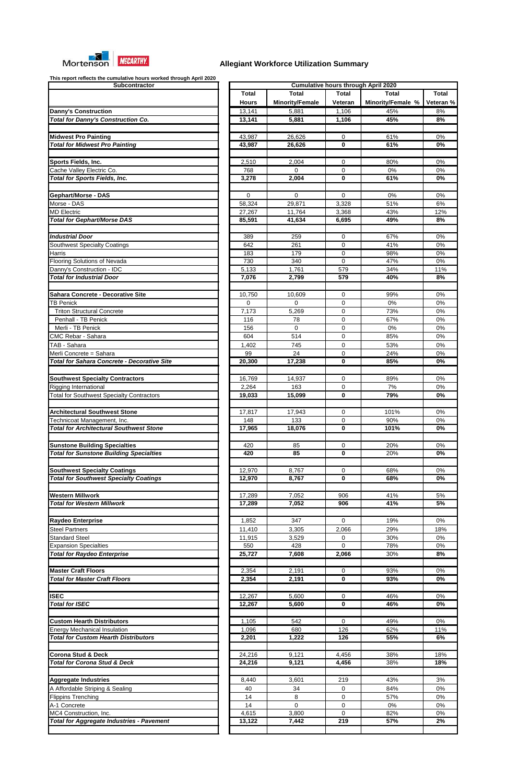

| Subcontractor                                                                                     |
|---------------------------------------------------------------------------------------------------|
|                                                                                                   |
|                                                                                                   |
| <b>Danny's Construction</b>                                                                       |
| <b>Total for Danny's Construction Co.</b>                                                         |
|                                                                                                   |
|                                                                                                   |
| <b>Midwest Pro Painting</b>                                                                       |
| <b>Total for Midwest Pro Painting</b>                                                             |
|                                                                                                   |
| Sports Fields, Inc.                                                                               |
| Cache Valley Electric Co.                                                                         |
| <b>Total for Sports Fields, Inc.</b>                                                              |
|                                                                                                   |
| Gephart/Morse - DAS                                                                               |
| Morse - DAS                                                                                       |
| <b>MD Electric</b>                                                                                |
| <b>Total for Gephart/Morse DAS</b>                                                                |
|                                                                                                   |
|                                                                                                   |
| <b>Industrial Door</b>                                                                            |
| Southwest Specialty Coatings                                                                      |
| Harris                                                                                            |
| Flooring Solutions of Nevada                                                                      |
| Danny's Construction - IDC                                                                        |
| <b>Total for Industrial Door</b>                                                                  |
|                                                                                                   |
| Sahara Concrete - Decorative Site                                                                 |
| <b>TB Penick</b>                                                                                  |
| <b>Triton Structural Concrete</b>                                                                 |
| Penhall - TB Penick                                                                               |
| Merli - TB Penick                                                                                 |
|                                                                                                   |
| <b>CMC Rebar - Sahara</b>                                                                         |
| TAB - Sahara                                                                                      |
| Merli Concrete = Sahara                                                                           |
| <b>Total for Sahara Concrete - Decorative Site</b>                                                |
|                                                                                                   |
| <b>Southwest Specialty Contractors</b>                                                            |
| Rigging International                                                                             |
| <b>Total for Southwest Specialty Contractors</b>                                                  |
|                                                                                                   |
| <b>Architectural Southwest Stone</b>                                                              |
|                                                                                                   |
|                                                                                                   |
| Technicoat Management, Inc.                                                                       |
| <b>Total for Architectural Southwest Stone</b>                                                    |
|                                                                                                   |
| <b>Sunstone Building Specialties</b>                                                              |
| <b>Total for Sunstone Building Specialties</b>                                                    |
|                                                                                                   |
| <b>Southwest Specialty Coatings</b>                                                               |
| <b>Total for Southwest Specialty Coatings</b>                                                     |
|                                                                                                   |
|                                                                                                   |
| <b>Western Millwork</b><br><b>Total for Western Millwork</b>                                      |
|                                                                                                   |
|                                                                                                   |
| Raydeo Enterprise                                                                                 |
| <b>Steel Partners</b>                                                                             |
| <b>Standard Steel</b>                                                                             |
| <b>Expansion Specialties</b>                                                                      |
| <b>Total for Raydeo Enterprise</b>                                                                |
|                                                                                                   |
| <b>Master Craft Floors</b>                                                                        |
| <b>Total for Master Craft Floors</b>                                                              |
|                                                                                                   |
|                                                                                                   |
| <b>Total for ISEC</b>                                                                             |
|                                                                                                   |
|                                                                                                   |
| <b>Custom Hearth Distributors</b>                                                                 |
|                                                                                                   |
| <b>ISEC</b><br><b>Energy Mechanical Insulation</b><br><b>Total for Custom Hearth Distributors</b> |
|                                                                                                   |
| <b>Corona Stud &amp; Deck</b>                                                                     |
| <b>Total for Corona Stud &amp; Deck</b>                                                           |
|                                                                                                   |
|                                                                                                   |
| <b>Aggregate Industries</b>                                                                       |
| A Affordable Striping & Sealing                                                                   |
| <b>Flippins Trenching</b>                                                                         |
| A-1 Concrete                                                                                      |
| MC4 Construction, Inc.                                                                            |
| <b>Total for Aggregate Industries - Pavement</b>                                                  |

| This report reflects the cumulative hours worked through April 2020<br>Subcontractor | <b>Cumulative hours through April 2020</b> |                        |                  |                   |                        |  |
|--------------------------------------------------------------------------------------|--------------------------------------------|------------------------|------------------|-------------------|------------------------|--|
|                                                                                      | <b>Total</b>                               | <b>Total</b>           | <b>Total</b>     | <b>Total</b>      | <b>Total</b>           |  |
|                                                                                      | <b>Hours</b>                               | <b>Minority/Female</b> | Veteran          | Minority/Female % | Veteran %              |  |
|                                                                                      |                                            |                        |                  | 45%               |                        |  |
| <b>Danny's Construction</b><br><b>Total for Danny's Construction Co.</b>             | 13,141                                     | 5,881                  | 1,106            | 45%               | 8%<br>8%               |  |
|                                                                                      | 13,141                                     | 5,881                  | 1,106            |                   |                        |  |
|                                                                                      |                                            |                        |                  |                   |                        |  |
| <b>Midwest Pro Painting</b><br><b>Total for Midwest Pro Painting</b>                 | 43,987<br>43,987                           | 26,626<br>26,626       | 0<br>0           | 61%<br>61%        | 0%<br>0%               |  |
|                                                                                      |                                            |                        |                  |                   |                        |  |
|                                                                                      |                                            |                        |                  |                   |                        |  |
| <b>Sports Fields, Inc.</b>                                                           | 2,510                                      | 2,004                  | 0                | 80%               | 0%                     |  |
| Cache Valley Electric Co.                                                            | 768                                        | 0                      | 0                | $0\%$             | 0%                     |  |
| <b>Total for Sports Fields, Inc.</b>                                                 | 3,278                                      | 2,004                  | 0                | 61%               | 0%                     |  |
| Gephart/Morse - DAS                                                                  | $\mathbf 0$                                | 0                      | $\mathbf 0$      | 0%                | 0%                     |  |
| Morse - DAS                                                                          | 58,324                                     | 29,871                 | 3,328            | 51%               | 6%                     |  |
| <b>MD Electric</b>                                                                   |                                            |                        | 3,368            | 43%               |                        |  |
| <b>Total for Gephart/Morse DAS</b>                                                   | 27,267<br>85,591                           | 11,764<br>41,634       | 6,695            | 49%               | 12%<br>8%              |  |
|                                                                                      |                                            |                        |                  |                   |                        |  |
| <b>Industrial Door</b>                                                               | 389                                        | 259                    | 0                | 67%               | 0%                     |  |
| <b>Southwest Specialty Coatings</b>                                                  | 642                                        | 261                    | 0                | 41%               | 0%                     |  |
| Harris                                                                               | 183                                        | 179                    | 0                | 98%               | 0%                     |  |
| <b>Flooring Solutions of Nevada</b>                                                  | 730                                        | 340                    | $\Omega$         | 47%               | 0%                     |  |
| Danny's Construction - IDC                                                           | 5,133                                      | 1,761                  | 579              | 34%               | 11%                    |  |
| <b>Total for Industrial Door</b>                                                     | 7,076                                      | 2,799                  | 579              | 40%               | 8%                     |  |
|                                                                                      |                                            |                        |                  |                   |                        |  |
| Sahara Concrete - Decorative Site                                                    | 10,750                                     | 10,609                 | 0                | 99%               | 0%                     |  |
| <b>TB Penick</b>                                                                     | 0                                          | 0                      | $\mathbf 0$      | 0%                | 0%                     |  |
| <b>Triton Structural Concrete</b>                                                    | 7,173                                      | 5,269                  | 0                | 73%               | 0%                     |  |
| Penhall - TB Penick                                                                  | 116                                        | 78                     | 0                | 67%               | 0%                     |  |
| Merli - TB Penick                                                                    | 156                                        | 0                      | 0                | 0%                | 0%                     |  |
| <b>CMC Rebar - Sahara</b>                                                            | 604                                        | 514                    | 0                | 85%               | 0%                     |  |
| TAB - Sahara                                                                         | 1,402                                      | 745                    | 0                | 53%               | 0%                     |  |
| Merli Concrete = Sahara                                                              | 99                                         | 24                     | 0                | 24%               | 0%                     |  |
| <b>Total for Sahara Concrete - Decorative Site</b>                                   | $\overline{20,300}$                        | 17,238                 | $\mathbf 0$      | 85%               | 0%                     |  |
|                                                                                      |                                            |                        |                  |                   |                        |  |
| <b>Southwest Specialty Contractors</b>                                               | 16,769                                     | 14,937                 | 0                | 89%               | 0%                     |  |
| Rigging International                                                                | 2,264                                      | 163                    | 0                | 7%                | 0%                     |  |
| <b>Total for Southwest Specialty Contractors</b>                                     | 19,033                                     | 15,099                 | $\mathbf 0$      | 79%               | 0%                     |  |
|                                                                                      |                                            |                        |                  |                   |                        |  |
| <b>Architectural Southwest Stone</b>                                                 | 17,817                                     | 17,943                 | 0                | 101%              | 0%                     |  |
| Technicoat Management, Inc.                                                          | 148                                        | 133                    | 0                | 90%               | 0%                     |  |
| <b>Total for Architectural Southwest Stone</b>                                       | 17,965                                     | 18,076                 | 0                | 101%              | 0%                     |  |
|                                                                                      |                                            |                        |                  |                   |                        |  |
| <b>Sunstone Building Specialties</b>                                                 | 420                                        | 85                     | 0                | 20%               | 0%                     |  |
| <b>Total for Sunstone Building Specialties</b>                                       | 420                                        | 85                     | $\bf{0}$         | 20%               | 0%                     |  |
|                                                                                      |                                            |                        |                  |                   |                        |  |
| <b>Southwest Specialty Coatings</b>                                                  | 12,970                                     | 8,767                  | 0                | 68%               | 0%                     |  |
| <b>Total for Southwest Specialty Coatings</b>                                        | 12,970                                     | 8,767                  | 0                | 68%               | 0%                     |  |
|                                                                                      |                                            |                        |                  |                   |                        |  |
| Western Millwork                                                                     | 17,289                                     | 7,052                  | 906              | 41%               | 5%                     |  |
| <b>Total for Western Millwork</b>                                                    | 17,289                                     | 7,052                  | 906              | 41%               | 5%                     |  |
|                                                                                      |                                            |                        |                  |                   |                        |  |
| <b>Raydeo Enterprise</b>                                                             | 1,852                                      | 347                    | $\Omega$         | 19%               | 0%                     |  |
| <b>Steel Partners</b>                                                                | 11,410                                     | 3,305                  | 2,066            | 29%               | 18%                    |  |
| <b>Standard Steel</b>                                                                | 11,915                                     | 3,529                  | 0                | 30%               | 0%                     |  |
| <b>Expansion Specialties</b>                                                         | 550                                        | 428                    | $\Omega$         | 78%               | 0%                     |  |
| <b>Total for Raydeo Enterprise</b>                                                   | 25,727                                     | 7,608                  | 2,066            | 30%               | 8%                     |  |
| <b>Master Craft Floors</b>                                                           |                                            |                        |                  |                   |                        |  |
| <b>Total for Master Craft Floors</b>                                                 | 2,354<br>2,354                             | 2,191<br>2,191         | 0<br>$\mathbf 0$ | 93%<br>93%        | 0%<br>$\overline{0\%}$ |  |
|                                                                                      |                                            |                        |                  |                   |                        |  |
| <b>ISEC</b>                                                                          | 12,267                                     | 5,600                  | 0                | 46%               | 0%                     |  |
| <b>Total for ISEC</b>                                                                | 12,267                                     | 5,600                  | $\mathbf 0$      | 46%               | 0%                     |  |
|                                                                                      |                                            |                        |                  |                   |                        |  |
| <b>Custom Hearth Distributors</b>                                                    | 1,105                                      | 542                    | $\mathbf 0$      | 49%               | 0%                     |  |
| <b>Energy Mechanical Insulation</b>                                                  | 1,096                                      | 680                    | 126              | 62%               | 11%                    |  |
| <b>Total for Custom Hearth Distributors</b>                                          | 2,201                                      | 1,222                  | 126              | 55%               | 6%                     |  |
|                                                                                      |                                            |                        |                  |                   |                        |  |
| Corona Stud & Deck                                                                   | 24,216                                     | 9,121                  | 4,456            | 38%               | 18%                    |  |
| <b>Total for Corona Stud &amp; Deck</b>                                              | 24,216                                     | 9,121                  | 4,456            | 38%               | 18%                    |  |
|                                                                                      |                                            |                        |                  |                   |                        |  |
| <b>Aggregate Industries</b>                                                          | 8,440                                      | 3,601                  | 219              | 43%               | 3%                     |  |
| A Affordable Striping & Sealing                                                      | 40                                         | 34                     | 0                | 84%               | $0\%$                  |  |
| <b>Flippins Trenching</b>                                                            | 14                                         | 8                      | 0                | 57%               | 0%                     |  |
| A-1 Concrete                                                                         | 14                                         | 0                      | 0                | 0%                | 0%                     |  |
| MC4 Construction, Inc.                                                               | 4,615                                      | 3,800                  | 0                | 82%               | 0%                     |  |
| <b>Total for Aggregate Industries - Pavement</b>                                     | 13,122                                     | 7,442                  | 219              | 57%               | 2%                     |  |
|                                                                                      |                                            |                        |                  |                   |                        |  |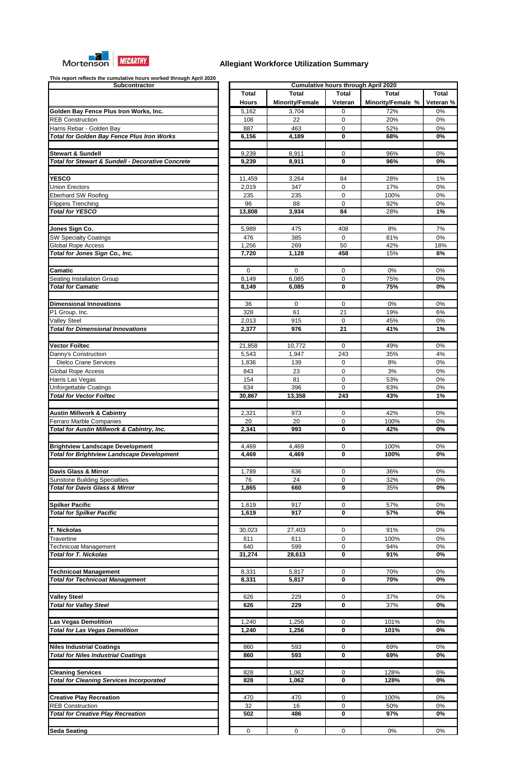

| Subcontractor                                                |
|--------------------------------------------------------------|
|                                                              |
|                                                              |
| Golden Bay Fence Plus Iron Works, Inc.                       |
| <b>REB Construction</b>                                      |
| Harris Rebar - Golden Bay                                    |
| <b>Total for Golden Bay Fence Plus Iron Works</b>            |
|                                                              |
| <b>Stewart &amp; Sundell</b>                                 |
| <b>Total for Stewart &amp; Sundell - Decorative Concrete</b> |
|                                                              |
| <b>YESCO</b>                                                 |
| <b>Union Erectors</b>                                        |
| <b>Eberhard SW Roofing</b>                                   |
| <b>Flippins Trenching</b>                                    |
| <b>Total for YESCO</b>                                       |
|                                                              |
| Jones Sign Co.                                               |
| <b>SW Specialty Coatings</b>                                 |
| <b>Global Rope Access</b>                                    |
| Total for Jones Sign Co., Inc.                               |
|                                                              |
| <b>Camatic</b>                                               |
| Seating Installation Group                                   |
| <b>Total for Camatic</b>                                     |
|                                                              |
| <b>Dimensional Innovations</b>                               |
| P1 Group, Inc.                                               |
| <b>Valley Steel</b>                                          |
| <b>Total for Dimensional Innovations</b>                     |
|                                                              |
| <b>Vector Foiltec</b>                                        |
| Danny's Construction                                         |
| <b>Dielco Crane Services</b>                                 |
| Global Rope Access                                           |
| Harris Las Vegas                                             |
| <b>Unforgettable Coatings</b>                                |
| <b>Total for Vector Foiltec</b>                              |
|                                                              |
|                                                              |
| <b>Austin Millwork &amp; Cabintry</b>                        |
| <b>Ferraro Marble Companies</b>                              |
| Total for Austin Millwork & Cabintry, Inc.                   |
|                                                              |
| <b>Brightview Landscape Development</b>                      |
| <b>Total for Brightview Landscape Development</b>            |
|                                                              |
| <b>Davis Glass &amp; Mirror</b>                              |
| <b>Sunstone Building Specialties</b>                         |
| <b>Total for Davis Glass &amp; Mirror</b>                    |
|                                                              |
| <b>Spilker Pacific</b>                                       |
| <b>Total for Spilker Pacific</b>                             |
|                                                              |
| <b>T. Nickolas</b>                                           |
| <b>Travertine</b>                                            |
| Technicoat Management                                        |
| <b>Total for T. Nickolas</b>                                 |
|                                                              |
| <b>Technicoat Management</b>                                 |
| <b>Total for Technicoat Management</b>                       |
|                                                              |
| <u>Valley Steel</u>                                          |
| <b>Total for Valley Steel</b>                                |
|                                                              |
| <b>Las Vegas Demolition</b>                                  |
| <b>Total for Las Vegas Demolition</b>                        |
|                                                              |
| <b>Niles Industrial Coatings</b>                             |
| <b>Total for Niles Industrial Coatings</b>                   |
|                                                              |
| <b>Cleaning Services</b>                                     |
| <b>Total for Cleaning Services Incorporated</b>              |
|                                                              |
| <b>Creative Play Recreation</b>                              |
| <b>REB Construction</b>                                      |
| <b>Total for Creative Play Recreation</b>                    |
|                                                              |

| This report reflects the cumulative flours worked through April 2020<br>Subcontractor |              |                        |                | <b>Cumulative hours through April 2020</b> |           |
|---------------------------------------------------------------------------------------|--------------|------------------------|----------------|--------------------------------------------|-----------|
|                                                                                       | <b>Total</b> | Total                  | <b>Total</b>   | <b>Total</b>                               | Total     |
|                                                                                       |              |                        |                |                                            |           |
|                                                                                       | <b>Hours</b> | <b>Minority/Female</b> | <b>Veteran</b> | Minority/Female %                          | Veteran % |
| Golden Bay Fence Plus Iron Works, Inc.                                                | 5,162        | 3,704                  | 0              | 72%                                        | 0%        |
| <b>REB Construction</b>                                                               | 108          | 22                     | $\mathbf 0$    | 20%                                        | 0%        |
| Harris Rebar - Golden Bay                                                             | 887          | 463                    | 0              | 52%                                        | 0%        |
| <b>Total for Golden Bay Fence Plus Iron Works</b>                                     | 6,156        | 4,189                  | 0              | 68%                                        | 0%        |
|                                                                                       |              |                        |                |                                            |           |
| <b>Stewart &amp; Sundell</b>                                                          | 9,239        | 8,911                  | 0              | 96%                                        | 0%        |
| <b>Total for Stewart &amp; Sundell - Decorative Concrete</b>                          | 9,239        | 8,911                  | 0              | 96%                                        | 0%        |
|                                                                                       |              |                        |                |                                            |           |
| <b>YESCO</b>                                                                          | 11,459       | 3,264                  | 84             | 28%                                        | 1%        |
|                                                                                       |              |                        |                |                                            |           |
| <b>Union Erectors</b>                                                                 | 2,019        | 347                    | 0              | 17%                                        | 0%        |
| <b>Eberhard SW Roofing</b>                                                            | 235          | 235                    | 0              | 100%                                       | 0%        |
| <b>Flippins Trenching</b>                                                             | 96           | 88                     | 0              | 92%                                        | 0%        |
| <b>Total for YESCO</b>                                                                | 13,808       | 3,934                  | 84             | 28%                                        | 1%        |
|                                                                                       |              |                        |                |                                            |           |
| <b>Jones Sign Co.</b>                                                                 | 5,989        | 475                    | 408            | 8%                                         | 7%        |
| <b>SW Specialty Coatings</b>                                                          | 476          | 385                    | 0              | 81%                                        | $0\%$     |
| <b>Global Rope Access</b>                                                             | 1,256        | 269                    | 50             | 42%                                        | 18%       |
| Total for Jones Sign Co., Inc.                                                        | 7,720        | 1,128                  | 458            | 15%                                        | 6%        |
|                                                                                       |              |                        |                |                                            |           |
| Camatic                                                                               | $\mathbf 0$  | 0                      | 0              | 0%                                         | 0%        |
| Seating Installation Group                                                            | 8,149        | 6,085                  | 0              | 75%                                        | 0%        |
| <b>Total for Camatic</b>                                                              |              |                        |                | 75%                                        |           |
|                                                                                       | 8,149        | 6,085                  | 0              |                                            | 0%        |
|                                                                                       |              |                        |                |                                            |           |
| <b>Dimensional Innovations</b>                                                        | 36           | 0                      | $\mathbf 0$    | 0%                                         | $0\%$     |
| P1 Group, Inc.                                                                        | 328          | 61                     | 21             | 19%                                        | 6%        |
| <b>Valley Steel</b>                                                                   | 2,013        | 915                    | 0              | 45%                                        | 0%        |
| <b>Total for Dimensional Innovations</b>                                              | 2,377        | 976                    | 21             | 41%                                        | 1%        |
|                                                                                       |              |                        |                |                                            |           |
| <b>Vector Foiltec</b>                                                                 | 21,858       | 10,772                 | 0              | 49%                                        | 0%        |
| Danny's Construction                                                                  | 5,543        | 1,947                  | 243            | 35%                                        | 4%        |
| <b>Dielco Crane Services</b>                                                          | 1,836        | 139                    | 0              | 8%                                         | 0%        |
| <b>Global Rope Access</b>                                                             | 843          | 23                     | 0              | 3%                                         | 0%        |
|                                                                                       |              |                        |                |                                            |           |
| Harris Las Vegas                                                                      | 154          | 81                     | 0              | 53%                                        | 0%        |
| Unforgettable Coatings                                                                | 634          | 396                    | $\mathbf 0$    | 63%                                        | 0%        |
| <b>Total for Vector Foiltec</b>                                                       | 30,867       | 13,358                 | 243            | 43%                                        | 1%        |
|                                                                                       |              |                        |                |                                            |           |
| <b>Austin Millwork &amp; Cabintry</b>                                                 | 2,321        | 973                    | 0              | 42%                                        | 0%        |
| <b>Ferraro Marble Companies</b>                                                       | 20           | 20                     | 0              | 100%                                       | 0%        |
| Total for Austin Millwork & Cabintry, Inc.                                            | 2,341        | 993                    | 0              | 42%                                        | 0%        |
|                                                                                       |              |                        |                |                                            |           |
| <b>Brightview Landscape Development</b>                                               | 4,469        | 4,469                  | 0              | 100%                                       | 0%        |
| <b>Total for Brightview Landscape Development</b>                                     | 4,469        | 4,469                  | 0              | 100%                                       | 0%        |
|                                                                                       |              |                        |                |                                            |           |
| Davis Glass & Mirror                                                                  | 1,789        | 636                    | 0              | 36%                                        | 0%        |
|                                                                                       | 76           | 24                     | $\mathbf 0$    | 32%                                        | 0%        |
| <b>Sunstone Building Specialties</b>                                                  |              |                        |                |                                            |           |
| <b>Total for Davis Glass &amp; Mirror</b>                                             | 1,865        | 660                    | 0              | 35%                                        | 0%        |
|                                                                                       |              |                        |                |                                            |           |
| <b>Spilker Pacific</b>                                                                | 1,619        | 917                    | 0              | 57%                                        | 0%        |
| <b>Total for Spilker Pacific</b>                                                      | 1,619        | 917                    | 0              | 57%                                        | 0%        |
|                                                                                       |              |                        |                |                                            |           |
| T. Nickolas                                                                           | 30,023       | 27,403                 | 0              | 91%                                        | 0%        |
| Travertine                                                                            | 611          | 611                    | 0              | 100%                                       | 0%        |
| Technicoat Management                                                                 | 640          | 599                    | 0              | 94%                                        | $0\%$     |
| <b>Total for T. Nickolas</b>                                                          | 31,274       | 28,613                 | 0              | 91%                                        | 0%        |
|                                                                                       |              |                        |                |                                            |           |
| <b>Technicoat Management</b>                                                          | 8,331        | 5,817                  | 0              | 70%                                        | 0%        |
| <b>Total for Technicoat Management</b>                                                | 8,331        | 5,817                  | 0              | 70%                                        | $0\%$     |
|                                                                                       |              |                        |                |                                            |           |
|                                                                                       |              |                        |                |                                            |           |
| <b>Valley Steel</b>                                                                   | 626          | 229                    | 0              | 37%                                        | 0%        |
| <b>Total for Valley Steel</b>                                                         | 626          | 229                    | 0              | 37%                                        | 0%        |
|                                                                                       |              |                        |                |                                            |           |
| <b>Las Vegas Demolition</b>                                                           | 1,240        | 1,256                  | 0              | 101%                                       | 0%        |
| <b>Total for Las Vegas Demolition</b>                                                 | 1,240        | 1,256                  | 0              | 101%                                       | 0%        |
|                                                                                       |              |                        |                |                                            |           |
| <b>Niles Industrial Coatings</b>                                                      | 860          | 593                    | 0              | 69%                                        | 0%        |
| <b>Total for Niles Industrial Coatings</b>                                            | 860          | 593                    | 0              | 69%                                        | $0\%$     |
|                                                                                       |              |                        |                |                                            |           |
|                                                                                       |              |                        |                |                                            |           |
| <b>Cleaning Services</b>                                                              | 828          | 1,062                  | 0              | 128%                                       | 0%        |
| <b>Total for Cleaning Services Incorporated</b>                                       | 828          | 1,062                  | 0              | 128%                                       | 0%        |
|                                                                                       |              |                        |                |                                            |           |
| <b>Creative Play Recreation</b>                                                       | 470          | 470                    | 0              | 100%                                       | 0%        |
| <b>REB Construction</b>                                                               | 32           | 16                     | 0              | 50%                                        | 0%        |
| <b>Total for Creative Play Recreation</b>                                             | 502          | 486                    | 0              | 97%                                        | 0%        |
|                                                                                       |              |                        |                |                                            |           |
| <b>Seda Seating</b>                                                                   | $\mathbf 0$  | 0                      | 0              | 0%                                         | $0\%$     |